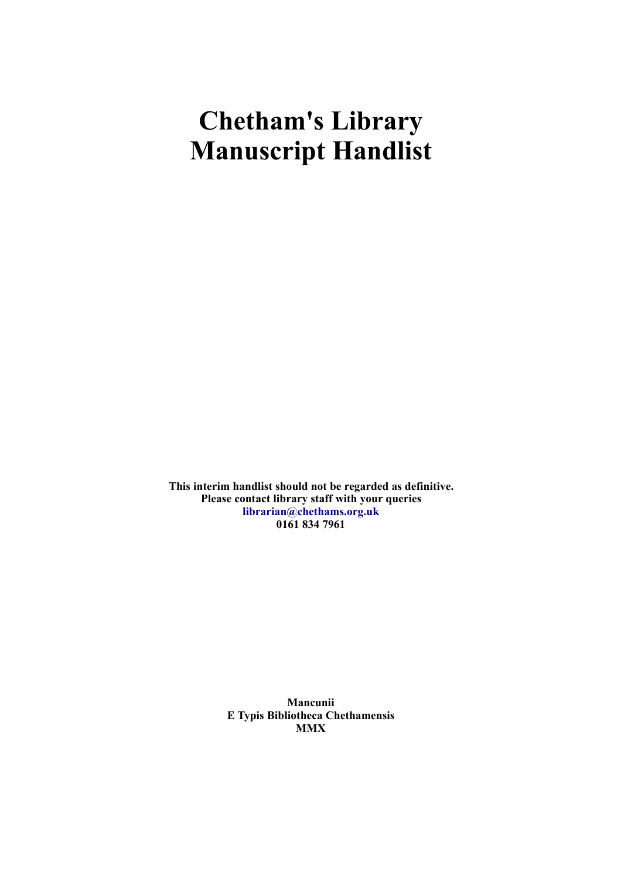## **Chetham's Library Manuscript Handlist**

**This interim handlist should not be regarded as definitive. Please contact library staff with your queries [librarian@chethams.org.uk](mailto:librarian@chethams.org.uk) 0161 834 7961**

> **Mancunii E Typis Bibliotheca Chethamensis MMX**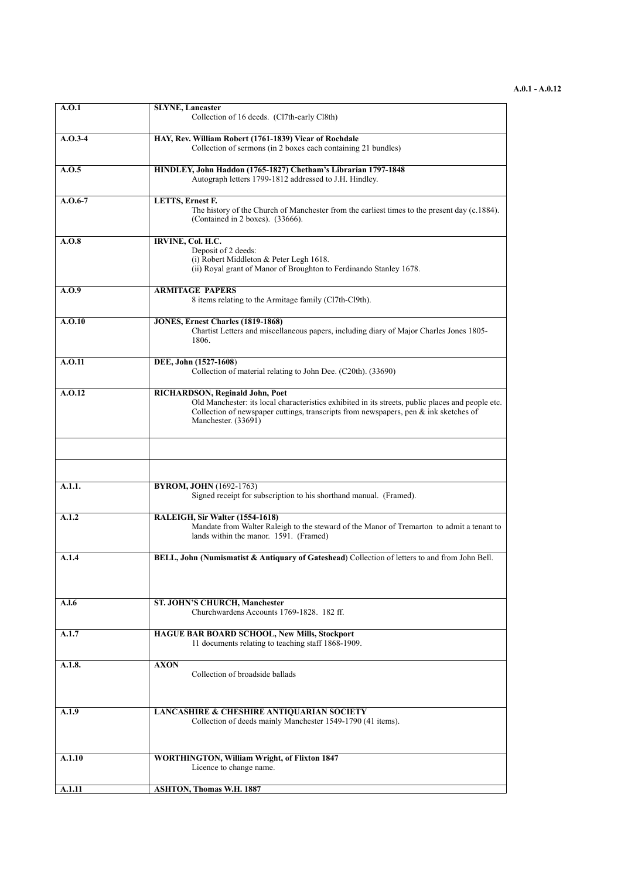## **A.0.1 - A.0.12**

| A.O.1     | <b>SLYNE, Lancaster</b><br>Collection of 16 deeds. (Cl7th-early Cl8th)                                                                                                                                                                                        |
|-----------|---------------------------------------------------------------------------------------------------------------------------------------------------------------------------------------------------------------------------------------------------------------|
| $A.0.3-4$ | HAY, Rev. William Robert (1761-1839) Vicar of Rochdale<br>Collection of sermons (in 2 boxes each containing 21 bundles)                                                                                                                                       |
| A.0.5     | HINDLEY, John Haddon (1765-1827) Chetham's Librarian 1797-1848<br>Autograph letters 1799-1812 addressed to J.H. Hindley.                                                                                                                                      |
| $A.0.6-7$ | <b>LETTS, Ernest F.</b><br>The history of the Church of Manchester from the earliest times to the present day (c.1884).<br>(Contained in 2 boxes). (33666).                                                                                                   |
| A.O.8     | IRVINE, Col. H.C.<br>Deposit of 2 deeds:<br>(i) Robert Middleton & Peter Legh 1618.<br>(ii) Royal grant of Manor of Broughton to Ferdinando Stanley 1678.                                                                                                     |
| A.0.9     | <b>ARMITAGE PAPERS</b><br>8 items relating to the Armitage family (Cl7th-Cl9th).                                                                                                                                                                              |
| A.O.10    | JONES, Ernest Charles (1819-1868)<br>Chartist Letters and miscellaneous papers, including diary of Major Charles Jones 1805-<br>1806.                                                                                                                         |
| A.O.11    | DEE, John (1527-1608)<br>Collection of material relating to John Dee. (C20th). (33690)                                                                                                                                                                        |
| A.0.12    | <b>RICHARDSON, Reginald John, Poet</b><br>Old Manchester: its local characteristics exhibited in its streets, public places and people etc.<br>Collection of newspaper cuttings, transcripts from newspapers, pen $\&$ ink sketches of<br>Manchester. (33691) |
|           |                                                                                                                                                                                                                                                               |
| A.1.1.    | <b>BYROM, JOHN</b> (1692-1763)<br>Signed receipt for subscription to his shorthand manual. (Framed).                                                                                                                                                          |
| A.1.2     | RALEIGH, Sir Walter (1554-1618)<br>Mandate from Walter Raleigh to the steward of the Manor of Tremarton to admit a tenant to<br>lands within the manor. 1591. (Framed)                                                                                        |
| A.1.4     | BELL, John (Numismatist & Antiquary of Gateshead) Collection of letters to and from John Bell.                                                                                                                                                                |
| A.l.6     | ST. JOHN'S CHURCH, Manchester<br>Churchwardens Accounts 1769-1828. 182 ff.                                                                                                                                                                                    |
| A.1.7     | HAGUE BAR BOARD SCHOOL, New Mills, Stockport<br>11 documents relating to teaching staff 1868-1909.                                                                                                                                                            |
| A.1.8.    | <b>AXON</b><br>Collection of broadside ballads                                                                                                                                                                                                                |
| A.1.9     | LANCASHIRE & CHESHIRE ANTIQUARIAN SOCIETY<br>Collection of deeds mainly Manchester 1549-1790 (41 items).                                                                                                                                                      |
| A.1.10    | <b>WORTHINGTON, William Wright, of Flixton 1847</b><br>Licence to change name.                                                                                                                                                                                |
| A.1.11    | <b>ASHTON, Thomas W.H. 1887</b>                                                                                                                                                                                                                               |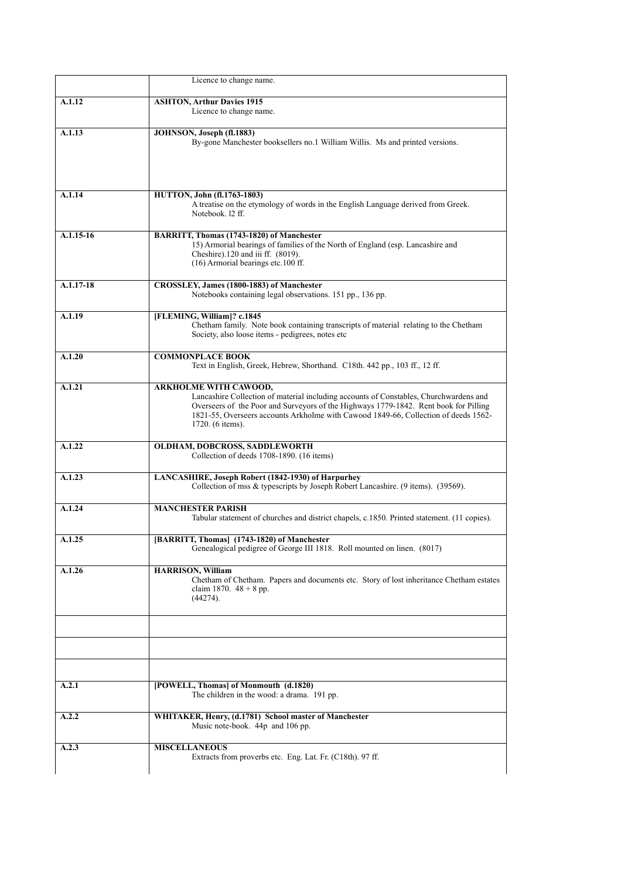|             | Licence to change name.                                                                                                                                                                                                                                                                                                  |
|-------------|--------------------------------------------------------------------------------------------------------------------------------------------------------------------------------------------------------------------------------------------------------------------------------------------------------------------------|
| A.1.12      | <b>ASHTON, Arthur Davies 1915</b><br>Licence to change name.                                                                                                                                                                                                                                                             |
| A.1.13      | JOHNSON, Joseph (fl.1883)<br>By-gone Manchester booksellers no.1 William Willis. Ms and printed versions.                                                                                                                                                                                                                |
| A.1.14      | <b>HUTTON, John (fl.1763-1803)</b><br>A treatise on the etymology of words in the English Language derived from Greek.<br>Notebook, 12 ff.                                                                                                                                                                               |
| $A.1.15-16$ | BARRITT, Thomas (1743-1820) of Manchester<br>15) Armorial bearings of families of the North of England (esp. Lancashire and<br>Cheshire).120 and iii ff. (8019).<br>(16) Armorial bearings etc.100 ff.                                                                                                                   |
| $A.1.17-18$ | <b>CROSSLEY, James (1800-1883) of Manchester</b><br>Notebooks containing legal observations. 151 pp., 136 pp.                                                                                                                                                                                                            |
| A.1.19      | [FLEMING, William]? c.1845<br>Chetham family. Note book containing transcripts of material relating to the Chetham<br>Society, also loose items - pedigrees, notes etc                                                                                                                                                   |
| A.1.20      | <b>COMMONPLACE BOOK</b><br>Text in English, Greek, Hebrew, Shorthand. C18th. 442 pp., 103 ff., 12 ff.                                                                                                                                                                                                                    |
| A.1.21      | <b>ARKHOLME WITH CAWOOD,</b><br>Lancashire Collection of material including accounts of Constables, Churchwardens and<br>Overseers of the Poor and Surveyors of the Highways 1779-1842. Rent book for Pilling<br>1821-55, Overseers accounts Arkholme with Cawood 1849-66, Collection of deeds 1562-<br>1720. (6 items). |
| A.1.22      | OLDHAM, DOBCROSS, SADDLEWORTH<br>Collection of deeds 1708-1890. (16 items)                                                                                                                                                                                                                                               |
| A.1.23      | LANCASHIRE, Joseph Robert (1842-1930) of Harpurhey<br>Collection of mss & typescripts by Joseph Robert Lancashire. (9 items). (39569).                                                                                                                                                                                   |
| A.1.24      | <b>MANCHESTER PARISH</b><br>Tabular statement of churches and district chapels, c.1850. Printed statement. (11 copies).                                                                                                                                                                                                  |
| A.1.25      | [BARRITT, Thomas] (1743-1820) of Manchester<br>Genealogical pedigree of George III 1818. Roll mounted on linen. (8017)                                                                                                                                                                                                   |
| A.1.26      | <b>HARRISON, William</b><br>Chetham of Chetham. Papers and documents etc. Story of lost inheritance Chetham estates<br>claim 1870. $48 + 8$ pp.<br>(44274).                                                                                                                                                              |
|             |                                                                                                                                                                                                                                                                                                                          |
|             |                                                                                                                                                                                                                                                                                                                          |
| A.2.1       | [POWELL, Thomas] of Monmouth (d.1820)<br>The children in the wood: a drama. 191 pp.                                                                                                                                                                                                                                      |
| A.2.2       | WHITAKER, Henry, (d.1781) School master of Manchester<br>Music note-book. 44p and 106 pp.                                                                                                                                                                                                                                |
| A.2.3       | <b>MISCELLANEOUS</b><br>Extracts from proverbs etc. Eng. Lat. Fr. (C18th). 97 ff.                                                                                                                                                                                                                                        |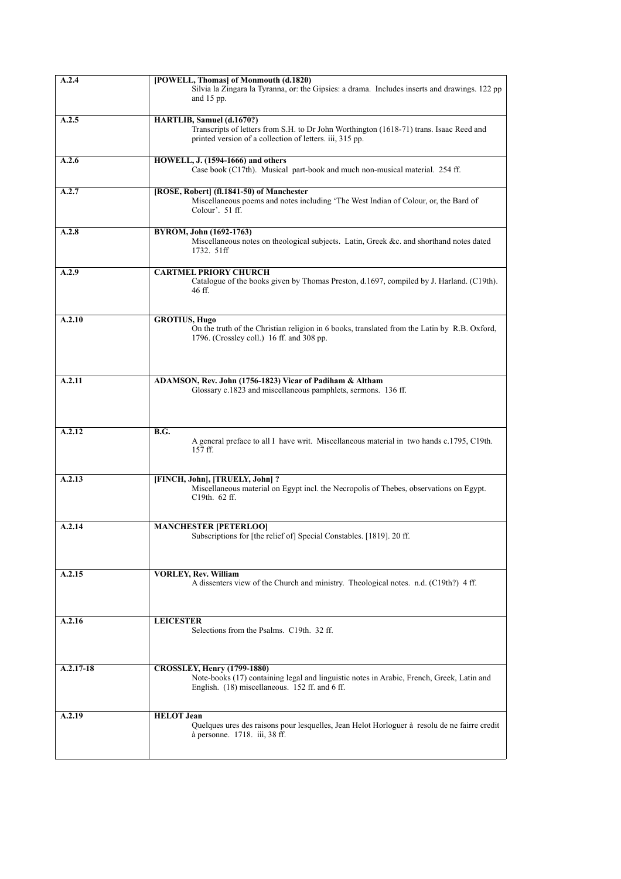| A.2.4       | [POWELL, Thomas] of Monmouth (d.1820)                                                                                                                                             |
|-------------|-----------------------------------------------------------------------------------------------------------------------------------------------------------------------------------|
|             | Silvia la Zingara la Tyranna, or: the Gipsies: a drama. Includes inserts and drawings. 122 pp<br>and $15$ pp.                                                                     |
| A.2.5       | HARTLIB, Samuel (d.1670?)                                                                                                                                                         |
|             | Transcripts of letters from S.H. to Dr John Worthington (1618-71) trans. Isaac Reed and<br>printed version of a collection of letters. iii, 315 pp.                               |
| A.2.6       | HOWELL, J. (1594-1666) and others<br>Case book (C17th). Musical part-book and much non-musical material. 254 ff.                                                                  |
| A.2.7       | [ROSE, Robert] (fl.1841-50) of Manchester<br>Miscellaneous poems and notes including 'The West Indian of Colour, or, the Bard of<br>Colour'. 51 ff.                               |
| A.2.8       | BYROM, John (1692-1763)<br>Miscellaneous notes on theological subjects. Latin, Greek &c. and shorthand notes dated<br>1732. 51ff                                                  |
| A.2.9       | <b>CARTMEL PRIORY CHURCH</b><br>Catalogue of the books given by Thomas Preston, d.1697, compiled by J. Harland. (C19th).<br>46 ff.                                                |
| A.2.10      | <b>GROTIUS, Hugo</b><br>On the truth of the Christian religion in 6 books, translated from the Latin by R.B. Oxford,<br>1796. (Crossley coll.) 16 ff. and 308 pp.                 |
|             |                                                                                                                                                                                   |
| A.2.11      | ADAMSON, Rev. John (1756-1823) Vicar of Padiham & Altham<br>Glossary c.1823 and miscellaneous pamphlets, sermons. 136 ff.                                                         |
| A.2.12      | B.G.                                                                                                                                                                              |
|             | A general preface to all I have writ. Miscellaneous material in two hands c.1795, C19th.<br>$157$ ff.                                                                             |
| A.2.13      | [FINCH, John], [TRUELY, John] ?<br>Miscellaneous material on Egypt incl. the Necropolis of Thebes, observations on Egypt.<br>C19th. 62 ff.                                        |
| A.2.14      | <b>MANCHESTER [PETERLOO]</b>                                                                                                                                                      |
|             | Subscriptions for [the relief of] Special Constables. [1819]. 20 ff.                                                                                                              |
| A.2.15      | <b>VORLEY, Rev. William</b><br>A dissenters view of the Church and ministry. Theological notes. n.d. (C19th?) 4 ff.                                                               |
| A.2.16      | <b>LEICESTER</b><br>Selections from the Psalms. C19th. 32 ff.                                                                                                                     |
| $A.2.17-18$ | <b>CROSSLEY, Henry (1799-1880)</b><br>Note-books (17) containing legal and linguistic notes in Arabic, French, Greek, Latin and<br>English. (18) miscellaneous. 152 ff. and 6 ff. |
|             |                                                                                                                                                                                   |
| A.2.19      | <b>HELOT</b> Jean<br>Quelques ures des raisons pour lesquelles, Jean Helot Horloguer à resolu de ne fairre credit<br>à personne. 1718. iii, 38 ff.                                |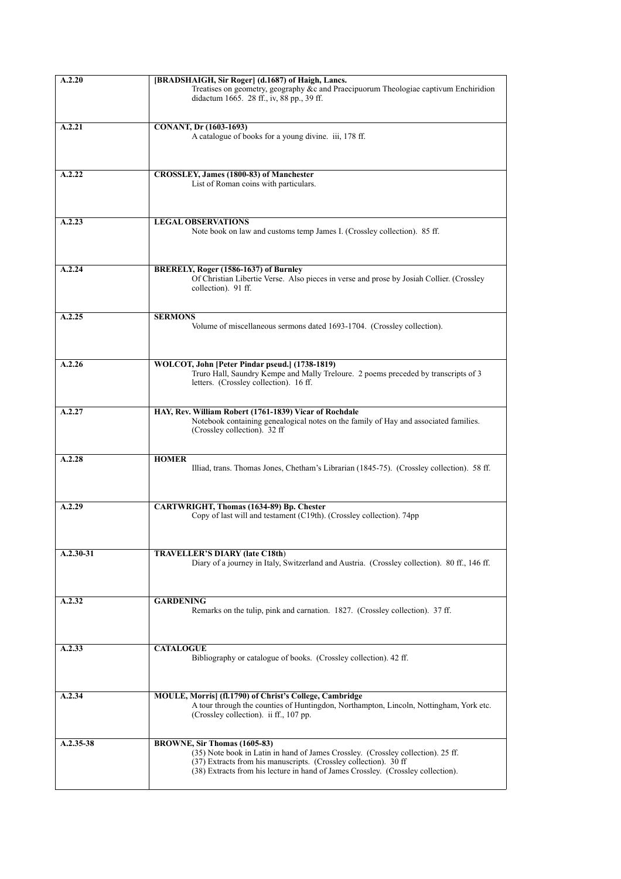| A.2.20      | [BRADSHAIGH, Sir Roger] (d.1687) of Haigh, Lancs.                                                                                                                                                                                                                        |
|-------------|--------------------------------------------------------------------------------------------------------------------------------------------------------------------------------------------------------------------------------------------------------------------------|
|             | Treatises on geometry, geography &c and Praecipuorum Theologiae captivum Enchiridion<br>didactum 1665. 28 ff., iv, 88 pp., 39 ff.                                                                                                                                        |
| A.2.21      | <b>CONANT, Dr</b> (1603-1693)                                                                                                                                                                                                                                            |
|             | A catalogue of books for a young divine. iii, 178 ff.                                                                                                                                                                                                                    |
| A.2.22      | CROSSLEY, James (1800-83) of Manchester<br>List of Roman coins with particulars.                                                                                                                                                                                         |
| A.2.23      | <b>LEGAL OBSERVATIONS</b><br>Note book on law and customs temp James I. (Crossley collection). 85 ff.                                                                                                                                                                    |
| A.2.24      | BRERELY, Roger (1586-1637) of Burnley<br>Of Christian Libertie Verse. Also pieces in verse and prose by Josiah Collier. (Crossley<br>collection). 91 ff.                                                                                                                 |
| A.2.25      | <b>SERMONS</b><br>Volume of miscellaneous sermons dated 1693-1704. (Crossley collection).                                                                                                                                                                                |
| A.2.26      | WOLCOT, John [Peter Pindar pseud.] (1738-1819)<br>Truro Hall, Saundry Kempe and Mally Treloure. 2 poems preceded by transcripts of 3<br>letters. (Crossley collection). 16 ff.                                                                                           |
| A.2.27      | HAY, Rev. William Robert (1761-1839) Vicar of Rochdale<br>Notebook containing genealogical notes on the family of Hay and associated families.<br>(Crossley collection). 32 ff                                                                                           |
| A.2.28      | <b>HOMER</b><br>Illiad, trans. Thomas Jones, Chetham's Librarian (1845-75). (Crossley collection). 58 ff.                                                                                                                                                                |
| A.2.29      | CARTWRIGHT, Thomas (1634-89) Bp. Chester<br>Copy of last will and testament (C19th). (Crossley collection). 74pp                                                                                                                                                         |
| A.2.30-31   | <b>TRAVELLER'S DIARY (late C18th)</b><br>Diary of a journey in Italy, Switzerland and Austria. (Crossley collection). 80 ff., 146 ff.                                                                                                                                    |
| A.2.32      | <b>GARDENING</b><br>Remarks on the tulip, pink and carnation. 1827. (Crossley collection). 37 ff.                                                                                                                                                                        |
| A.2.33      | <b>CATALOGUE</b><br>Bibliography or catalogue of books. (Crossley collection). 42 ff.                                                                                                                                                                                    |
| A.2.34      | MOULE, Morris] (fl.1790) of Christ's College, Cambridge<br>A tour through the counties of Huntingdon, Northampton, Lincoln, Nottingham, York etc.<br>(Crossley collection). ii ff., 107 pp.                                                                              |
| $A.2.35-38$ | BROWNE, Sir Thomas (1605-83)<br>(35) Note book in Latin in hand of James Crossley. (Crossley collection). 25 ff.<br>(37) Extracts from his manuscripts. (Crossley collection). 30 ff<br>(38) Extracts from his lecture in hand of James Crossley. (Crossley collection). |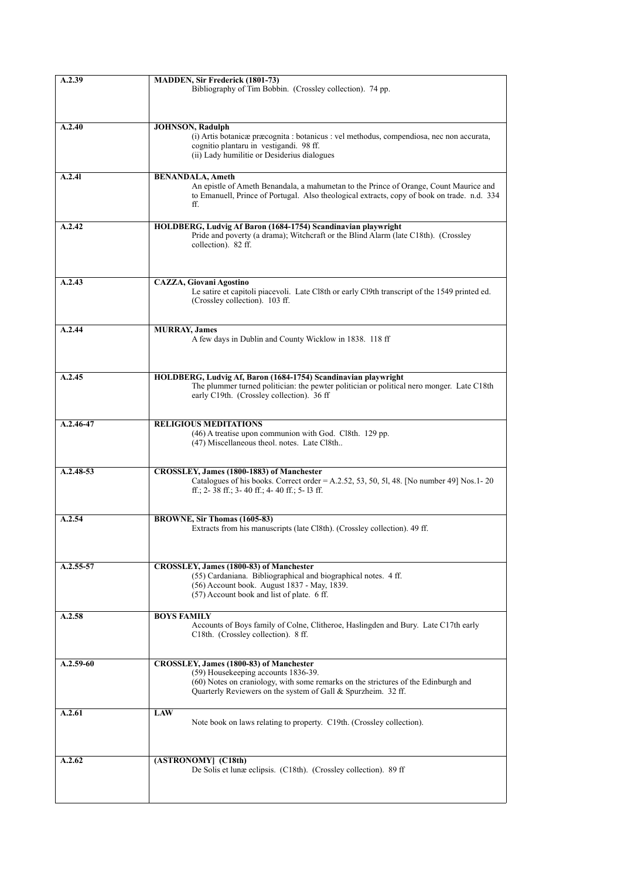| A.2.39        | <b>MADDEN, Sir Frederick (1801-73)</b>                                                                 |
|---------------|--------------------------------------------------------------------------------------------------------|
|               | Bibliography of Tim Bobbin. (Crossley collection). 74 pp.                                              |
|               |                                                                                                        |
| A.2.40        | <b>JOHNSON, Radulph</b>                                                                                |
|               | (i) Artis botanicæ præcognita : botanicus : vel methodus, compendiosa, nec non accurata,               |
|               | cognitio plantaru in vestigandi. 98 ff.                                                                |
|               | (ii) Lady humilitie or Desiderius dialogues                                                            |
| A.2.41        | <b>BENANDALA, Ameth</b>                                                                                |
|               | An epistle of Ameth Benandala, a mahumetan to the Prince of Orange, Count Maurice and                  |
|               | to Emanuell, Prince of Portugal. Also theological extracts, copy of book on trade. n.d. 334            |
|               | ff.                                                                                                    |
| A.2.42        | HOLDBERG, Ludvig Af Baron (1684-1754) Scandinavian playwright                                          |
|               | Pride and poverty (a drama); Witchcraft or the Blind Alarm (late C18th). (Crossley                     |
|               | collection). 82 ff.                                                                                    |
|               |                                                                                                        |
| A.2.43        | <b>CAZZA, Giovani Agostino</b>                                                                         |
|               | Le satire et capitoli piacevoli. Late Cl8th or early Cl9th transcript of the 1549 printed ed.          |
|               | (Crossley collection). 103 ff.                                                                         |
|               |                                                                                                        |
| A.2.44        | <b>MURRAY, James</b>                                                                                   |
|               | A few days in Dublin and County Wicklow in 1838. 118 ff                                                |
|               |                                                                                                        |
| A.2.45        | HOLDBERG, Ludvig Af, Baron (1684-1754) Scandinavian playwright                                         |
|               | The plummer turned politician: the pewter politician or political nero monger. Late C18th              |
|               | early C19th. (Crossley collection). 36 ff                                                              |
|               |                                                                                                        |
| A.2.46-47     | <b>RELIGIOUS MEDITATIONS</b>                                                                           |
|               | (46) A treatise upon communion with God. Cl8th. 129 pp.<br>(47) Miscellaneous theol. notes. Late Cl8th |
|               |                                                                                                        |
| $A.2.48 - 53$ | CROSSLEY, James (1800-1883) of Manchester                                                              |
|               | Catalogues of his books. Correct order $= A.2.52, 53, 50, 51, 48$ . [No number 49] Nos.1-20            |
|               | ff.; 2-38 ff.; 3-40 ff.; 4-40 ff.; 5-13 ff.                                                            |
|               |                                                                                                        |
| A.2.54        | BROWNE, Sir Thomas (1605-83)                                                                           |
|               | Extracts from his manuscripts (late Cl8th). (Crossley collection). 49 ff.                              |
|               |                                                                                                        |
| A.2.55-57     | CROSSLEY, James (1800-83) of Manchester                                                                |
|               | (55) Cardaniana. Bibliographical and biographical notes. 4 ff.                                         |
|               | (56) Account book. August 1837 - May, 1839.                                                            |
|               | (57) Account book and list of plate. 6 ff.                                                             |
| A.2.58        | <b>BOYS FAMILY</b>                                                                                     |
|               | Accounts of Boys family of Colne, Clitheroe, Haslingden and Bury. Late C17th early                     |
|               | C18th. (Crossley collection). 8 ff.                                                                    |
|               |                                                                                                        |
| $A.2.59-60$   | CROSSLEY, James (1800-83) of Manchester<br>(59) Housekeeping accounts 1836-39.                         |
|               | (60) Notes on craniology, with some remarks on the strictures of the Edinburgh and                     |
|               | Quarterly Reviewers on the system of Gall & Spurzheim. 32 ff.                                          |
| A.2.61        | <b>LAW</b>                                                                                             |
|               | Note book on laws relating to property. C19th. (Crossley collection).                                  |
|               |                                                                                                        |
|               |                                                                                                        |
| A.2.62        | (ASTRONOMY] (C18th)                                                                                    |
|               | De Solis et lunæ eclipsis. (C18th). (Crossley collection). 89 ff                                       |
|               |                                                                                                        |
|               |                                                                                                        |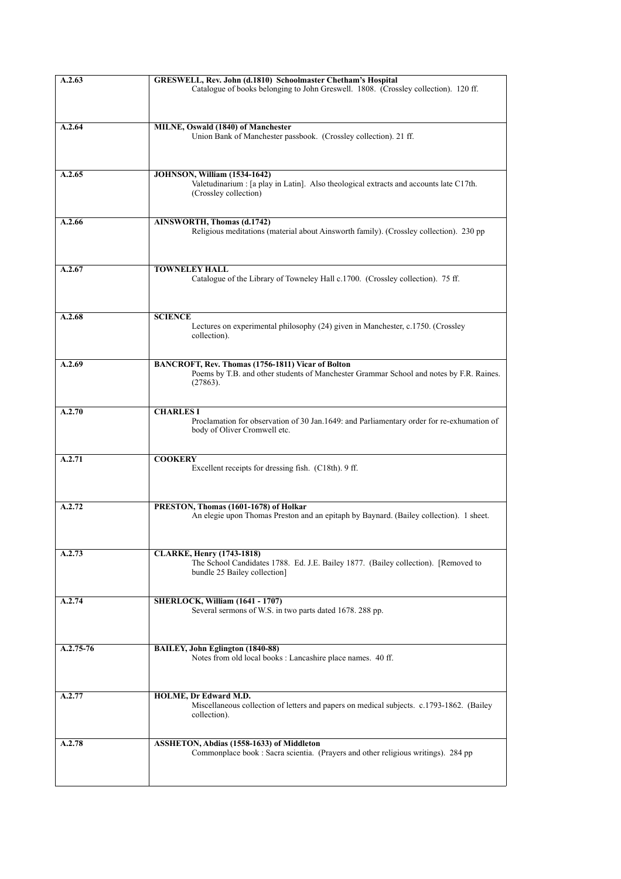| A.2.63    | GRESWELL, Rev. John (d.1810) Schoolmaster Chetham's Hospital<br>Catalogue of books belonging to John Greswell. 1808. (Crossley collection). 120 ff.      |
|-----------|----------------------------------------------------------------------------------------------------------------------------------------------------------|
|           |                                                                                                                                                          |
|           |                                                                                                                                                          |
| A.2.64    | MILNE, Oswald (1840) of Manchester<br>Union Bank of Manchester passbook. (Crossley collection). 21 ff.                                                   |
|           |                                                                                                                                                          |
| A.2.65    | <b>JOHNSON, William (1534-1642)</b>                                                                                                                      |
|           | Valetudinarium : [a play in Latin]. Also theological extracts and accounts late C17th.<br>(Crossley collection)                                          |
| A.2.66    | AINSWORTH, Thomas (d.1742)                                                                                                                               |
|           | Religious meditations (material about Ainsworth family). (Crossley collection). 230 pp                                                                   |
| A.2.67    | <b>TOWNELEY HALL</b>                                                                                                                                     |
|           | Catalogue of the Library of Towneley Hall c.1700. (Crossley collection). 75 ff.                                                                          |
| A.2.68    | <b>SCIENCE</b>                                                                                                                                           |
|           | Lectures on experimental philosophy (24) given in Manchester, c.1750. (Crossley<br>collection).                                                          |
|           |                                                                                                                                                          |
| A.2.69    | BANCROFT, Rev. Thomas (1756-1811) Vicar of Bolton<br>Poems by T.B. and other students of Manchester Grammar School and notes by F.R. Raines.<br>(27863). |
| A.2.70    | <b>CHARLES I</b>                                                                                                                                         |
|           | Proclamation for observation of 30 Jan.1649: and Parliamentary order for re-exhumation of<br>body of Oliver Cromwell etc.                                |
| A.2.71    | <b>COOKERY</b>                                                                                                                                           |
|           | Excellent receipts for dressing fish. (C18th). 9 ff.                                                                                                     |
| A.2.72    | PRESTON, Thomas (1601-1678) of Holkar                                                                                                                    |
|           | An elegie upon Thomas Preston and an epitaph by Baynard. (Bailey collection). 1 sheet.                                                                   |
| A.2.73    | <b>CLARKE, Henry (1743-1818)</b>                                                                                                                         |
|           | The School Candidates 1788. Ed. J.E. Bailey 1877. (Bailey collection). [Removed to<br>bundle 25 Bailey collection]                                       |
| A.2.74    | <b>SHERLOCK, William (1641 - 1707)</b>                                                                                                                   |
|           | Several sermons of W.S. in two parts dated 1678. 288 pp.                                                                                                 |
| A.2.75-76 | BAILEY, John Eglington (1840-88)                                                                                                                         |
|           | Notes from old local books : Lancashire place names. 40 ff.                                                                                              |
| A.2.77    | HOLME, Dr Edward M.D.                                                                                                                                    |
|           | Miscellaneous collection of letters and papers on medical subjects. c.1793-1862. (Bailey<br>collection).                                                 |
| A.2.78    | ASSHETON, Abdias (1558-1633) of Middleton                                                                                                                |
|           | Commonplace book : Sacra scientia. (Prayers and other religious writings). 284 pp.                                                                       |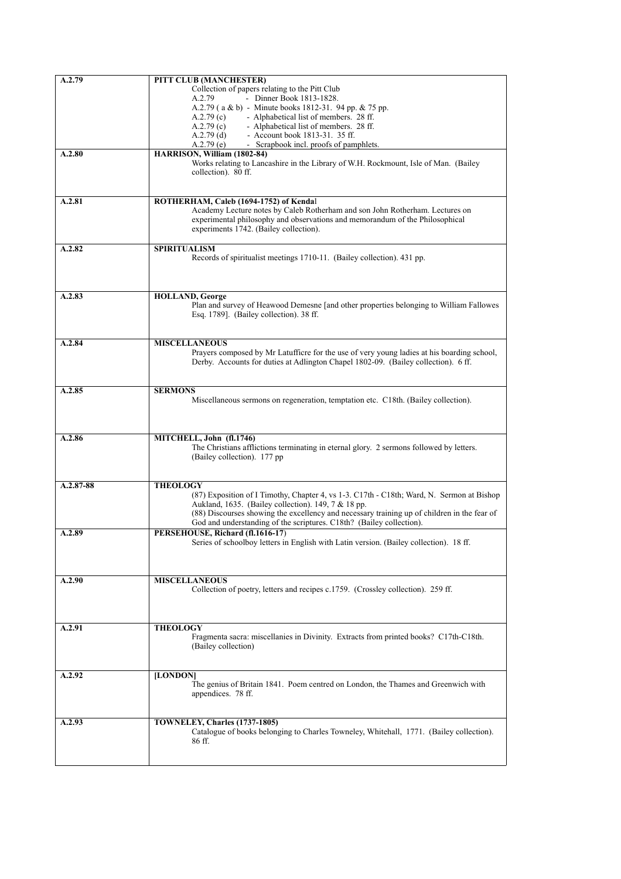| A.2.79    | <b>PITT CLUB (MANCHESTER)</b>                                                               |
|-----------|---------------------------------------------------------------------------------------------|
|           | Collection of papers relating to the Pitt Club                                              |
|           | - Dinner Book 1813-1828.<br>A.2.79                                                          |
|           | A.2.79 ( $a \& b$ ) - Minute books 1812-31. 94 pp. $\& 75$ pp.                              |
|           | - Alphabetical list of members. 28 ff.<br>A.2.79(c)                                         |
|           | A.2.79(c)<br>- Alphabetical list of members. 28 ff.                                         |
|           | $A.2.79$ (d)<br>- Account book 1813-31, 35 ff.                                              |
|           | - Scrapbook incl. proofs of pamphlets.<br>A.2.79(e)                                         |
| A.2.80    | HARRISON, William (1802-84)                                                                 |
|           | Works relating to Lancashire in the Library of W.H. Rockmount, Isle of Man. (Bailey         |
|           | collection). 80 ff.                                                                         |
|           |                                                                                             |
|           |                                                                                             |
| A.2.81    |                                                                                             |
|           | ROTHERHAM, Caleb (1694-1752) of Kendal                                                      |
|           | Academy Lecture notes by Caleb Rotherham and son John Rotherham. Lectures on                |
|           | experimental philosophy and observations and memorandum of the Philosophical                |
|           | experiments 1742. (Bailey collection).                                                      |
|           |                                                                                             |
| A.2.82    | <b>SPIRITUALISM</b>                                                                         |
|           | Records of spiritualist meetings 1710-11. (Bailey collection). 431 pp.                      |
|           |                                                                                             |
|           |                                                                                             |
|           |                                                                                             |
| A.2.83    | <b>HOLLAND, George</b>                                                                      |
|           | Plan and survey of Heawood Demesne [and other properties belonging to William Fallowes      |
|           | Esq. 1789]. (Bailey collection). 38 ff.                                                     |
|           |                                                                                             |
|           |                                                                                             |
| A.2.84    | <b>MISCELLANEOUS</b>                                                                        |
|           | Prayers composed by Mr Latufficre for the use of very young ladies at his boarding school,  |
|           | Derby. Accounts for duties at Adlington Chapel 1802-09. (Bailey collection). 6 ff.          |
|           |                                                                                             |
|           |                                                                                             |
| A.2.85    | <b>SERMONS</b>                                                                              |
|           | Miscellaneous sermons on regeneration, temptation etc. C18th. (Bailey collection).          |
|           |                                                                                             |
|           |                                                                                             |
|           |                                                                                             |
| A.2.86    | MITCHELL, John (fl.1746)                                                                    |
|           |                                                                                             |
|           | The Christians afflictions terminating in eternal glory. 2 sermons followed by letters.     |
|           | (Bailey collection). 177 pp.                                                                |
|           |                                                                                             |
|           |                                                                                             |
| A.2.87-88 | <b>THEOLOGY</b>                                                                             |
|           | (87) Exposition of I Timothy, Chapter 4, vs 1-3. C17th - C18th; Ward, N. Sermon at Bishop   |
|           | Aukland, 1635. (Bailey collection). 149, 7 & 18 pp.                                         |
|           | (88) Discourses showing the excellency and necessary training up of children in the fear of |
|           | God and understanding of the scriptures. C18th? (Bailey collection).                        |
| A.2.89    | PERSEHOUSE, Richard (fl.1616-17)                                                            |
|           | Series of schoolboy letters in English with Latin version. (Bailey collection). 18 ff.      |
|           |                                                                                             |
|           |                                                                                             |
|           |                                                                                             |
| A.2.90    | <b>MISCELLANEOUS</b>                                                                        |
|           | Collection of poetry, letters and recipes c.1759. (Crossley collection). 259 ff.            |
|           |                                                                                             |
|           |                                                                                             |
|           |                                                                                             |
| A.2.91    | <b>THEOLOGY</b>                                                                             |
|           | Fragmenta sacra: miscellanies in Divinity. Extracts from printed books? C17th-C18th.        |
|           | (Bailey collection)                                                                         |
|           |                                                                                             |
|           |                                                                                             |
| A.2.92    | [LONDON]                                                                                    |
|           | The genius of Britain 1841. Poem centred on London, the Thames and Greenwich with           |
|           | appendices. 78 ff.                                                                          |
|           |                                                                                             |
|           |                                                                                             |
|           |                                                                                             |
| A.2.93    | TOWNELEY, Charles (1737-1805)                                                               |
|           | Catalogue of books belonging to Charles Towneley, Whitehall, 1771. (Bailey collection).     |
|           | 86 ff.                                                                                      |
|           |                                                                                             |
|           |                                                                                             |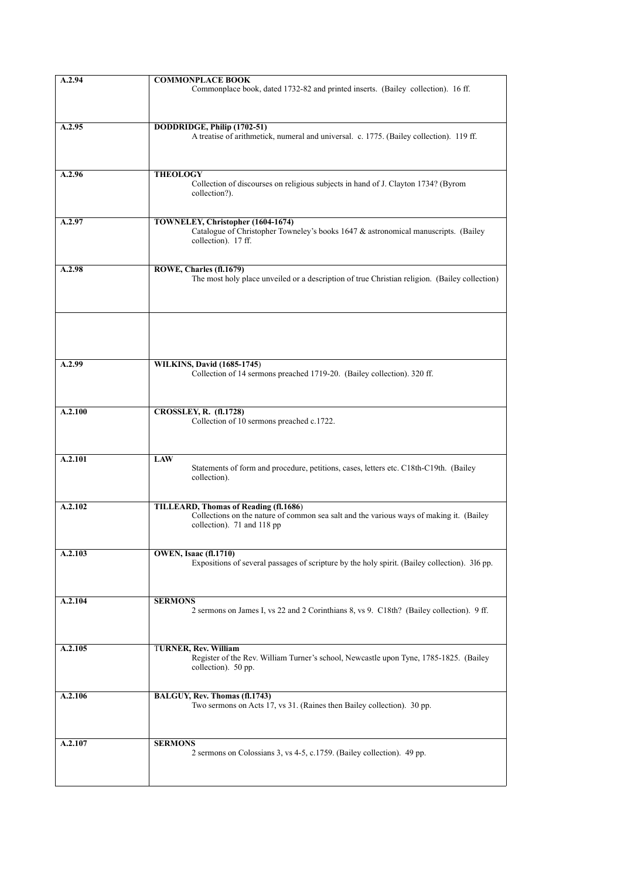| A.2.94  | <b>COMMONPLACE BOOK</b>                                                                                                                                               |
|---------|-----------------------------------------------------------------------------------------------------------------------------------------------------------------------|
|         | Commonplace book, dated 1732-82 and printed inserts. (Bailey collection). 16 ff.                                                                                      |
| A.2.95  | DODDRIDGE, Philip (1702-51)<br>A treatise of arithmetick, numeral and universal. c. 1775. (Bailey collection). 119 ff.                                                |
| A.2.96  | <b>THEOLOGY</b><br>Collection of discourses on religious subjects in hand of J. Clayton 1734? (Byrom<br>collection?).                                                 |
| A.2.97  | TOWNELEY, Christopher (1604-1674)<br>Catalogue of Christopher Towneley's books 1647 & astronomical manuscripts. (Bailey<br>collection). 17 ff.                        |
| A.2.98  | ROWE, Charles (fl.1679)<br>The most holy place unveiled or a description of true Christian religion. (Bailey collection)                                              |
| A.2.99  | <b>WILKINS, David (1685-1745)</b><br>Collection of 14 sermons preached 1719-20. (Bailey collection). 320 ff.                                                          |
| A.2.100 | CROSSLEY, R. (fl.1728)<br>Collection of 10 sermons preached c.1722.                                                                                                   |
| A.2.101 | <b>LAW</b><br>Statements of form and procedure, petitions, cases, letters etc. C18th-C19th. (Bailey<br>collection).                                                   |
| A.2.102 | <b>TILLEARD, Thomas of Reading (fl.1686)</b><br>Collections on the nature of common sea salt and the various ways of making it. (Bailey<br>collection). 71 and 118 pp |
| A.2.103 | <b>OWEN, Isaac (fl.1710)</b><br>Expositions of several passages of scripture by the holy spirit. (Bailey collection). 316 pp.                                         |
| A.2.104 | <b>SERMONS</b><br>2 sermons on James I, vs 22 and 2 Corinthians 8, vs 9. C18th? (Bailey collection). 9 ff.                                                            |
| A.2.105 | <b>TURNER, Rev. William</b><br>Register of the Rev. William Turner's school, Newcastle upon Tyne, 1785-1825. (Bailey<br>collection). 50 pp.                           |
| A.2.106 | BALGUY, Rev. Thomas (fl.1743)<br>Two sermons on Acts 17, vs 31. (Raines then Bailey collection). 30 pp.                                                               |
| A.2.107 | <b>SERMONS</b><br>2 sermons on Colossians 3, vs 4-5, c.1759. (Bailey collection). 49 pp.                                                                              |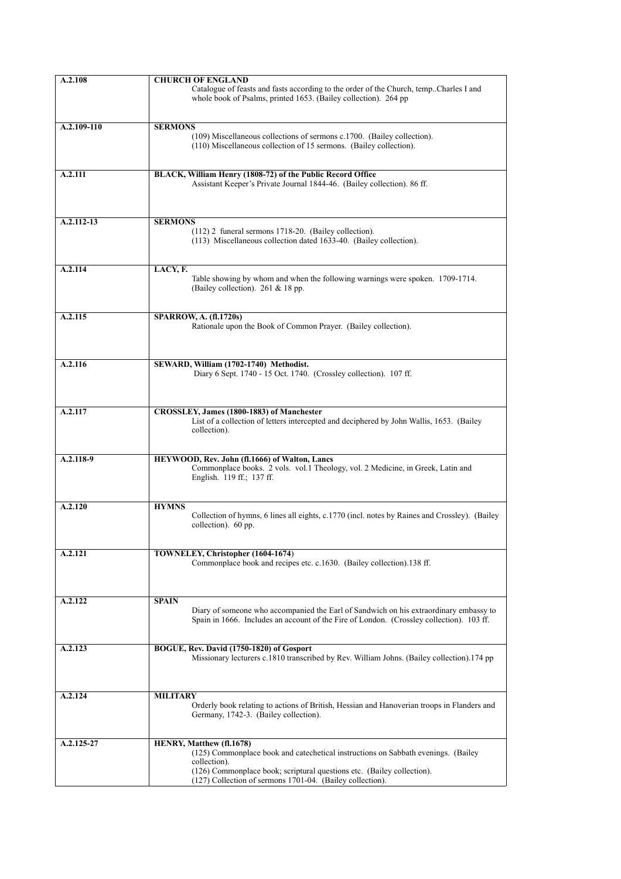| A.2.108     | <b>CHURCH OF ENGLAND</b>                                                                                                                                                          |
|-------------|-----------------------------------------------------------------------------------------------------------------------------------------------------------------------------------|
|             | Catalogue of feasts and fasts according to the order of the Church, temp. Charles I and<br>whole book of Psalms, printed 1653. (Bailey collection). 264 pp                        |
| A.2.109-110 | <b>SERMONS</b>                                                                                                                                                                    |
|             | (109) Miscellaneous collections of sermons c.1700. (Bailey collection).<br>(110) Miscellaneous collection of 15 sermons. (Bailey collection).                                     |
| A.2.111     | BLACK, William Henry (1808-72) of the Public Record Office<br>Assistant Keeper's Private Journal 1844-46. (Bailey collection). 86 ff.                                             |
| A.2.112-13  | <b>SERMONS</b><br>$(112)$ 2 funeral sermons 1718-20. (Bailey collection).                                                                                                         |
|             | (113) Miscellaneous collection dated 1633-40. (Bailey collection).                                                                                                                |
| A.2.114     | LACY, F.<br>Table showing by whom and when the following warnings were spoken. 1709-1714.<br>(Bailey collection). 261 & 18 pp.                                                    |
| A.2.115     | <b>SPARROW, A. (fl.1720s)</b><br>Rationale upon the Book of Common Prayer. (Bailey collection).                                                                                   |
|             |                                                                                                                                                                                   |
| A.2.116     | SEWARD, William (1702-1740) Methodist.                                                                                                                                            |
|             | Diary 6 Sept. 1740 - 15 Oct. 1740. (Crossley collection). 107 ff.                                                                                                                 |
| A.2.117     | CROSSLEY, James (1800-1883) of Manchester<br>List of a collection of letters intercepted and deciphered by John Wallis, 1653. (Bailey<br>collection).                             |
| $A.2.118-9$ | HEYWOOD, Rev. John (fl.1666) of Walton, Lancs<br>Commonplace books. 2 vols. vol.1 Theology, vol. 2 Medicine, in Greek, Latin and<br>English. 119 ff.; 137 ff.                     |
| A.2.120     | <b>HYMNS</b><br>Collection of hymns, 6 lines all eights, c.1770 (incl. notes by Raines and Crossley). (Bailey<br>collection). 60 pp.                                              |
| A.2.121     | TOWNELEY, Christopher (1604-1674)<br>Commonplace book and recipes etc. c.1630. (Bailey collection).138 ff.                                                                        |
|             |                                                                                                                                                                                   |
| A.2.122     | <b>SPAIN</b>                                                                                                                                                                      |
|             | Diary of someone who accompanied the Earl of Sandwich on his extraordinary embassy to<br>Spain in 1666. Includes an account of the Fire of London. (Crossley collection). 103 ff. |
| A.2.123     | BOGUE, Rev. David (1750-1820) of Gosport<br>Missionary lecturers c.1810 transcribed by Rev. William Johns. (Bailey collection).174 pp                                             |
|             |                                                                                                                                                                                   |
| A.2.124     | <b>MILITARY</b><br>Orderly book relating to actions of British, Hessian and Hanoverian troops in Flanders and                                                                     |
|             | Germany, 1742-3. (Bailey collection).                                                                                                                                             |
| A.2.125-27  | HENRY, Matthew (fl.1678)                                                                                                                                                          |
|             | (125) Commonplace book and catechetical instructions on Sabbath evenings. (Bailey<br>collection).                                                                                 |
|             | (126) Commonplace book; scriptural questions etc. (Bailey collection).                                                                                                            |
|             | (127) Collection of sermons 1701-04. (Bailey collection).                                                                                                                         |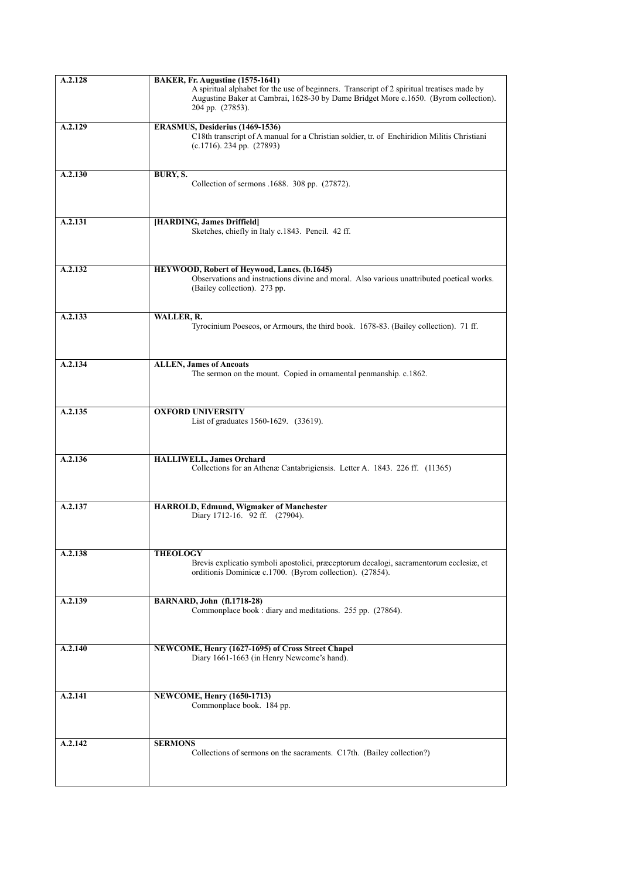| A.2.128              | <b>BAKER, Fr. Augustine (1575-1641)</b><br>A spiritual alphabet for the use of beginners. Transcript of 2 spiritual treatises made by<br>Augustine Baker at Cambrai, 1628-30 by Dame Bridget More c.1650. (Byrom collection).<br>204 pp. (27853). |
|----------------------|---------------------------------------------------------------------------------------------------------------------------------------------------------------------------------------------------------------------------------------------------|
| A.2.129              | ERASMUS, Desiderius (1469-1536)<br>C18th transcript of A manual for a Christian soldier, tr. of Enchiridion Militis Christiani<br>$(c.1716)$ . 234 pp. $(27893)$                                                                                  |
| A.2.130              | BURY, S.<br>Collection of sermons .1688. 308 pp. (27872).                                                                                                                                                                                         |
| A.2.131              | [HARDING, James Driffield]<br>Sketches, chiefly in Italy c.1843. Pencil. 42 ff.                                                                                                                                                                   |
| A.2.132              | HEYWOOD, Robert of Heywood, Lancs. (b.1645)<br>Observations and instructions divine and moral. Also various unattributed poetical works.<br>(Bailey collection). 273 pp.                                                                          |
| A.2.133              | WALLER, R.<br>Tyrocinium Poeseos, or Armours, the third book. 1678-83. (Bailey collection). 71 ff.                                                                                                                                                |
| A.2.134              | <b>ALLEN, James of Ancoats</b><br>The sermon on the mount. Copied in ornamental penmanship. c.1862.                                                                                                                                               |
| A.2.135              | <b>OXFORD UNIVERSITY</b><br>List of graduates 1560-1629. (33619).                                                                                                                                                                                 |
| A.2.136              | <b>HALLIWELL, James Orchard</b><br>Collections for an Athenæ Cantabrigiensis. Letter A. 1843. 226 ff. (11365)                                                                                                                                     |
| A.2.137              | HARROLD, Edmund, Wigmaker of Manchester<br>Diary 1712-16. 92 ff. (27904).                                                                                                                                                                         |
| A.2.138              | <b>THEOLOGY</b><br>Brevis explicatio symboli apostolici, præceptorum decalogi, sacramentorum ecclesiæ, et<br>orditionis Dominicae c.1700. (Byrom collection). (27854).                                                                            |
| A.2.139              | <b>BARNARD, John (fl.1718-28)</b><br>Commonplace book : diary and meditations. 255 pp. (27864).                                                                                                                                                   |
| $A.\overline{2.140}$ | NEWCOME, Henry (1627-1695) of Cross Street Chapel<br>Diary 1661-1663 (in Henry Newcome's hand).                                                                                                                                                   |
| A.2.141              | <b>NEWCOME, Henry (1650-1713)</b><br>Commonplace book. 184 pp.                                                                                                                                                                                    |
| A.2.142              | <b>SERMONS</b><br>Collections of sermons on the sacraments. C17th. (Bailey collection?)                                                                                                                                                           |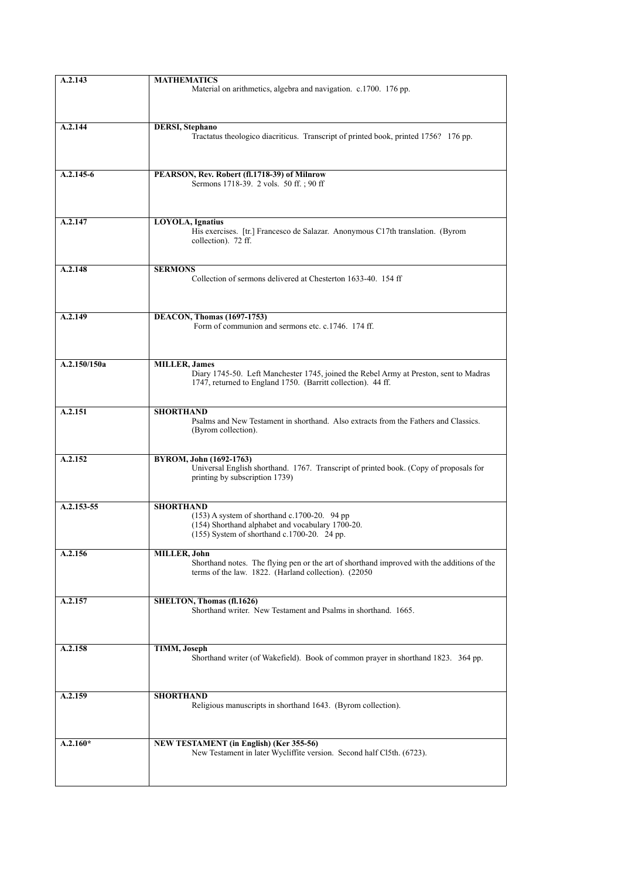| A.2.143      | <b>MATHEMATICS</b><br>Material on arithmetics, algebra and navigation. c.1700. 176 pp.                                                                                         |
|--------------|--------------------------------------------------------------------------------------------------------------------------------------------------------------------------------|
| A.2.144      | <b>DERSI</b> , Stephano<br>Tractatus theologico diacriticus. Transcript of printed book, printed 1756? 176 pp.                                                                 |
| $A.2.145-6$  | PEARSON, Rev. Robert (fl.1718-39) of Milnrow<br>Sermons 1718-39. 2 vols. 50 ff.; 90 ff.                                                                                        |
| A.2.147      | LOYOLA, Ignatius<br>His exercises. [tr.] Francesco de Salazar. Anonymous C17th translation. (Byrom<br>collection). 72 ff.                                                      |
| A.2.148      | <b>SERMONS</b><br>Collection of sermons delivered at Chesterton 1633-40. 154 ff                                                                                                |
| A.2.149      | <b>DEACON, Thomas (1697-1753)</b><br>Form of communion and sermons etc. c.1746. 174 ff.                                                                                        |
| A.2.150/150a | <b>MILLER</b> , James<br>Diary 1745-50. Left Manchester 1745, joined the Rebel Army at Preston, sent to Madras<br>1747, returned to England 1750. (Barritt collection). 44 ff. |
| A.2.151      | <b>SHORTHAND</b><br>Psalms and New Testament in shorthand. Also extracts from the Fathers and Classics.<br>(Byrom collection).                                                 |
| A.2.152      | BYROM, John (1692-1763)<br>Universal English shorthand. 1767. Transcript of printed book. (Copy of proposals for<br>printing by subscription 1739)                             |
| A.2.153-55   | <b>SHORTHAND</b><br>$(153)$ A system of shorthand c.1700-20. 94 pp<br>(154) Shorthand alphabet and vocabulary 1700-20.<br>(155) System of shorthand c.1700-20. 24 pp.          |
| A.2.156      | MILLER, John<br>Shorthand notes. The flying pen or the art of shorthand improved with the additions of the<br>terms of the law. 1822. (Harland collection). (22050)            |
| A.2.157      | SHELTON, Thomas (fl.1626)<br>Shorthand writer. New Testament and Psalms in shorthand. 1665.                                                                                    |
| A.2.158      | TIMM, Joseph<br>Shorthand writer (of Wakefield). Book of common prayer in shorthand 1823. 364 pp.                                                                              |
| A.2.159      | <b>SHORTHAND</b><br>Religious manuscripts in shorthand 1643. (Byrom collection).                                                                                               |
| $A.2.160*$   | NEW TESTAMENT (in English) (Ker 355-56)<br>New Testament in later Wycliffite version. Second half Cl5th. (6723).                                                               |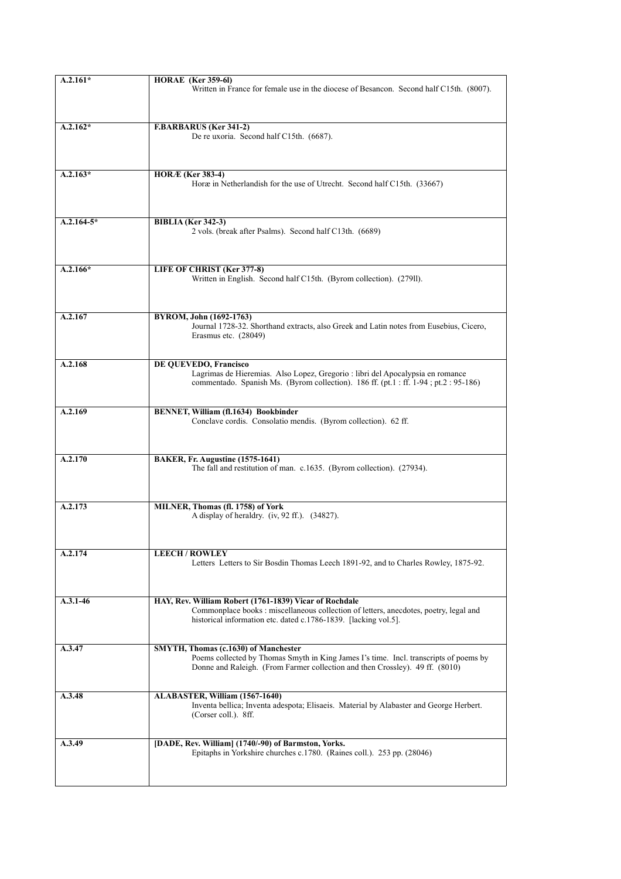| $A.2.161*$   | <b>HORAE</b> (Ker 359-61)                                                                                                                                                                                          |
|--------------|--------------------------------------------------------------------------------------------------------------------------------------------------------------------------------------------------------------------|
|              | Written in France for female use in the diocese of Besancon. Second half C15th. (8007).                                                                                                                            |
| $A.2.162*$   | <b>F.BARBARUS (Ker 341-2)</b>                                                                                                                                                                                      |
|              | De re uxoria. Second half C15th. (6687).                                                                                                                                                                           |
| $A.2.163*$   | <b>HORÆ</b> (Ker 383-4)<br>Horæ in Netherlandish for the use of Utrecht. Second half C15th. (33667)                                                                                                                |
| $A.2.164-5*$ | <b>BIBLIA</b> (Ker 342-3)<br>2 vols. (break after Psalms). Second half C13th. (6689)                                                                                                                               |
| $A.2.166*$   | LIFE OF CHRIST (Ker 377-8)<br>Written in English. Second half C15th. (Byrom collection). (279ll).                                                                                                                  |
| A.2.167      | BYROM, John (1692-1763)<br>Journal 1728-32. Shorthand extracts, also Greek and Latin notes from Eusebius, Cicero,<br>Erasmus etc. (28049)                                                                          |
| A.2.168      | DE QUEVEDO, Francisco<br>Lagrimas de Hieremias. Also Lopez, Gregorio : libri del Apocalypsia en romance<br>commentado. Spanish Ms. (Byrom collection). 186 ff. (pt.1 : ff. 1-94 ; pt.2 : 95-186)                   |
| A.2.169      | BENNET, William (fl.1634) Bookbinder<br>Conclave cordis. Consolatio mendis. (Byrom collection). 62 ff.                                                                                                             |
| A.2.170      | BAKER, Fr. Augustine (1575-1641)<br>The fall and restitution of man. c.1635. (Byrom collection). (27934).                                                                                                          |
| A.2.173      | MILNER, Thomas (fl. 1758) of York<br>A display of heraldry. (iv, 92 ff.). (34827).                                                                                                                                 |
| A.2.174      | <b>LEECH/ROWLEY</b><br>Letters Letters to Sir Bosdin Thomas Leech 1891-92, and to Charles Rowley, 1875-92.                                                                                                         |
| $A.3.1 - 46$ | HAY, Rev. William Robert (1761-1839) Vicar of Rochdale<br>Commonplace books : miscellaneous collection of letters, anecdotes, poetry, legal and<br>historical information etc. dated c.1786-1839. [lacking vol.5]. |
| A.3.47       | SMYTH, Thomas (c.1630) of Manchester<br>Poems collected by Thomas Smyth in King James I's time. Incl. transcripts of poems by<br>Donne and Raleigh. (From Farmer collection and then Crossley). 49 ff. (8010)      |
| A.3.48       | ALABASTER, William (1567-1640)<br>Inventa bellica; Inventa adespota; Elisaeis. Material by Alabaster and George Herbert.<br>(Corser coll.). 8ff.                                                                   |
| A.3.49       | [DADE, Rev. William] (1740/-90) of Barmston, Yorks.<br>Epitaphs in Yorkshire churches c.1780. (Raines coll.). 253 pp. (28046)                                                                                      |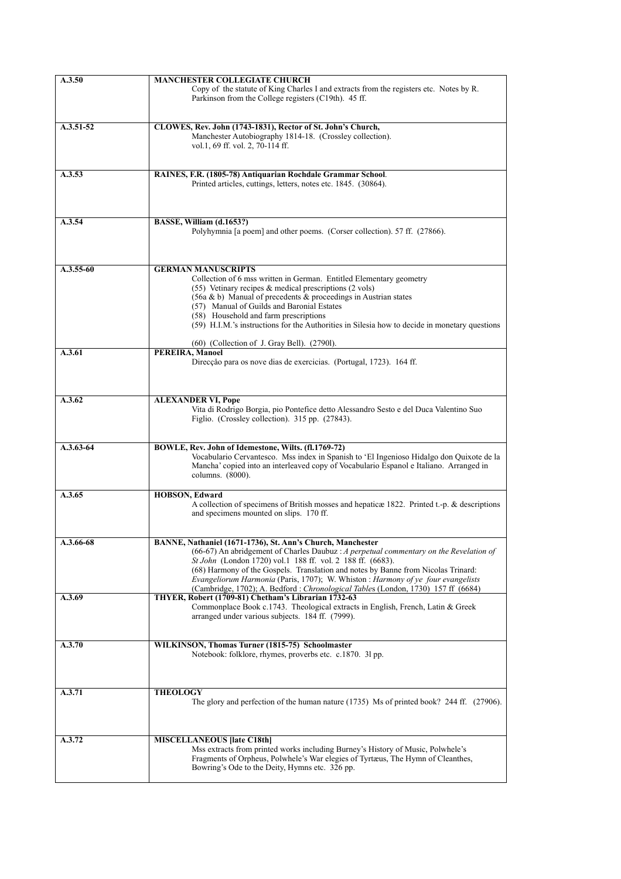| A.3.50        | <b>MANCHESTER COLLEGIATE CHURCH</b>                                                                                                                                  |
|---------------|----------------------------------------------------------------------------------------------------------------------------------------------------------------------|
|               | Copy of the statute of King Charles I and extracts from the registers etc. Notes by R.<br>Parkinson from the College registers (C19th). 45 ff.                       |
| $A.3.51-52$   |                                                                                                                                                                      |
|               | CLOWES, Rev. John (1743-1831), Rector of St. John's Church,<br>Manchester Autobiography 1814-18. (Crossley collection).                                              |
|               | vol.1, 69 ff. vol. 2, 70-114 ff.                                                                                                                                     |
|               |                                                                                                                                                                      |
| A.3.53        | RAINES, F.R. (1805-78) Antiquarian Rochdale Grammar School.                                                                                                          |
|               | Printed articles, cuttings, letters, notes etc. 1845. (30864).                                                                                                       |
|               |                                                                                                                                                                      |
|               |                                                                                                                                                                      |
| A.3.54        | BASSE, William (d.1653?)                                                                                                                                             |
|               | Polyhymnia [a poem] and other poems. (Corser collection). 57 ff. (27866).                                                                                            |
|               |                                                                                                                                                                      |
|               |                                                                                                                                                                      |
| $A.3.55-60$   | <b>GERMAN MANUSCRIPTS</b>                                                                                                                                            |
|               | Collection of 6 mss written in German. Entitled Elementary geometry                                                                                                  |
|               | (55) Vetinary recipes $\&$ medical prescriptions (2 vols)                                                                                                            |
|               | $(56a \& b)$ Manual of precedents $\&$ proceedings in Austrian states<br>(57) Manual of Guilds and Baronial Estates                                                  |
|               | (58) Household and farm prescriptions                                                                                                                                |
|               | (59) H.I.M.'s instructions for the Authorities in Silesia how to decide in monetary questions                                                                        |
|               |                                                                                                                                                                      |
| A.3.61        | (60) (Collection of J. Gray Bell). (27901).<br><b>PEREIRA, Manoel</b>                                                                                                |
|               | Direcção para os nove dias de exercicias. (Portugal, 1723). 164 ff.                                                                                                  |
|               |                                                                                                                                                                      |
|               |                                                                                                                                                                      |
| A.3.62        | <b>ALEXANDER VI, Pope</b>                                                                                                                                            |
|               | Vita di Rodrigo Borgia, pio Pontefice detto Alessandro Sesto e del Duca Valentino Suo                                                                                |
|               | Figlio. (Crossley collection). 315 pp. (27843).                                                                                                                      |
|               |                                                                                                                                                                      |
| $A.3.63-64$   | BOWLE, Rev. John of Idemestone, Wilts. (fl.1769-72)                                                                                                                  |
|               | Vocabulario Cervantesco. Mss index in Spanish to 'El Ingenioso Hidalgo don Quixote de la                                                                             |
|               | Mancha' copied into an interleaved copy of Vocabulario Espanol e Italiano. Arranged in                                                                               |
|               | columns. (8000).                                                                                                                                                     |
| A.3.65        | <b>HOBSON, Edward</b>                                                                                                                                                |
|               | A collection of specimens of British mosses and hepatic at 1822. Printed t.-p. & descriptions                                                                        |
|               | and specimens mounted on slips. 170 ff.                                                                                                                              |
|               |                                                                                                                                                                      |
| $A.3.66 - 68$ | BANNE, Nathaniel (1671-1736), St. Ann's Church, Manchester                                                                                                           |
|               | (66-67) An abridgement of Charles Daubuz: A perpetual commentary on the Revelation of                                                                                |
|               | St John (London 1720) vol.1 188 ff. vol. 2 188 ff. (6683).                                                                                                           |
|               | (68) Harmony of the Gospels. Translation and notes by Banne from Nicolas Trinard:                                                                                    |
|               | Evangeliorum Harmonia (Paris, 1707); W. Whiston : Harmony of ye four evangelists<br>(Cambridge, 1702); A. Bedford: Chronological Tables (London, 1730) 157 ff (6684) |
| A.3.69        | THYER, Robert (1709-81) Chetham's Librarian 1732-63                                                                                                                  |
|               | Commonplace Book c.1743. Theological extracts in English, French, Latin & Greek                                                                                      |
|               | arranged under various subjects. 184 ff. (7999).                                                                                                                     |
|               |                                                                                                                                                                      |
| A.3.70        | WILKINSON, Thomas Turner (1815-75) Schoolmaster                                                                                                                      |
|               | Notebook: folklore, rhymes, proverbs etc. c.1870. 31 pp.                                                                                                             |
|               |                                                                                                                                                                      |
|               |                                                                                                                                                                      |
| A.3.71        | <b>THEOLOGY</b>                                                                                                                                                      |
|               | The glory and perfection of the human nature (1735) Ms of printed book? 244 ff. (27906).                                                                             |
|               |                                                                                                                                                                      |
|               |                                                                                                                                                                      |
| A.3.72        | <b>MISCELLANEOUS [late C18th]</b>                                                                                                                                    |
|               | Mss extracts from printed works including Burney's History of Music, Polwhele's                                                                                      |
|               | Fragments of Orpheus, Polwhele's War elegies of Tyrtæus, The Hymn of Cleanthes,                                                                                      |
|               | Bowring's Ode to the Deity, Hymns etc. 326 pp.                                                                                                                       |
|               |                                                                                                                                                                      |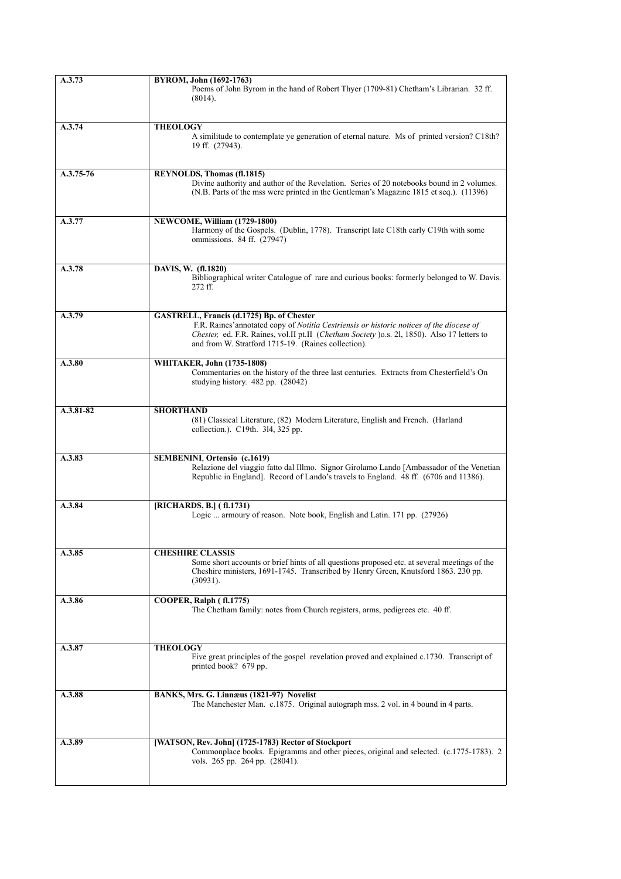| A.3.73      | BYROM, John (1692-1763)<br>Poems of John Byrom in the hand of Robert Thyer (1709-81) Chetham's Librarian. 32 ff.<br>(8014).                                                                                                                                                                  |
|-------------|----------------------------------------------------------------------------------------------------------------------------------------------------------------------------------------------------------------------------------------------------------------------------------------------|
| A.3.74      | <b>THEOLOGY</b><br>A similitude to contemplate ye generation of eternal nature. Ms of printed version? C18th?<br>19 ff. (27943).                                                                                                                                                             |
| $A.3.75-76$ | REYNOLDS, Thomas (fl.1815)<br>Divine authority and author of the Revelation. Series of 20 notebooks bound in 2 volumes.<br>(N.B. Parts of the mss were printed in the Gentleman's Magazine 1815 et seq.). (11396)                                                                            |
| A.3.77      | NEWCOME, William (1729-1800)<br>Harmony of the Gospels. (Dublin, 1778). Transcript late C18th early C19th with some<br>ommissions. 84 ff. (27947)                                                                                                                                            |
| A.3.78      | DAVIS, W. (fl.1820)<br>Bibliographical writer Catalogue of rare and curious books: formerly belonged to W. Davis.<br>272 ff.                                                                                                                                                                 |
| A.3.79      | GASTRELL, Francis (d.1725) Bp. of Chester<br>F.R. Raines' annotated copy of Notitia Cestriensis or historic notices of the diocese of<br>Chester, ed. F.R. Raines, vol.II pt.II (Chetham Society ) o.s. 21, 1850). Also 17 letters to<br>and from W. Stratford 1715-19. (Raines collection). |
| A.3.80      | <b>WHITAKER, John (1735-1808)</b><br>Commentaries on the history of the three last centuries. Extracts from Chesterfield's On<br>studying history. 482 pp. (28042)                                                                                                                           |
| A.3.81-82   | <b>SHORTHAND</b><br>(81) Classical Literature, (82) Modern Literature, English and French. (Harland<br>collection.). C19th. 314, 325 pp.                                                                                                                                                     |
| A.3.83      | <b>SEMBENINI, Ortensio (c.1619)</b><br>Relazione del viaggio fatto dal Illmo. Signor Girolamo Lando [Ambassador of the Venetian<br>Republic in England]. Record of Lando's travels to England. 48 ff. (6706 and 11386).                                                                      |
| A.3.84      | [RICHARDS, B.] (fl.1731)<br>Logic  armoury of reason. Note book, English and Latin. 171 pp. (27926)                                                                                                                                                                                          |
| A.3.85      | <b>CHESHIRE CLASSIS</b><br>Some short accounts or brief hints of all questions proposed etc. at several meetings of the<br>Cheshire ministers, 1691-1745. Transcribed by Henry Green, Knutsford 1863. 230 pp.<br>(30931).                                                                    |
| A.3.86      | COOPER, Ralph (fl.1775)<br>The Chetham family: notes from Church registers, arms, pedigrees etc. 40 ff.                                                                                                                                                                                      |
| A.3.87      | <b>THEOLOGY</b><br>Five great principles of the gospel revelation proved and explained c.1730. Transcript of<br>printed book? 679 pp.                                                                                                                                                        |
| A.3.88      | BANKS, Mrs. G. Linnæus (1821-97) Novelist<br>The Manchester Man. c.1875. Original autograph mss. 2 vol. in 4 bound in 4 parts.                                                                                                                                                               |
| A.3.89      | [WATSON, Rev. John] (1725-1783) Rector of Stockport<br>Commonplace books. Epigramms and other pieces, original and selected. (c.1775-1783). 2<br>vols. 265 pp. 264 pp. (28041).                                                                                                              |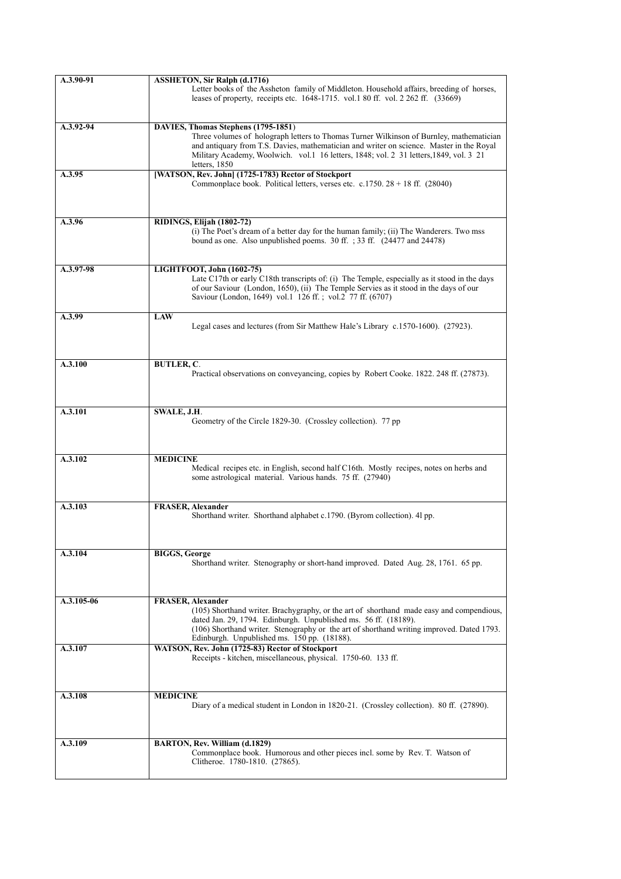| A.3.90-91  | <b>ASSHETON, Sir Ralph (d.1716)</b>                                                                                                                                                                                                                                                                                                 |
|------------|-------------------------------------------------------------------------------------------------------------------------------------------------------------------------------------------------------------------------------------------------------------------------------------------------------------------------------------|
|            | Letter books of the Assheton family of Middleton. Household affairs, breeding of horses,<br>leases of property, receipts etc. 1648-1715. vol.1 80 ff. vol. 2 262 ff. (33669)                                                                                                                                                        |
| A.3.92-94  | DAVIES, Thomas Stephens (1795-1851)                                                                                                                                                                                                                                                                                                 |
|            | Three volumes of holograph letters to Thomas Turner Wilkinson of Burnley, mathematician<br>and antiquary from T.S. Davies, mathematician and writer on science. Master in the Royal<br>Military Academy, Woolwich. vol.1 16 letters, 1848; vol. 2 31 letters, 1849, vol. 3 21<br>letters, 1850                                      |
| A.3.95     | [WATSON, Rev. John] (1725-1783) Rector of Stockport<br>Commonplace book. Political letters, verses etc. c.1750. $28 + 18$ ff. (28040)                                                                                                                                                                                               |
| A.3.96     | RIDINGS, Elijah (1802-72)<br>(i) The Poet's dream of a better day for the human family; (ii) The Wanderers. Two mss<br>bound as one. Also unpublished poems. 30 ff. ; 33 ff. (24477 and 24478)                                                                                                                                      |
|            |                                                                                                                                                                                                                                                                                                                                     |
| A.3.97-98  | LIGHTFOOT, John (1602-75)<br>Late C17th or early C18th transcripts of: (i) The Temple, especially as it stood in the days<br>of our Saviour (London, 1650), (ii) The Temple Servies as it stood in the days of our<br>Saviour (London, 1649) vol.1 126 ff.; vol.2 77 ff. (6707)                                                     |
| A.3.99     | <b>LAW</b><br>Legal cases and lectures (from Sir Matthew Hale's Library c.1570-1600). (27923).                                                                                                                                                                                                                                      |
| A.3.100    | <b>BUTLER, C.</b>                                                                                                                                                                                                                                                                                                                   |
|            | Practical observations on conveyancing, copies by Robert Cooke. 1822. 248 ff. (27873).                                                                                                                                                                                                                                              |
| A.3.101    | SWALE, J.H.<br>Geometry of the Circle 1829-30. (Crossley collection). 77 pp.                                                                                                                                                                                                                                                        |
| A.3.102    | <b>MEDICINE</b><br>Medical recipes etc. in English, second half C16th. Mostly recipes, notes on herbs and<br>some astrological material. Various hands. 75 ff. (27940)                                                                                                                                                              |
| A.3.103    | <b>FRASER, Alexander</b>                                                                                                                                                                                                                                                                                                            |
|            | Shorthand writer. Shorthand alphabet c.1790. (Byrom collection). 4l pp.                                                                                                                                                                                                                                                             |
| A.3.104    | <b>BIGGS, George</b><br>Shorthand writer. Stenography or short-hand improved. Dated Aug. 28, 1761. 65 pp.                                                                                                                                                                                                                           |
| A.3.105-06 | <b>FRASER, Alexander</b><br>(105) Shorthand writer. Brachygraphy, or the art of shorthand made easy and compendious,<br>dated Jan. 29, 1794. Edinburgh. Unpublished ms. 56 ff. (18189).<br>(106) Shorthand writer. Stenography or the art of shorthand writing improved. Dated 1793.<br>Edinburgh. Unpublished ms. 150 pp. (18188). |
| A.3.107    | WATSON, Rev. John (1725-83) Rector of Stockport<br>Receipts - kitchen, miscellaneous, physical. 1750-60. 133 ff.                                                                                                                                                                                                                    |
| A.3.108    | <b>MEDICINE</b><br>Diary of a medical student in London in 1820-21. (Crossley collection). 80 ff. (27890).                                                                                                                                                                                                                          |
| A.3.109    | BARTON, Rev. William (d.1829)<br>Commonplace book. Humorous and other pieces incl. some by Rev. T. Watson of<br>Clitheroe. 1780-1810. (27865).                                                                                                                                                                                      |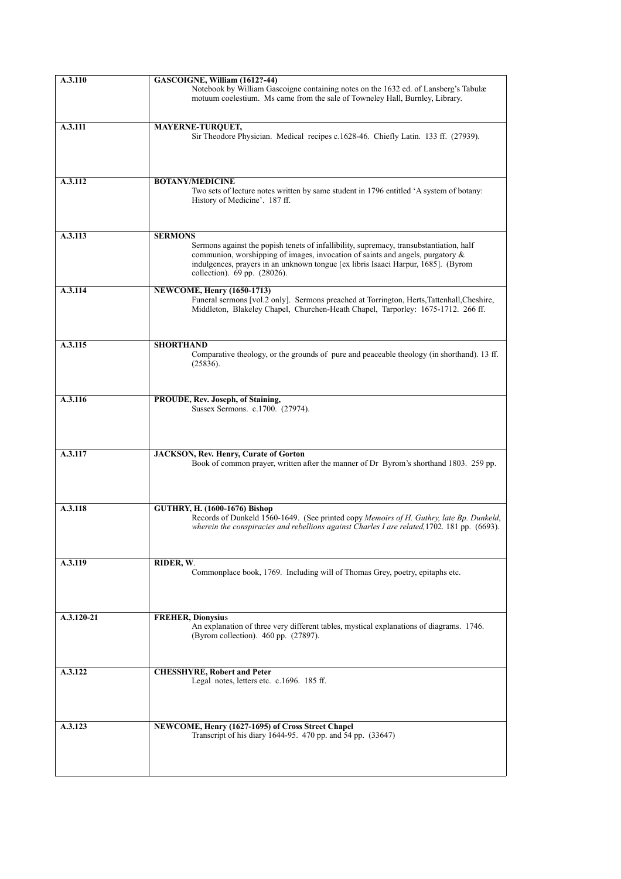| A.3.110    | GASCOIGNE, William (1612?-44)<br>Notebook by William Gascoigne containing notes on the 1632 ed. of Lansberg's Tabulæ<br>motuum coelestium. Ms came from the sale of Towneley Hall, Burnley, Library.                                                                                                             |
|------------|------------------------------------------------------------------------------------------------------------------------------------------------------------------------------------------------------------------------------------------------------------------------------------------------------------------|
| A.3.111    | MAYERNE-TURQUET,<br>Sir Theodore Physician. Medical recipes c.1628-46. Chiefly Latin. 133 ff. (27939).                                                                                                                                                                                                           |
| A.3.112    | <b>BOTANY/MEDICINE</b><br>Two sets of lecture notes written by same student in 1796 entitled 'A system of botany:<br>History of Medicine'. 187 ff.                                                                                                                                                               |
| A.3.113    | <b>SERMONS</b><br>Sermons against the popish tenets of infallibility, supremacy, transubstantiation, half<br>communion, worshipping of images, invocation of saints and angels, purgatory &<br>indulgences, prayers in an unknown tongue [ex libris Isaaci Harpur, 1685]. (Byrom<br>collection). 69 pp. (28026). |
| A.3.114    | NEWCOME, Henry (1650-1713)<br>Funeral sermons [vol.2 only]. Sermons preached at Torrington, Herts, Tattenhall, Cheshire,<br>Middleton, Blakeley Chapel, Churchen-Heath Chapel, Tarporley: 1675-1712. 266 ff.                                                                                                     |
| A.3.115    | <b>SHORTHAND</b><br>Comparative theology, or the grounds of pure and peaceable theology (in shorthand). 13 ff.<br>(25836).                                                                                                                                                                                       |
| A.3.116    | PROUDE, Rev. Joseph, of Staining,<br>Sussex Sermons. c.1700. (27974).                                                                                                                                                                                                                                            |
| A.3.117    | JACKSON, Rev. Henry, Curate of Gorton<br>Book of common prayer, written after the manner of Dr Byrom's shorthand 1803. 259 pp.                                                                                                                                                                                   |
| A.3.118    | <b>GUTHRY, H. (1600-1676) Bishop</b><br>Records of Dunkeld 1560-1649. (See printed copy Memoirs of H. Guthry, late Bp. Dunkeld,<br>wherein the conspiracies and rebellions against Charles I are related, 1702. 181 pp. (6693).                                                                                  |
| A.3.119    | RIDER, W.<br>Commonplace book, 1769. Including will of Thomas Grey, poetry, epitaphs etc.                                                                                                                                                                                                                        |
| A.3.120-21 | <b>FREHER, Dionysius</b><br>An explanation of three very different tables, mystical explanations of diagrams. 1746.<br>(Byrom collection). 460 pp. (27897).                                                                                                                                                      |
| A.3.122    | <b>CHESSHYRE, Robert and Peter</b><br>Legal notes, letters etc. c.1696. 185 ff.                                                                                                                                                                                                                                  |
| A.3.123    | NEWCOME, Henry (1627-1695) of Cross Street Chapel<br>Transcript of his diary 1644-95. 470 pp. and 54 pp. (33647)                                                                                                                                                                                                 |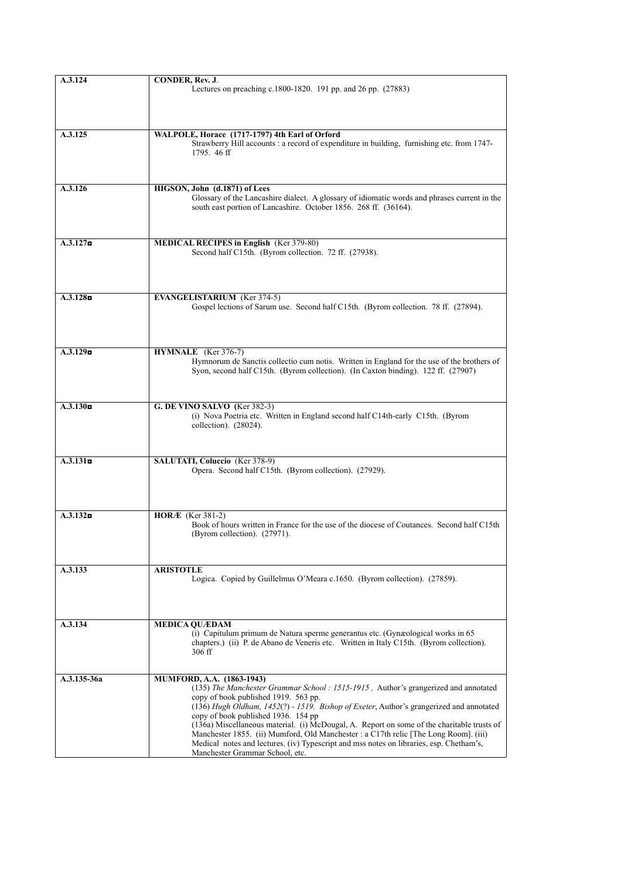| A.3.124            | <b>CONDER, Rev. J.</b>                                                                                                                                                             |
|--------------------|------------------------------------------------------------------------------------------------------------------------------------------------------------------------------------|
|                    | Lectures on preaching c.1800-1820. 191 pp. and 26 pp. (27883)                                                                                                                      |
|                    |                                                                                                                                                                                    |
|                    |                                                                                                                                                                                    |
|                    |                                                                                                                                                                                    |
|                    |                                                                                                                                                                                    |
| A.3.125            | WALPOLE, Horace (1717-1797) 4th Earl of Orford<br>Strawberry Hill accounts : a record of expenditure in building, furnishing etc. from 1747-                                       |
|                    | 1795.46 ff                                                                                                                                                                         |
|                    |                                                                                                                                                                                    |
|                    |                                                                                                                                                                                    |
|                    |                                                                                                                                                                                    |
| A.3.126            | HIGSON, John (d.1871) of Lees                                                                                                                                                      |
|                    | Glossary of the Lancashire dialect. A glossary of idiomatic words and phrases current in the                                                                                       |
|                    | south east portion of Lancashire. October 1856. 268 ff. (36164).                                                                                                                   |
|                    |                                                                                                                                                                                    |
|                    |                                                                                                                                                                                    |
| $A.3.127$ <b>n</b> | <b>MEDICAL RECIPES in English</b> (Ker 379-80)                                                                                                                                     |
|                    | Second half C15th. (Byrom collection. 72 ff. (27938).                                                                                                                              |
|                    |                                                                                                                                                                                    |
|                    |                                                                                                                                                                                    |
|                    |                                                                                                                                                                                    |
|                    |                                                                                                                                                                                    |
| $A.3.128$ a        | <b>EVANGELISTARIUM</b> (Ker 374-5)                                                                                                                                                 |
|                    | Gospel lections of Sarum use. Second half C15th. (Byrom collection. 78 ff. (27894).                                                                                                |
|                    |                                                                                                                                                                                    |
|                    |                                                                                                                                                                                    |
|                    |                                                                                                                                                                                    |
| $A.3.129$ <b>n</b> | HYMNALE (Ker 376-7)                                                                                                                                                                |
|                    | Hymnorum de Sanctis collectio cum notis. Written in England for the use of the brothers of                                                                                         |
|                    | Syon, second half C15th. (Byrom collection). (In Caxton binding). 122 ff. (27907)                                                                                                  |
|                    |                                                                                                                                                                                    |
|                    |                                                                                                                                                                                    |
| $A.3.130$ n        | G. DE VINO SALVO (Ker 382-3)                                                                                                                                                       |
|                    | (i) Nova Poetria etc. Written in England second half C14th-early C15th. (Byrom                                                                                                     |
|                    | collection). (28024).                                                                                                                                                              |
|                    |                                                                                                                                                                                    |
|                    |                                                                                                                                                                                    |
|                    |                                                                                                                                                                                    |
| $A.3.131$ <b>n</b> | <b>SALUTATI, Coluccio</b> (Ker 378-9)<br>Opera. Second half C15th. (Byrom collection). (27929).                                                                                    |
|                    |                                                                                                                                                                                    |
|                    |                                                                                                                                                                                    |
|                    |                                                                                                                                                                                    |
|                    |                                                                                                                                                                                    |
| $A.3.132$ <b>n</b> | <b>HORÆ</b> (Ker 381-2)                                                                                                                                                            |
|                    | Book of hours written in France for the use of the diocese of Coutances. Second half C15th                                                                                         |
|                    | (Byrom collection). (27971).                                                                                                                                                       |
|                    |                                                                                                                                                                                    |
|                    |                                                                                                                                                                                    |
| A.3.133            | <b>ARISTOTLE</b>                                                                                                                                                                   |
|                    | Logica. Copied by Guillelmus O'Meara c.1650. (Byrom collection). (27859).                                                                                                          |
|                    |                                                                                                                                                                                    |
|                    |                                                                                                                                                                                    |
|                    |                                                                                                                                                                                    |
| A.3.134            | <b>MEDICA QUÆDAM</b>                                                                                                                                                               |
|                    | (i) Capitulum primum de Natura sperme generantus etc. (Gynæological works in 65)                                                                                                   |
|                    | chapters.) (ii) P. de Abano de Veneris etc. Written in Italy C15th. (Byrom collection).                                                                                            |
|                    | $306$ ff                                                                                                                                                                           |
|                    |                                                                                                                                                                                    |
|                    |                                                                                                                                                                                    |
| A.3.135-36a        | MUMFORD, A.A. (1863-1943)                                                                                                                                                          |
|                    | (135) The Manchester Grammar School : 1515-1915, Author's grangerized and annotated                                                                                                |
|                    | copy of book published 1919. 563 pp.                                                                                                                                               |
|                    | (136) Hugh Oldham, $1452(?) - 1519$ . Bishop of Exeter, Author's grangerized and annotated                                                                                         |
|                    | copy of book published 1936. 154 pp                                                                                                                                                |
|                    | (136a) Miscellaneous material. (i) McDougal, A. Report on some of the charitable trusts of<br>Manchester 1855. (ii) Mumford, Old Manchester : a C17th relic [The Long Room]. (iii) |
|                    | Medical notes and lectures. (iv) Typescript and mss notes on libraries, esp. Chetham's,                                                                                            |
|                    | Manchester Grammar School, etc.                                                                                                                                                    |
|                    |                                                                                                                                                                                    |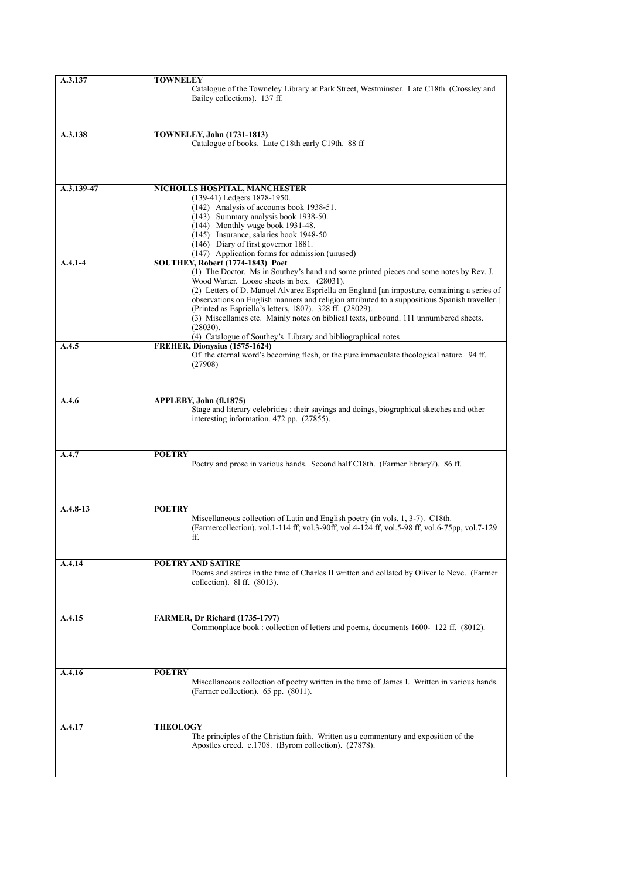| A.3.137     | <b>TOWNELEY</b>                                                                                                                                   |
|-------------|---------------------------------------------------------------------------------------------------------------------------------------------------|
|             | Catalogue of the Towneley Library at Park Street, Westminster. Late C18th. (Crossley and                                                          |
|             | Bailey collections). 137 ff.                                                                                                                      |
|             |                                                                                                                                                   |
|             |                                                                                                                                                   |
| A.3.138     | <b>TOWNELEY, John (1731-1813)</b>                                                                                                                 |
|             | Catalogue of books. Late C18th early C19th. 88 ff                                                                                                 |
|             |                                                                                                                                                   |
|             |                                                                                                                                                   |
|             |                                                                                                                                                   |
| A.3.139-47  | NICHOLLS HOSPITAL, MANCHESTER                                                                                                                     |
|             | (139-41) Ledgers 1878-1950.                                                                                                                       |
|             | (142) Analysis of accounts book 1938-51.                                                                                                          |
|             | (143) Summary analysis book 1938-50.                                                                                                              |
|             | (144) Monthly wage book 1931-48.                                                                                                                  |
|             | (145) Insurance, salaries book 1948-50                                                                                                            |
|             | (146) Diary of first governor 1881.<br>(147) Application forms for admission (unused)                                                             |
| $A.4.1 - 4$ | SOUTHEY, Robert (1774-1843) Poet                                                                                                                  |
|             | (1) The Doctor. Ms in Southey's hand and some printed pieces and some notes by Rev. J.                                                            |
|             | Wood Warter. Loose sheets in box. (28031).                                                                                                        |
|             | (2) Letters of D. Manuel Alvarez Espriella on England [an imposture, containing a series of                                                       |
|             | observations on English manners and religion attributed to a suppositious Spanish traveller.]                                                     |
|             | (Printed as Espriella's letters, 1807). 328 ff. (28029).<br>(3) Miscellanies etc. Mainly notes on biblical texts, unbound. 111 unnumbered sheets. |
|             | (28030).                                                                                                                                          |
|             | (4) Catalogue of Southey's Library and bibliographical notes                                                                                      |
| A.4.5       | FREHER, Dionysius (1575-1624)                                                                                                                     |
|             | Of the eternal word's becoming flesh, or the pure immaculate theological nature. 94 ff.                                                           |
|             | (27908)                                                                                                                                           |
|             |                                                                                                                                                   |
|             |                                                                                                                                                   |
| A.4.6       | APPLEBY, John (fl.1875)                                                                                                                           |
|             | Stage and literary celebrities : their sayings and doings, biographical sketches and other                                                        |
|             | interesting information. 472 pp. (27855).                                                                                                         |
|             |                                                                                                                                                   |
|             |                                                                                                                                                   |
| A.4.7       | <b>POETRY</b>                                                                                                                                     |
|             | Poetry and prose in various hands. Second half C18th. (Farmer library?). 86 ff.                                                                   |
|             |                                                                                                                                                   |
|             |                                                                                                                                                   |
|             |                                                                                                                                                   |
| $A.4.8-13$  | <b>POETRY</b>                                                                                                                                     |
|             | Miscellaneous collection of Latin and English poetry (in vols. 1, 3-7). C18th.                                                                    |
|             | (Farmercollection). vol.1-114 ff; vol.3-90ff; vol.4-124 ff, vol.5-98 ff, vol.6-75pp, vol.7-129                                                    |
|             | ff.                                                                                                                                               |
|             |                                                                                                                                                   |
| A.4.14      | <b>POETRY AND SATIRE</b>                                                                                                                          |
|             | Poems and satires in the time of Charles II written and collated by Oliver le Neve. (Farmer                                                       |
|             | collection). 81 ff. (8013).                                                                                                                       |
|             |                                                                                                                                                   |
|             |                                                                                                                                                   |
| A.4.15      | <b>FARMER, Dr Richard (1735-1797)</b>                                                                                                             |
|             | Commonplace book: collection of letters and poems, documents 1600-122 ff. (8012).                                                                 |
|             |                                                                                                                                                   |
|             |                                                                                                                                                   |
|             |                                                                                                                                                   |
|             | <b>POETRY</b>                                                                                                                                     |
| A.4.16      | Miscellaneous collection of poetry written in the time of James I. Written in various hands.                                                      |
|             | (Farmer collection). 65 pp. (8011).                                                                                                               |
|             |                                                                                                                                                   |
|             |                                                                                                                                                   |
|             |                                                                                                                                                   |
| A.4.17      | <b>THEOLOGY</b><br>The principles of the Christian faith. Written as a commentary and exposition of the                                           |
|             | Apostles creed. c.1708. (Byrom collection). (27878).                                                                                              |
|             |                                                                                                                                                   |
|             |                                                                                                                                                   |
|             |                                                                                                                                                   |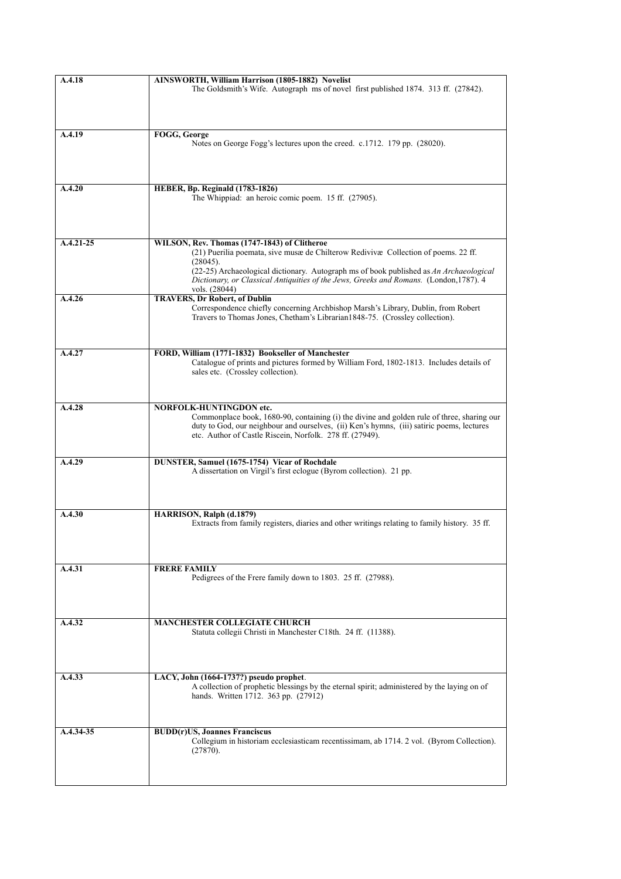| A.4.18        | AINSWORTH, William Harrison (1805-1882) Novelist<br>The Goldsmith's Wife. Autograph ms of novel first published 1874. 313 ff. (27842).                                                                                                                                                                                                              |
|---------------|-----------------------------------------------------------------------------------------------------------------------------------------------------------------------------------------------------------------------------------------------------------------------------------------------------------------------------------------------------|
| A.4.19        | FOGG, George<br>Notes on George Fogg's lectures upon the creed. c.1712. 179 pp. (28020).                                                                                                                                                                                                                                                            |
| A.4.20        | <b>HEBER, Bp. Reginald (1783-1826)</b><br>The Whippiad: an heroic comic poem. 15 ff. (27905).                                                                                                                                                                                                                                                       |
| $A.4.21 - 25$ | WILSON, Rev. Thomas (1747-1843) of Clitheroe<br>(21) Puerilia poemata, sive musæ de Chilterow Redivivæ Collection of poems. 22 ff.<br>(28045).<br>(22-25) Archaeological dictionary. Autograph ms of book published as An Archaeological<br>Dictionary, or Classical Antiquities of the Jews, Greeks and Romans. (London, 1787). 4<br>vols. (28044) |
| A.4.26        | <b>TRAVERS, Dr Robert, of Dublin</b><br>Correspondence chiefly concerning Archbishop Marsh's Library, Dublin, from Robert<br>Travers to Thomas Jones, Chetham's Librarian1848-75. (Crossley collection).                                                                                                                                            |
| A.4.27        | FORD, William (1771-1832) Bookseller of Manchester<br>Catalogue of prints and pictures formed by William Ford, 1802-1813. Includes details of<br>sales etc. (Crossley collection).                                                                                                                                                                  |
| A.4.28        | <b>NORFOLK-HUNTINGDON etc.</b><br>Commonplace book, 1680-90, containing (i) the divine and golden rule of three, sharing our<br>duty to God, our neighbour and ourselves, (ii) Ken's hymns, (iii) satiric poems, lectures<br>etc. Author of Castle Riscein, Norfolk. 278 ff. (27949).                                                               |
| A.4.29        | DUNSTER, Samuel (1675-1754) Vicar of Rochdale<br>A dissertation on Virgil's first eclogue (Byrom collection). 21 pp.                                                                                                                                                                                                                                |
| A.4.30        | HARRISON, Ralph (d.1879)<br>Extracts from family registers, diaries and other writings relating to family history. 35 ff.                                                                                                                                                                                                                           |
| A.4.31        | <b>FRERE FAMILY</b><br>Pedigrees of the Frere family down to 1803. 25 ff. (27988).                                                                                                                                                                                                                                                                  |
| A.4.32        | <b>MANCHESTER COLLEGIATE CHURCH</b><br>Statuta collegii Christi in Manchester C18th. 24 ff. (11388).                                                                                                                                                                                                                                                |
| A.4.33        | LACY, John (1664-1737?) pseudo prophet.<br>A collection of prophetic blessings by the eternal spirit; administered by the laying on of<br>hands. Written 1712. 363 pp. (27912)                                                                                                                                                                      |
| A.4.34-35     | <b>BUDD(r)US, Joannes Franciscus</b><br>Collegium in historiam ecclesiasticam recentissimam, ab 1714. 2 vol. (Byrom Collection).<br>(27870).                                                                                                                                                                                                        |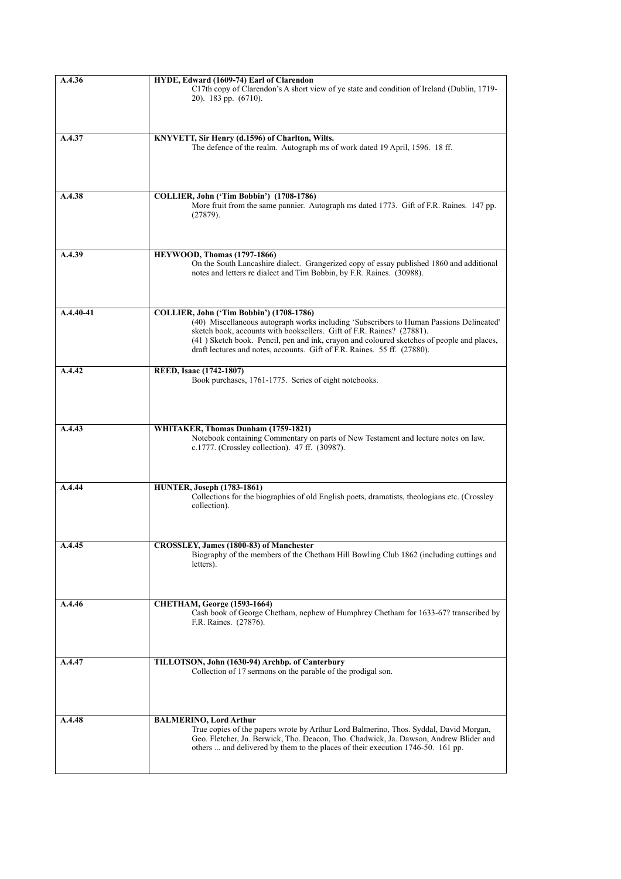| A.4.36        | HYDE, Edward (1609-74) Earl of Clarendon                                                                                                                                 |
|---------------|--------------------------------------------------------------------------------------------------------------------------------------------------------------------------|
|               | C17th copy of Clarendon's A short view of ye state and condition of Ireland (Dublin, 1719-                                                                               |
|               | $20$ ). 183 pp. $(6710)$ .                                                                                                                                               |
|               |                                                                                                                                                                          |
|               |                                                                                                                                                                          |
|               |                                                                                                                                                                          |
| A.4.37        | KNYVETT, Sir Henry (d.1596) of Charlton, Wilts.                                                                                                                          |
|               | The defence of the realm. Autograph ms of work dated 19 April, 1596. 18 ff.                                                                                              |
|               |                                                                                                                                                                          |
|               |                                                                                                                                                                          |
|               |                                                                                                                                                                          |
|               |                                                                                                                                                                          |
| A.4.38        | COLLIER, John ('Tim Bobbin') (1708-1786)                                                                                                                                 |
|               | More fruit from the same pannier. Autograph ms dated 1773. Gift of F.R. Raines. 147 pp.                                                                                  |
|               | (27879).                                                                                                                                                                 |
|               |                                                                                                                                                                          |
|               |                                                                                                                                                                          |
|               |                                                                                                                                                                          |
| A.4.39        | HEYWOOD, Thomas (1797-1866)                                                                                                                                              |
|               | On the South Lancashire dialect. Grangerized copy of essay published 1860 and additional                                                                                 |
|               | notes and letters re dialect and Tim Bobbin, by F.R. Raines. (30988).                                                                                                    |
|               |                                                                                                                                                                          |
|               |                                                                                                                                                                          |
|               |                                                                                                                                                                          |
| $A.4.40 - 41$ | COLLIER, John ('Tim Bobbin') (1708-1786)                                                                                                                                 |
|               | (40) Miscellaneous autograph works including 'Subscribers to Human Passions Delineated'                                                                                  |
|               | sketch book, accounts with booksellers. Gift of F.R. Raines? (27881).                                                                                                    |
|               | (41) Sketch book. Pencil, pen and ink, crayon and coloured sketches of people and places,                                                                                |
|               | draft lectures and notes, accounts. Gift of F.R. Raines. 55 ff. (27880).                                                                                                 |
|               |                                                                                                                                                                          |
| A.4.42        | REED, Isaac (1742-1807)                                                                                                                                                  |
|               | Book purchases, 1761-1775. Series of eight notebooks.                                                                                                                    |
|               |                                                                                                                                                                          |
|               |                                                                                                                                                                          |
|               |                                                                                                                                                                          |
|               |                                                                                                                                                                          |
| A.4.43        | WHITAKER, Thomas Dunham (1759-1821)                                                                                                                                      |
|               | Notebook containing Commentary on parts of New Testament and lecture notes on law.                                                                                       |
|               | c.1777. (Crossley collection). 47 ff. (30987).                                                                                                                           |
|               |                                                                                                                                                                          |
|               |                                                                                                                                                                          |
| A.4.44        | <b>HUNTER, Joseph (1783-1861)</b>                                                                                                                                        |
|               | Collections for the biographies of old English poets, dramatists, theologians etc. (Crossley                                                                             |
|               | collection).                                                                                                                                                             |
|               |                                                                                                                                                                          |
|               |                                                                                                                                                                          |
|               |                                                                                                                                                                          |
| A.4.45        | <b>CROSSLEY, James (1800-83) of Manchester</b>                                                                                                                           |
|               | Biography of the members of the Chetham Hill Bowling Club 1862 (including cuttings and                                                                                   |
|               | letters).                                                                                                                                                                |
|               |                                                                                                                                                                          |
|               |                                                                                                                                                                          |
|               |                                                                                                                                                                          |
| A.4.46        | <b>CHETHAM, George (1593-1664)</b>                                                                                                                                       |
|               | Cash book of George Chetham, nephew of Humphrey Chetham for 1633-67? transcribed by                                                                                      |
|               | F.R. Raines. (27876).                                                                                                                                                    |
|               |                                                                                                                                                                          |
|               |                                                                                                                                                                          |
|               |                                                                                                                                                                          |
| A.4.47        | TILLOTSON, John (1630-94) Archbp. of Canterbury                                                                                                                          |
|               | Collection of 17 sermons on the parable of the prodigal son.                                                                                                             |
|               |                                                                                                                                                                          |
|               |                                                                                                                                                                          |
|               |                                                                                                                                                                          |
|               |                                                                                                                                                                          |
| A.4.48        | <b>BALMERINO, Lord Arthur</b>                                                                                                                                            |
|               | True copies of the papers wrote by Arthur Lord Balmerino, Thos. Syddal, David Morgan,                                                                                    |
|               | Geo. Fletcher, Jn. Berwick, Tho. Deacon, Tho. Chadwick, Ja. Dawson, Andrew Blider and<br>others  and delivered by them to the places of their execution 1746-50. 161 pp. |
|               |                                                                                                                                                                          |
|               |                                                                                                                                                                          |
|               |                                                                                                                                                                          |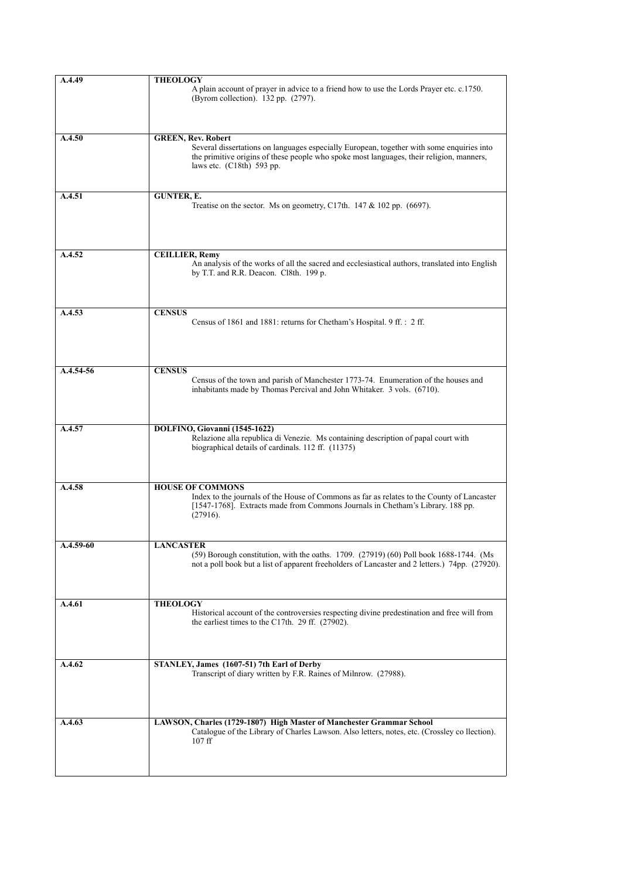| A.4.49      | <b>THEOLOGY</b>                                                                                                                                                                          |
|-------------|------------------------------------------------------------------------------------------------------------------------------------------------------------------------------------------|
|             | A plain account of prayer in advice to a friend how to use the Lords Prayer etc. c.1750.                                                                                                 |
|             | (Byrom collection). 132 pp. (2797).                                                                                                                                                      |
|             |                                                                                                                                                                                          |
|             |                                                                                                                                                                                          |
|             |                                                                                                                                                                                          |
| A.4.50      | <b>GREEN, Rev. Robert</b>                                                                                                                                                                |
|             | Several dissertations on languages especially European, together with some enquiries into                                                                                                |
|             | the primitive origins of these people who spoke most languages, their religion, manners,                                                                                                 |
|             | laws etc. (C18th) 593 pp.                                                                                                                                                                |
|             |                                                                                                                                                                                          |
|             |                                                                                                                                                                                          |
| A.4.51      | <b>GUNTER, E.</b>                                                                                                                                                                        |
|             | Treatise on the sector. Ms on geometry, C17th. $147 & 102$ pp. (6697).                                                                                                                   |
|             |                                                                                                                                                                                          |
|             |                                                                                                                                                                                          |
|             |                                                                                                                                                                                          |
| A.4.52      | <b>CEILLIER, Remy</b>                                                                                                                                                                    |
|             | An analysis of the works of all the sacred and ecclesiastical authors, translated into English                                                                                           |
|             | by T.T. and R.R. Deacon. Cl8th. 199 p.                                                                                                                                                   |
|             |                                                                                                                                                                                          |
|             |                                                                                                                                                                                          |
|             |                                                                                                                                                                                          |
| A.4.53      | <b>CENSUS</b>                                                                                                                                                                            |
|             | Census of 1861 and 1881: returns for Chetham's Hospital. 9 ff.: 2 ff.                                                                                                                    |
|             |                                                                                                                                                                                          |
|             |                                                                                                                                                                                          |
|             |                                                                                                                                                                                          |
| $A.4.54-56$ | <b>CENSUS</b>                                                                                                                                                                            |
|             | Census of the town and parish of Manchester 1773-74. Enumeration of the houses and                                                                                                       |
|             | inhabitants made by Thomas Percival and John Whitaker. 3 vols. (6710).                                                                                                                   |
|             |                                                                                                                                                                                          |
|             |                                                                                                                                                                                          |
|             |                                                                                                                                                                                          |
| A.4.57      | DOLFINO, Giovanni (1545-1622)                                                                                                                                                            |
|             | Relazione alla republica di Venezie. Ms containing description of papal court with<br>biographical details of cardinals. 112 ff. (11375)                                                 |
|             |                                                                                                                                                                                          |
|             |                                                                                                                                                                                          |
|             |                                                                                                                                                                                          |
| A.4.58      | <b>HOUSE OF COMMONS</b>                                                                                                                                                                  |
|             | Index to the journals of the House of Commons as far as relates to the County of Lancaster                                                                                               |
|             | [1547-1768]. Extracts made from Commons Journals in Chetham's Library. 188 pp.                                                                                                           |
|             | (27916).                                                                                                                                                                                 |
|             |                                                                                                                                                                                          |
|             |                                                                                                                                                                                          |
| A.4.59-60   | <b>LANCASTER</b>                                                                                                                                                                         |
|             | (59) Borough constitution, with the oaths. 1709. (27919) (60) Poll book 1688-1744. (Ms<br>not a poll book but a list of apparent freeholders of Lancaster and 2 letters.) 74pp. (27920). |
|             |                                                                                                                                                                                          |
|             |                                                                                                                                                                                          |
|             |                                                                                                                                                                                          |
| A.4.61      | <b>THEOLOGY</b>                                                                                                                                                                          |
|             | Historical account of the controversies respecting divine predestination and free will from                                                                                              |
|             | the earliest times to the C17th. 29 ff. (27902).                                                                                                                                         |
|             |                                                                                                                                                                                          |
|             |                                                                                                                                                                                          |
|             |                                                                                                                                                                                          |
|             |                                                                                                                                                                                          |
| A.4.62      | STANLEY, James (1607-51) 7th Earl of Derby                                                                                                                                               |
|             | Transcript of diary written by F.R. Raines of Milnrow. (27988).                                                                                                                          |
|             |                                                                                                                                                                                          |
|             |                                                                                                                                                                                          |
|             |                                                                                                                                                                                          |
|             |                                                                                                                                                                                          |
| A.4.63      | LAWSON, Charles (1729-1807) High Master of Manchester Grammar School                                                                                                                     |
|             | Catalogue of the Library of Charles Lawson. Also letters, notes, etc. (Crossley co llection).<br>$107$ ff                                                                                |
|             |                                                                                                                                                                                          |
|             |                                                                                                                                                                                          |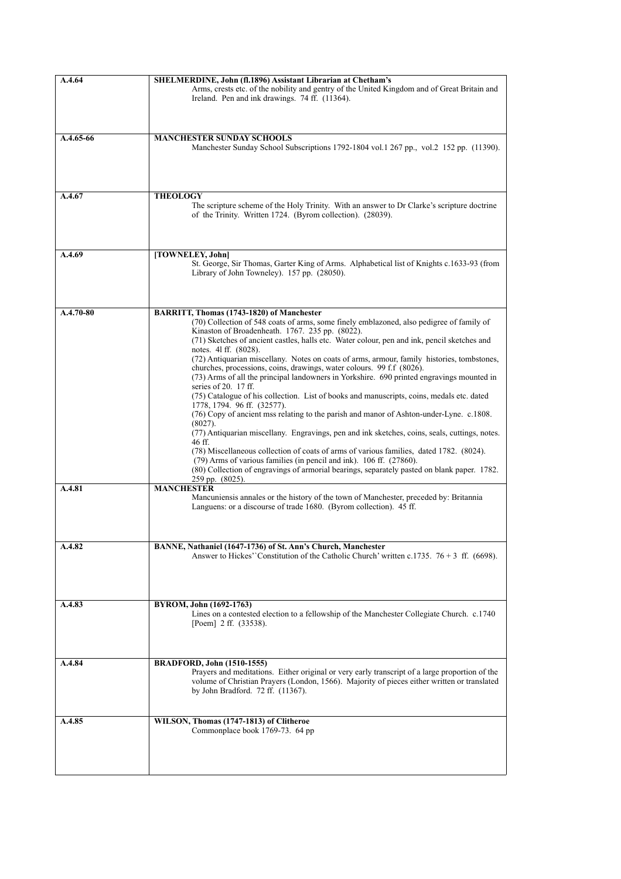| A.4.64      | SHELMERDINE, John (fl.1896) Assistant Librarian at Chetham's                                                                                                                                                                                                                                                                                                                                                   |
|-------------|----------------------------------------------------------------------------------------------------------------------------------------------------------------------------------------------------------------------------------------------------------------------------------------------------------------------------------------------------------------------------------------------------------------|
|             | Arms, crests etc. of the nobility and gentry of the United Kingdom and of Great Britain and<br>Ireland. Pen and ink drawings. 74 ff. (11364).                                                                                                                                                                                                                                                                  |
|             |                                                                                                                                                                                                                                                                                                                                                                                                                |
| A.4.65-66   | <b>MANCHESTER SUNDAY SCHOOLS</b><br>Manchester Sunday School Subscriptions 1792-1804 vol.1 267 pp., vol.2 152 pp. (11390).                                                                                                                                                                                                                                                                                     |
| A.4.67      | <b>THEOLOGY</b>                                                                                                                                                                                                                                                                                                                                                                                                |
|             | The scripture scheme of the Holy Trinity. With an answer to Dr Clarke's scripture doctrine<br>of the Trinity. Written 1724. (Byrom collection). (28039).                                                                                                                                                                                                                                                       |
| A.4.69      | [TOWNELEY, John]                                                                                                                                                                                                                                                                                                                                                                                               |
|             | St. George, Sir Thomas, Garter King of Arms. Alphabetical list of Knights c.1633-93 (from<br>Library of John Towneley). 157 pp. (28050).                                                                                                                                                                                                                                                                       |
|             |                                                                                                                                                                                                                                                                                                                                                                                                                |
| $A.4.70-80$ | BARRITT, Thomas (1743-1820) of Manchester<br>(70) Collection of 548 coats of arms, some finely emblazoned, also pedigree of family of<br>Kinaston of Broadenheath. 1767. 235 pp. (8022).<br>(71) Sketches of ancient castles, halls etc. Water colour, pen and ink, pencil sketches and<br>notes. 41 ff. (8028).<br>(72) Antiquarian miscellany. Notes on coats of arms, armour, family histories, tombstones, |
|             | churches, processions, coins, drawings, water colours. 99 f.f (8026).<br>(73) Arms of all the principal landowners in Yorkshire. 690 printed engravings mounted in<br>series of $20.17$ ff.                                                                                                                                                                                                                    |
|             | (75) Catalogue of his collection. List of books and manuscripts, coins, medals etc. dated<br>1778, 1794. 96 ff. (32577).<br>(76) Copy of ancient mss relating to the parish and manor of Ashton-under-Lyne. c.1808.<br>(8027).                                                                                                                                                                                 |
|             | (77) Antiquarian miscellany. Engravings, pen and ink sketches, coins, seals, cuttings, notes.<br>46 ff.                                                                                                                                                                                                                                                                                                        |
|             | (78) Miscellaneous collection of coats of arms of various families, dated 1782. (8024).<br>(79) Arms of various families (in pencil and ink). 106 ff. (27860).<br>(80) Collection of engravings of armorial bearings, separately pasted on blank paper. 1782.<br>259 pp. (8025).                                                                                                                               |
| A.4.81      | <b>MANCHESTER</b>                                                                                                                                                                                                                                                                                                                                                                                              |
|             | Mancuniensis annales or the history of the town of Manchester, preceded by: Britannia<br>Languens: or a discourse of trade 1680. (Byrom collection). 45 ff.                                                                                                                                                                                                                                                    |
| A.4.82      | BANNE, Nathaniel (1647-1736) of St. Ann's Church, Manchester                                                                                                                                                                                                                                                                                                                                                   |
|             | Answer to Hickes''Constitution of the Catholic Church' written c.1735. $76 + 3$ ff. (6698).                                                                                                                                                                                                                                                                                                                    |
| A.4.83      | BYROM, John (1692-1763)                                                                                                                                                                                                                                                                                                                                                                                        |
|             | Lines on a contested election to a fellowship of the Manchester Collegiate Church. c.1740<br>[Poem] 2 ff. (33538).                                                                                                                                                                                                                                                                                             |
|             | <b>BRADFORD, John (1510-1555)</b>                                                                                                                                                                                                                                                                                                                                                                              |
| A.4.84      | Prayers and meditations. Either original or very early transcript of a large proportion of the<br>volume of Christian Prayers (London, 1566). Majority of pieces either written or translated<br>by John Bradford. 72 ff. (11367).                                                                                                                                                                             |
| A.4.85      | WILSON, Thomas (1747-1813) of Clitheroe                                                                                                                                                                                                                                                                                                                                                                        |
|             | Commonplace book 1769-73. 64 pp                                                                                                                                                                                                                                                                                                                                                                                |
|             |                                                                                                                                                                                                                                                                                                                                                                                                                |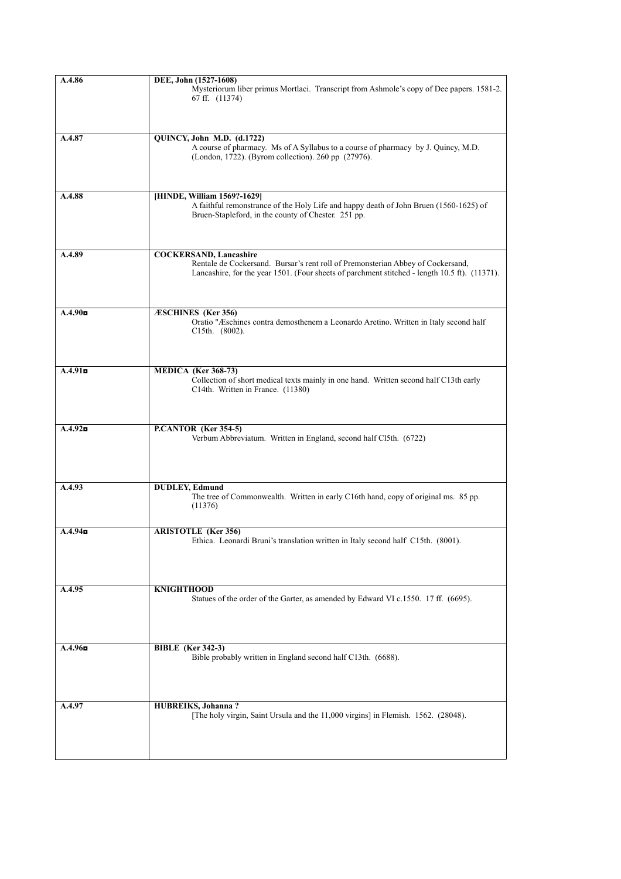| A.4.86               | DEE, John (1527-1608)                                                                                                                                                                                             |
|----------------------|-------------------------------------------------------------------------------------------------------------------------------------------------------------------------------------------------------------------|
|                      | Mysteriorum liber primus Mortlaci. Transcript from Ashmole's copy of Dee papers. 1581-2.<br>67 ff. (11374)                                                                                                        |
|                      |                                                                                                                                                                                                                   |
| A.4.87               | QUINCY, John M.D. (d.1722)<br>A course of pharmacy. Ms of A Syllabus to a course of pharmacy by J. Quincy, M.D.<br>(London, 1722). (Byrom collection). 260 pp (27976).                                            |
|                      |                                                                                                                                                                                                                   |
| A.4.88               | [HINDE, William 1569?-1629]<br>A faithful remonstrance of the Holy Life and happy death of John Bruen (1560-1625) of<br>Bruen-Stapleford, in the county of Chester. 251 pp.                                       |
|                      |                                                                                                                                                                                                                   |
| A.4.89               | <b>COCKERSAND, Lancashire</b><br>Rentale de Cockersand. Bursar's rent roll of Premonsterian Abbey of Cockersand,<br>Lancashire, for the year 1501. (Four sheets of parchment stitched - length 10.5 ft). (11371). |
| A.4.90 <sub>II</sub> | <b>ÆSCHINES</b> (Ker 356)                                                                                                                                                                                         |
|                      | Oratio "Æschines contra demosthenem a Leonardo Aretino. Written in Italy second half<br>$C15th.$ (8002).                                                                                                          |
|                      |                                                                                                                                                                                                                   |
| A.4.91               | MEDICA (Ker 368-73)<br>Collection of short medical texts mainly in one hand. Written second half C13th early<br>C14th. Written in France. (11380)                                                                 |
|                      |                                                                                                                                                                                                                   |
| A.4.92               | P.CANTOR (Ker 354-5)<br>Verbum Abbreviatum. Written in England, second half Cl5th. (6722)                                                                                                                         |
| A.4.93               | <b>DUDLEY, Edmund</b><br>The tree of Commonwealth. Written in early C16th hand, copy of original ms. 85 pp.<br>(11376)                                                                                            |
|                      |                                                                                                                                                                                                                   |
| A.4.94 <sub>D</sub>  | <b>ARISTOTLE</b> (Ker 356)<br>Ethica. Leonardi Bruni's translation written in Italy second half C15th. (8001).                                                                                                    |
| A.4.95               | <b>KNIGHTHOOD</b>                                                                                                                                                                                                 |
|                      | Statues of the order of the Garter, as amended by Edward VI c.1550. 17 ff. (6695).                                                                                                                                |
| A.4.96 <sub>D</sub>  | <b>BIBLE</b> (Ker 342-3)                                                                                                                                                                                          |
|                      | Bible probably written in England second half C13th. (6688).                                                                                                                                                      |
| A.4.97               | <b>HUBREIKS</b> , Johanna?                                                                                                                                                                                        |
|                      | [The holy virgin, Saint Ursula and the 11,000 virgins] in Flemish. 1562. (28048).                                                                                                                                 |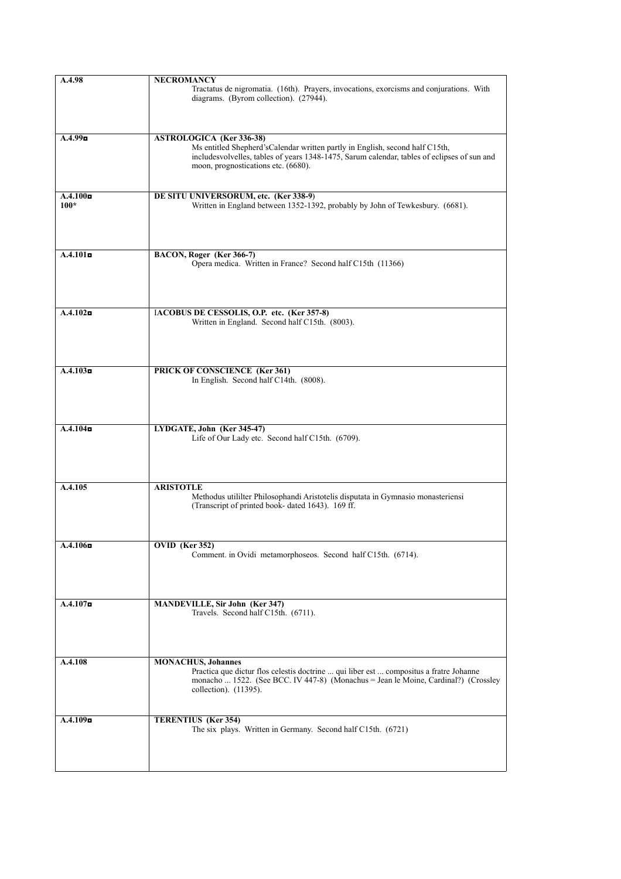| A.4.98                | <b>NECROMANCY</b>                                                                           |
|-----------------------|---------------------------------------------------------------------------------------------|
|                       | Tractatus de nigromatia. (16th). Prayers, invocations, exorcisms and conjurations. With     |
|                       | diagrams. (Byrom collection). (27944).                                                      |
|                       |                                                                                             |
|                       |                                                                                             |
|                       |                                                                                             |
| A.4.99                | <b>ASTROLOGICA</b> (Ker 336-38)                                                             |
|                       | Ms entitled Shepherd'sCalendar written partly in English, second half C15th,                |
|                       | includesvolvelles, tables of years 1348-1475, Sarum calendar, tables of eclipses of sun and |
|                       | moon, prognostications etc. (6680).                                                         |
|                       |                                                                                             |
|                       |                                                                                             |
| A.4.100 <sub>II</sub> | DE SITU UNIVERSORUM, etc. (Ker 338-9)                                                       |
| $100*$                | Written in England between 1352-1392, probably by John of Tewkesbury. (6681).               |
|                       |                                                                                             |
|                       |                                                                                             |
|                       |                                                                                             |
|                       |                                                                                             |
| A.4.101               | BACON, Roger (Ker 366-7)                                                                    |
|                       | Opera medica. Written in France? Second half C15th (11366)                                  |
|                       |                                                                                             |
|                       |                                                                                             |
|                       |                                                                                             |
|                       |                                                                                             |
| A.4.102               | IACOBUS DE CESSOLIS, O.P. etc. (Ker 357-8)                                                  |
|                       | Written in England. Second half C15th. (8003).                                              |
|                       |                                                                                             |
|                       |                                                                                             |
|                       |                                                                                             |
|                       |                                                                                             |
| A.4.103               | PRICK OF CONSCIENCE (Ker 361)<br>In English. Second half C14th. (8008).                     |
|                       |                                                                                             |
|                       |                                                                                             |
|                       |                                                                                             |
|                       |                                                                                             |
| A.4.104               | LYDGATE, John (Ker 345-47)                                                                  |
|                       | Life of Our Lady etc. Second half C15th. (6709).                                            |
|                       |                                                                                             |
|                       |                                                                                             |
|                       |                                                                                             |
|                       |                                                                                             |
| A.4.105               | <b>ARISTOTLE</b>                                                                            |
|                       | Methodus utililter Philosophandi Aristotelis disputata in Gymnasio monasteriensi            |
|                       | (Transcript of printed book- dated 1643). 169 ff.                                           |
|                       |                                                                                             |
|                       |                                                                                             |
|                       |                                                                                             |
| $A.4.106$ o           | OVID (Ker 352)                                                                              |
|                       | Comment. in Ovidi metamorphoseos. Second half C15th. (6714).                                |
|                       |                                                                                             |
|                       |                                                                                             |
|                       |                                                                                             |
| $A.4.107$ o           | <b>MANDEVILLE, Sir John (Ker 347)</b>                                                       |
|                       | Travels. Second half C15th. (6711).                                                         |
|                       |                                                                                             |
|                       |                                                                                             |
|                       |                                                                                             |
|                       |                                                                                             |
| A.4.108               | <b>MONACHUS</b> , Johannes                                                                  |
|                       | Practica que dictur flos celestis doctrine  qui liber est  compositus a fratre Johanne      |
|                       | monacho  1522. (See BCC. IV 447-8) (Monachus = Jean le Moine, Cardinal?) (Crossley          |
|                       | collection). (11395).                                                                       |
|                       |                                                                                             |
|                       |                                                                                             |
| A.4.109               | TERENTIUS (Ker 354)                                                                         |
|                       | The six plays. Written in Germany. Second half C15th. (6721)                                |
|                       |                                                                                             |
|                       |                                                                                             |
|                       |                                                                                             |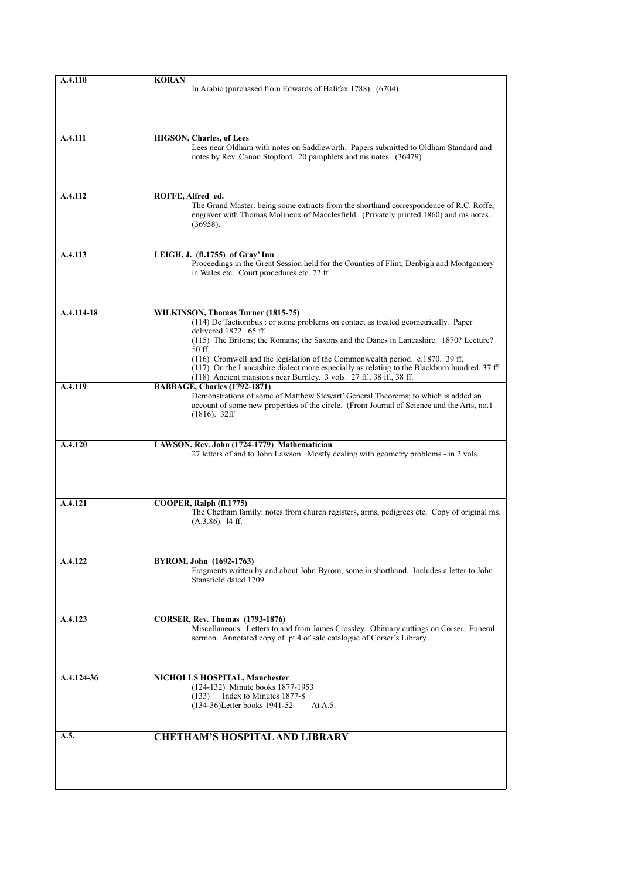| A.4.110    | <b>KORAN</b><br>In Arabic (purchased from Edwards of Halifax 1788). (6704).                                                                                                     |
|------------|---------------------------------------------------------------------------------------------------------------------------------------------------------------------------------|
|            |                                                                                                                                                                                 |
|            |                                                                                                                                                                                 |
| A.4.111    | <b>HIGSON, Charles, of Lees</b>                                                                                                                                                 |
|            | Lees near Oldham with notes on Saddleworth. Papers submitted to Oldham Standard and                                                                                             |
|            | notes by Rev. Canon Stopford. 20 pamphlets and ms notes. (36479)                                                                                                                |
|            |                                                                                                                                                                                 |
| A.4.112    | ROFFE, Alfred ed.                                                                                                                                                               |
|            | The Grand Master: being some extracts from the shorthand correspondence of R.C. Roffe,<br>engraver with Thomas Molineux of Macclesfield. (Privately printed 1860) and ms notes. |
|            | (36958).                                                                                                                                                                        |
|            |                                                                                                                                                                                 |
| A.4.113    | LEIGH, J. (fl.1755) of Gray' Inn<br>Proceedings in the Great Session held for the Counties of Flint, Denbigh and Montgomery                                                     |
|            | in Wales etc. Court procedures etc. 72.ff                                                                                                                                       |
|            |                                                                                                                                                                                 |
| A.4.114-18 | WILKINSON, Thomas Turner (1815-75)                                                                                                                                              |
|            | (114) De Tactionibus : or some problems on contact as treated geometrically. Paper                                                                                              |
|            | delivered 1872. 65 ff.<br>(115) The Britons; the Romans; the Saxons and the Danes in Lancashire. 1870? Lecture?                                                                 |
|            | 50 ff.<br>(116) Cromwell and the legislation of the Commonwealth period. c.1870. 39 ff.                                                                                         |
|            | (117) On the Lancashire dialect more especially as relating to the Blackburn hundred. 37 ff<br>(118) Ancient mansions near Burnley. 3 vols. 27 ff., 38 ff., 38 ff.              |
| A.4.119    | <b>BABBAGE, Charles (1792-1871)</b>                                                                                                                                             |
|            | Demonstrations of some of Matthew Stewart' General Theorems; to which is added an<br>account of some new properties of the circle. (From Journal of Science and the Arts, no.1  |
|            | $(1816)$ . 32ff                                                                                                                                                                 |
|            |                                                                                                                                                                                 |
| A.4.120    | LAWSON, Rev. John (1724-1779) Mathematician<br>27 letters of and to John Lawson. Mostly dealing with geometry problems - in 2 vols.                                             |
|            |                                                                                                                                                                                 |
|            |                                                                                                                                                                                 |
| A.4.121    | COOPER, Ralph (fl.1775)                                                                                                                                                         |
|            | The Chetham family: notes from church registers, arms, pedigrees etc. Copy of original ms.<br>$(A.3.86)$ . 14 ff.                                                               |
|            |                                                                                                                                                                                 |
|            |                                                                                                                                                                                 |
| A.4.122    | BYROM, John (1692-1763)<br>Fragments written by and about John Byrom, some in shorthand. Includes a letter to John                                                              |
|            | Stansfield dated 1709.                                                                                                                                                          |
|            |                                                                                                                                                                                 |
| A.4.123    | <b>CORSER, Rev. Thomas</b> (1793-1876)                                                                                                                                          |
|            | Miscellaneous. Letters to and from James Crossley. Obituary cuttings on Corser. Funeral<br>sermon. Annotated copy of pt.4 of sale catalogue of Corser's Library                 |
|            |                                                                                                                                                                                 |
|            |                                                                                                                                                                                 |
| A.4.124-36 | NICHOLLS HOSPITAL, Manchester<br>(124-132) Minute books 1877-1953                                                                                                               |
|            | Index to Minutes 1877-8<br>(133)                                                                                                                                                |
|            | (134-36) Letter books 1941-52<br>At A.5.                                                                                                                                        |
| A.5.       | <b>CHETHAM'S HOSPITAL AND LIBRARY</b>                                                                                                                                           |
|            |                                                                                                                                                                                 |
|            |                                                                                                                                                                                 |
|            |                                                                                                                                                                                 |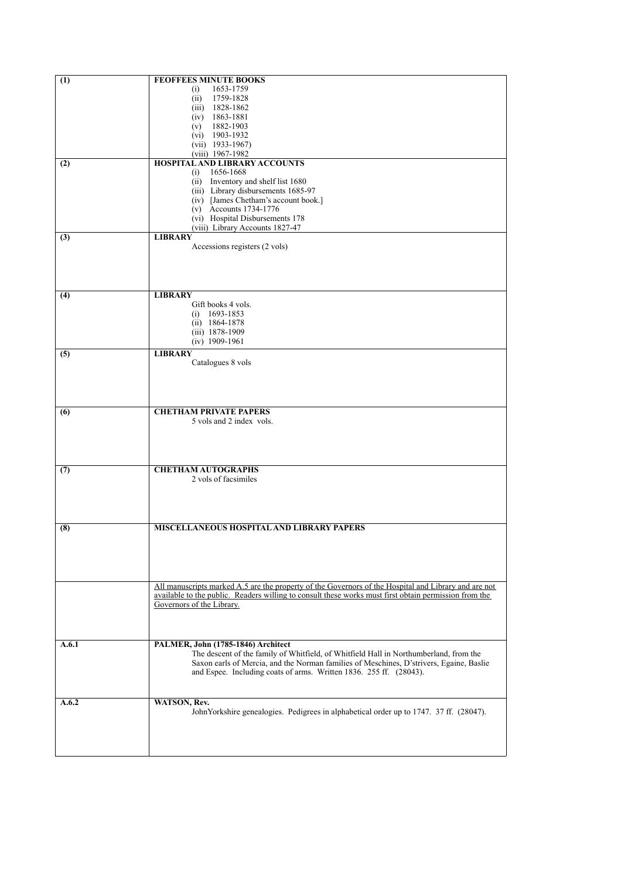| $\overline{(1)}$ | <b>FEOFFEES MINUTE BOOKS</b>                                                                                                                                                                                  |
|------------------|---------------------------------------------------------------------------------------------------------------------------------------------------------------------------------------------------------------|
|                  | 1653-1759<br>(i)                                                                                                                                                                                              |
|                  | 1759-1828<br>(ii)                                                                                                                                                                                             |
|                  | 1828-1862<br>(iii)                                                                                                                                                                                            |
|                  | 1863-1881<br>(iv)<br>1882-1903<br>(v)                                                                                                                                                                         |
|                  | $(vi)$ 1903-1932                                                                                                                                                                                              |
|                  | $(vii)$ 1933-1967)                                                                                                                                                                                            |
|                  | $(viii)$ 1967-1982                                                                                                                                                                                            |
| (2)              | <b>HOSPITAL AND LIBRARY ACCOUNTS</b><br>1656-1668<br>(i)                                                                                                                                                      |
|                  | (ii) Inventory and shelf list 1680                                                                                                                                                                            |
|                  | (iii) Library disbursements 1685-97                                                                                                                                                                           |
|                  | (iv) [James Chetham's account book.]                                                                                                                                                                          |
|                  | (v) Accounts 1734-1776<br>(vi) Hospital Disbursements 178                                                                                                                                                     |
|                  | (viii) Library Accounts 1827-47                                                                                                                                                                               |
| (3)              | <b>LIBRARY</b>                                                                                                                                                                                                |
|                  | Accessions registers (2 vols)                                                                                                                                                                                 |
|                  |                                                                                                                                                                                                               |
|                  |                                                                                                                                                                                                               |
|                  |                                                                                                                                                                                                               |
| (4)              | <b>LIBRARY</b>                                                                                                                                                                                                |
|                  | Gift books 4 vols.                                                                                                                                                                                            |
|                  | $(i)$ 1693-1853<br>$(ii)$ 1864-1878                                                                                                                                                                           |
|                  | $(iii)$ 1878-1909                                                                                                                                                                                             |
|                  | $(iv)$ 1909-1961                                                                                                                                                                                              |
| (5)              | <b>LIBRARY</b>                                                                                                                                                                                                |
|                  | Catalogues 8 vols                                                                                                                                                                                             |
|                  |                                                                                                                                                                                                               |
|                  |                                                                                                                                                                                                               |
|                  |                                                                                                                                                                                                               |
| (6)              | <b>CHETHAM PRIVATE PAPERS</b>                                                                                                                                                                                 |
|                  | 5 vols and 2 index vols.                                                                                                                                                                                      |
|                  |                                                                                                                                                                                                               |
|                  |                                                                                                                                                                                                               |
|                  |                                                                                                                                                                                                               |
| (7)              | <b>CHETHAM AUTOGRAPHS</b>                                                                                                                                                                                     |
|                  | 2 vols of facsimiles                                                                                                                                                                                          |
|                  |                                                                                                                                                                                                               |
|                  |                                                                                                                                                                                                               |
|                  |                                                                                                                                                                                                               |
| (8)              | <b>MISCELLANEOUS HOSPITAL AND LIBRARY PAPERS</b>                                                                                                                                                              |
|                  |                                                                                                                                                                                                               |
|                  |                                                                                                                                                                                                               |
|                  |                                                                                                                                                                                                               |
|                  |                                                                                                                                                                                                               |
|                  | All manuscripts marked A.5 are the property of the Governors of the Hospital and Library and are not<br>available to the public. Readers willing to consult these works must first obtain permission from the |
|                  | Governors of the Library.                                                                                                                                                                                     |
|                  |                                                                                                                                                                                                               |
|                  |                                                                                                                                                                                                               |
| A.6.1            | PALMER, John (1785-1846) Architect                                                                                                                                                                            |
|                  | The descent of the family of Whitfield, of Whitfield Hall in Northumberland, from the                                                                                                                         |
|                  | Saxon earls of Mercia, and the Norman families of Meschines, D'strivers, Egaine, Baslie                                                                                                                       |
|                  | and Espee. Including coats of arms. Written 1836. 255 ff. (28043).                                                                                                                                            |
|                  |                                                                                                                                                                                                               |
| A.6.2            | WATSON, Rev.                                                                                                                                                                                                  |
|                  | John Yorkshire genealogies. Pedigrees in alphabetical order up to 1747. 37 ff. (28047).                                                                                                                       |
|                  |                                                                                                                                                                                                               |
|                  |                                                                                                                                                                                                               |
|                  |                                                                                                                                                                                                               |
|                  |                                                                                                                                                                                                               |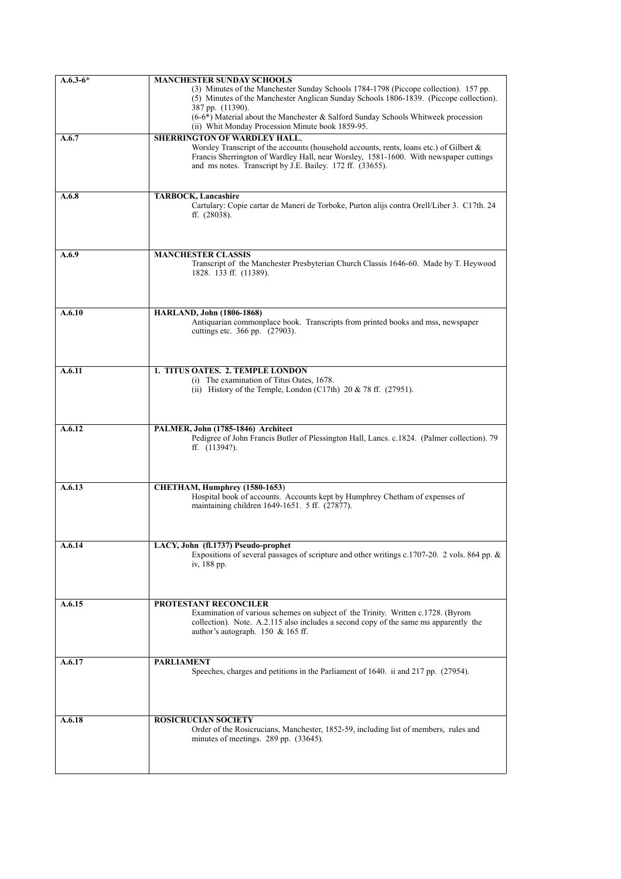| $A.6.3-6*$ | <b>MANCHESTER SUNDAY SCHOOLS</b>                                                                                                      |
|------------|---------------------------------------------------------------------------------------------------------------------------------------|
|            | (3) Minutes of the Manchester Sunday Schools 1784-1798 (Piccope collection). 157 pp.                                                  |
|            | (5) Minutes of the Manchester Anglican Sunday Schools 1806-1839. (Piccope collection).                                                |
|            | 387 pp. (11390).                                                                                                                      |
|            | (6-6*) Material about the Manchester & Salford Sunday Schools Whitweek procession<br>(ii) Whit Monday Procession Minute book 1859-95. |
|            |                                                                                                                                       |
| A.6.7      | <b>SHERRINGTON OF WARDLEY HALL,</b><br>Worsley Transcript of the accounts (household accounts, rents, loans etc.) of Gilbert $\&$     |
|            | Francis Sherrington of Wardley Hall, near Worsley, 1581-1600. With newspaper cuttings                                                 |
|            | and ms notes. Transcript by J.E. Bailey. 172 ff. (33655).                                                                             |
|            |                                                                                                                                       |
|            |                                                                                                                                       |
| A.6.8      | <b>TARBOCK, Lancashire</b>                                                                                                            |
|            | Cartulary: Copie cartar de Maneri de Torboke, Purton alijs contra Orell/Liber 3. C17th. 24                                            |
|            | ff. $(28038)$ .                                                                                                                       |
|            |                                                                                                                                       |
|            |                                                                                                                                       |
| A.6.9      | <b>MANCHESTER CLASSIS</b>                                                                                                             |
|            | Transcript of the Manchester Presbyterian Church Classis 1646-60. Made by T. Heywood                                                  |
|            | 1828. 133 ff. (11389).                                                                                                                |
|            |                                                                                                                                       |
|            |                                                                                                                                       |
| A.6.10     | <b>HARLAND, John (1806-1868)</b>                                                                                                      |
|            | Antiquarian commonplace book. Transcripts from printed books and mss, newspaper                                                       |
|            | cuttings etc. 366 pp. (27903).                                                                                                        |
|            |                                                                                                                                       |
|            |                                                                                                                                       |
| A.6.11     | 1. TITUS OATES. 2. TEMPLE LONDON                                                                                                      |
|            | (i) The examination of Titus Oates, 1678.                                                                                             |
|            | (ii) History of the Temple, London (C17th) $20 \& 78$ ff. (27951).                                                                    |
|            |                                                                                                                                       |
|            |                                                                                                                                       |
|            |                                                                                                                                       |
| A.6.12     | PALMER, John (1785-1846) Architect<br>Pedigree of John Francis Butler of Plessington Hall, Lancs. c.1824. (Palmer collection). 79     |
|            | ff. $(11394?)$ .                                                                                                                      |
|            |                                                                                                                                       |
|            |                                                                                                                                       |
|            |                                                                                                                                       |
| A.6.13     | CHETHAM, Humphrey (1580-1653)                                                                                                         |
|            | Hospital book of accounts. Accounts kept by Humphrey Chetham of expenses of<br>maintaining children 1649-1651. 5 ff. (27877).         |
|            |                                                                                                                                       |
|            |                                                                                                                                       |
|            |                                                                                                                                       |
| A.6.14     | LACY, John (fl.1737) Pseudo-prophet                                                                                                   |
|            | Expositions of several passages of scripture and other writings c.1707-20. 2 vols. 864 pp. $\&$                                       |
|            | iv, 188 pp.                                                                                                                           |
|            |                                                                                                                                       |
|            |                                                                                                                                       |
| A.6.15     | <b>PROTESTANT RECONCILER</b>                                                                                                          |
|            | Examination of various schemes on subject of the Trinity. Written c.1728. (Byrom                                                      |
|            | collection). Note. A.2.115 also includes a second copy of the same ms apparently the                                                  |
|            | author's autograph. $150 \& 165$ ff.                                                                                                  |
|            |                                                                                                                                       |
| A.6.17     | <b>PARLIAMENT</b>                                                                                                                     |
|            | Speeches, charges and petitions in the Parliament of 1640. ii and 217 pp. (27954).                                                    |
|            |                                                                                                                                       |
|            |                                                                                                                                       |
|            |                                                                                                                                       |
| A.6.18     | <b>ROSICRUCIAN SOCIETY</b>                                                                                                            |
|            | Order of the Rosicrucians, Manchester, 1852-59, including list of members, rules and                                                  |
|            | minutes of meetings. 289 pp. (33645).                                                                                                 |
|            |                                                                                                                                       |
|            |                                                                                                                                       |
|            |                                                                                                                                       |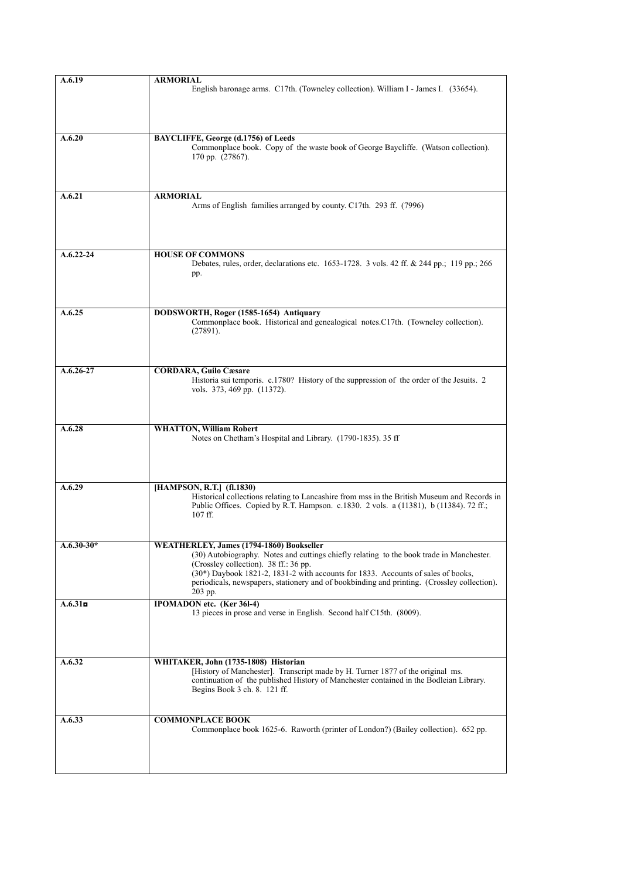| A.6.19        | <b>ARMORIAL</b>                                                                                                                                                                      |
|---------------|--------------------------------------------------------------------------------------------------------------------------------------------------------------------------------------|
|               | English baronage arms. C17th. (Towneley collection). William I - James I. (33654).                                                                                                   |
|               |                                                                                                                                                                                      |
|               |                                                                                                                                                                                      |
|               |                                                                                                                                                                                      |
| A.6.20        | BAYCLIFFE, George (d.1756) of Leeds                                                                                                                                                  |
|               | Commonplace book. Copy of the waste book of George Baycliffe. (Watson collection).                                                                                                   |
|               | 170 pp. (27867).                                                                                                                                                                     |
|               |                                                                                                                                                                                      |
|               |                                                                                                                                                                                      |
| A.6.21        | <b>ARMORIAL</b>                                                                                                                                                                      |
|               | Arms of English families arranged by county. C17th. 293 ff. (7996)                                                                                                                   |
|               |                                                                                                                                                                                      |
|               |                                                                                                                                                                                      |
|               |                                                                                                                                                                                      |
| $A.6.22 - 24$ | <b>HOUSE OF COMMONS</b>                                                                                                                                                              |
|               | Debates, rules, order, declarations etc. 1653-1728. 3 vols. 42 ff. & 244 pp.; 119 pp.; 266                                                                                           |
|               | pp.                                                                                                                                                                                  |
|               |                                                                                                                                                                                      |
|               |                                                                                                                                                                                      |
| A.6.25        | DODSWORTH, Roger (1585-1654) Antiquary                                                                                                                                               |
|               | Commonplace book. Historical and genealogical notes.C17th. (Towneley collection).                                                                                                    |
|               | (27891).                                                                                                                                                                             |
|               |                                                                                                                                                                                      |
|               |                                                                                                                                                                                      |
| $A.6.26 - 27$ | <b>CORDARA, Guilo Cæsare</b>                                                                                                                                                         |
|               | Historia sui temporis. c.1780? History of the suppression of the order of the Jesuits. 2                                                                                             |
|               | vols. 373, 469 pp. (11372).                                                                                                                                                          |
|               |                                                                                                                                                                                      |
|               |                                                                                                                                                                                      |
| A.6.28        | <b>WHATTON, William Robert</b>                                                                                                                                                       |
|               | Notes on Chetham's Hospital and Library. (1790-1835). 35 ff                                                                                                                          |
|               |                                                                                                                                                                                      |
|               |                                                                                                                                                                                      |
|               |                                                                                                                                                                                      |
| A.6.29        | [HAMPSON, R.T.] (fl.1830)                                                                                                                                                            |
|               | Historical collections relating to Lancashire from mss in the British Museum and Records in<br>Public Offices. Copied by R.T. Hampson. c.1830. 2 vols. a (11381), b (11384). 72 ff.; |
|               | 107 ff.                                                                                                                                                                              |
|               |                                                                                                                                                                                      |
|               |                                                                                                                                                                                      |
| $A.6.30-30*$  | <b>WEATHERLEY, James (1794-1860) Bookseller</b>                                                                                                                                      |
|               | (30) Autobiography. Notes and cuttings chiefly relating to the book trade in Manchester.<br>(Crossley collection). 38 ff.: 36 pp.                                                    |
|               | (30*) Daybook 1821-2, 1831-2 with accounts for 1833. Accounts of sales of books,                                                                                                     |
|               | periodicals, newspapers, stationery and of bookbinding and printing. (Crossley collection).                                                                                          |
|               | 203 pp.                                                                                                                                                                              |
| A.6.31        | <b>IPOMADON</b> etc. (Ker 361-4)                                                                                                                                                     |
|               | 13 pieces in prose and verse in English. Second half C15th. (8009).                                                                                                                  |
|               |                                                                                                                                                                                      |
|               |                                                                                                                                                                                      |
|               |                                                                                                                                                                                      |
| A.6.32        | WHITAKER, John (1735-1808) Historian                                                                                                                                                 |
|               | [History of Manchester]. Transcript made by H. Turner 1877 of the original ms.<br>continuation of the published History of Manchester contained in the Bodleian Library.             |
|               | Begins Book 3 ch. 8. 121 ff.                                                                                                                                                         |
|               |                                                                                                                                                                                      |
|               |                                                                                                                                                                                      |
| A.6.33        | <b>COMMONPLACE BOOK</b>                                                                                                                                                              |
|               | Commonplace book 1625-6. Raworth (printer of London?) (Bailey collection). 652 pp.                                                                                                   |
|               |                                                                                                                                                                                      |
|               |                                                                                                                                                                                      |
|               |                                                                                                                                                                                      |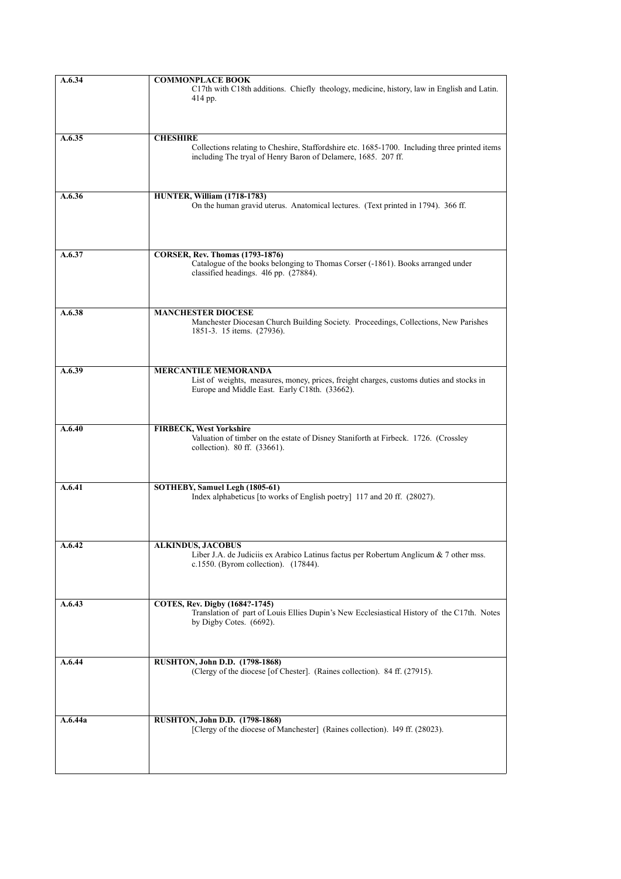| A.6.34  | <b>COMMONPLACE BOOK</b>                                                                       |
|---------|-----------------------------------------------------------------------------------------------|
|         | C17th with C18th additions. Chiefly theology, medicine, history, law in English and Latin.    |
|         | 414 pp.                                                                                       |
|         |                                                                                               |
|         |                                                                                               |
|         |                                                                                               |
| A.6.35  | <b>CHESHIRE</b>                                                                               |
|         |                                                                                               |
|         | Collections relating to Cheshire, Staffordshire etc. 1685-1700. Including three printed items |
|         | including The tryal of Henry Baron of Delamere, 1685. 207 ff.                                 |
|         |                                                                                               |
|         |                                                                                               |
|         |                                                                                               |
| A.6.36  | <b>HUNTER, William (1718-1783)</b>                                                            |
|         | On the human gravid uterus. Anatomical lectures. (Text printed in 1794). 366 ff.              |
|         |                                                                                               |
|         |                                                                                               |
|         |                                                                                               |
|         |                                                                                               |
| A.6.37  | <b>CORSER, Rev. Thomas (1793-1876)</b>                                                        |
|         | Catalogue of the books belonging to Thomas Corser (-1861). Books arranged under               |
|         | classified headings. 416 pp. (27884).                                                         |
|         |                                                                                               |
|         |                                                                                               |
|         |                                                                                               |
| A.6.38  | <b>MANCHESTER DIOCESE</b>                                                                     |
|         | Manchester Diocesan Church Building Society. Proceedings, Collections, New Parishes           |
|         | 1851-3. 15 items. (27936).                                                                    |
|         |                                                                                               |
|         |                                                                                               |
|         |                                                                                               |
| A.6.39  | <b>MERCANTILE MEMORANDA</b>                                                                   |
|         | List of weights, measures, money, prices, freight charges, customs duties and stocks in       |
|         | Europe and Middle East. Early C18th. (33662).                                                 |
|         |                                                                                               |
|         |                                                                                               |
|         |                                                                                               |
|         |                                                                                               |
| A.6.40  | <b>FIRBECK, West Yorkshire</b>                                                                |
|         | Valuation of timber on the estate of Disney Staniforth at Firbeck. 1726. (Crossley            |
|         | collection). 80 ff. (33661).                                                                  |
|         |                                                                                               |
|         |                                                                                               |
|         |                                                                                               |
| A.6.41  | SOTHEBY, Samuel Legh (1805-61)                                                                |
|         | Index alphabeticus [to works of English poetry] 117 and 20 ff. (28027).                       |
|         |                                                                                               |
|         |                                                                                               |
|         |                                                                                               |
|         |                                                                                               |
| A.6.42  | <b>ALKINDUS, JACOBUS</b>                                                                      |
|         | Liber J.A. de Judiciis ex Arabico Latinus factus per Robertum Anglicum & 7 other mss.         |
|         | c.1550. (Byrom collection). (17844).                                                          |
|         |                                                                                               |
|         |                                                                                               |
|         |                                                                                               |
| A.6.43  | COTES, Rev. Digby (1684?-1745)                                                                |
|         | Translation of part of Louis Ellies Dupin's New Ecclesiastical History of the C17th. Notes    |
|         | by Digby Cotes. (6692).                                                                       |
|         |                                                                                               |
|         |                                                                                               |
|         |                                                                                               |
| A.6.44  | <b>RUSHTON, John D.D. (1798-1868)</b>                                                         |
|         | (Clergy of the diocese [of Chester]. (Raines collection). 84 ff. (27915).                     |
|         |                                                                                               |
|         |                                                                                               |
|         |                                                                                               |
|         |                                                                                               |
| A.6.44a | RUSHTON, John D.D. (1798-1868)                                                                |
|         | [Clergy of the diocese of Manchester] (Raines collection). 149 ff. (28023).                   |
|         |                                                                                               |
|         |                                                                                               |
|         |                                                                                               |
|         |                                                                                               |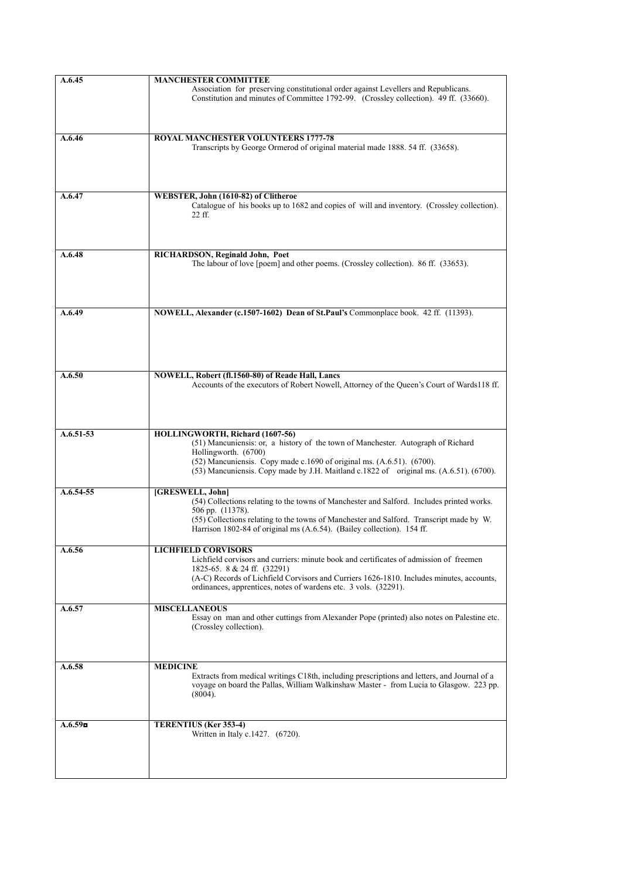| A.6.45      | <b>MANCHESTER COMMITTEE</b>                                                                                                                                                 |
|-------------|-----------------------------------------------------------------------------------------------------------------------------------------------------------------------------|
|             | Association for preserving constitutional order against Levellers and Republicans.<br>Constitution and minutes of Committee 1792-99. (Crossley collection). 49 ff. (33660). |
|             |                                                                                                                                                                             |
| A.6.46      | <b>ROYAL MANCHESTER VOLUNTEERS 1777-78</b>                                                                                                                                  |
|             | Transcripts by George Ormerod of original material made 1888, 54 ff. (33658).                                                                                               |
|             |                                                                                                                                                                             |
|             |                                                                                                                                                                             |
|             |                                                                                                                                                                             |
| A.6.47      | WEBSTER, John (1610-82) of Clitheroe                                                                                                                                        |
|             | Catalogue of his books up to 1682 and copies of will and inventory. (Crossley collection).<br>22 ff.                                                                        |
|             |                                                                                                                                                                             |
|             |                                                                                                                                                                             |
|             |                                                                                                                                                                             |
| A.6.48      | RICHARDSON, Reginald John, Poet<br>The labour of love [poem] and other poems. (Crossley collection). 86 ff. (33653).                                                        |
|             |                                                                                                                                                                             |
|             |                                                                                                                                                                             |
|             |                                                                                                                                                                             |
| A.6.49      | NOWELL, Alexander (c.1507-1602) Dean of St.Paul's Commonplace book. 42 ff. (11393).                                                                                         |
|             |                                                                                                                                                                             |
|             |                                                                                                                                                                             |
|             |                                                                                                                                                                             |
|             |                                                                                                                                                                             |
| A.6.50      | NOWELL, Robert (fl.1560-80) of Reade Hall, Lancs                                                                                                                            |
|             | Accounts of the executors of Robert Nowell, Attorney of the Queen's Court of Wards118 ff.                                                                                   |
|             |                                                                                                                                                                             |
|             |                                                                                                                                                                             |
|             |                                                                                                                                                                             |
| $A.6.51-53$ | HOLLINGWORTH, Richard (1607-56)                                                                                                                                             |
|             | (51) Mancuniensis: or, a history of the town of Manchester. Autograph of Richard<br>Hollingworth. (6700)                                                                    |
|             | (52) Mancuniensis. Copy made c.1690 of original ms. (A.6.51). (6700).                                                                                                       |
|             | (53) Mancuniensis. Copy made by J.H. Maitland c.1822 of original ms. (A.6.51). (6700).                                                                                      |
| A.6.54-55   | [GRESWELL, John]                                                                                                                                                            |
|             | (54) Collections relating to the towns of Manchester and Salford. Includes printed works.                                                                                   |
|             | 506 pp. (11378).                                                                                                                                                            |
|             | (55) Collections relating to the towns of Manchester and Salford. Transcript made by W.<br>Harrison 1802-84 of original ms (A.6.54). (Bailey collection). 154 ff.           |
|             |                                                                                                                                                                             |
| A.6.56      | <b>LICHFIELD CORVISORS</b>                                                                                                                                                  |
|             | Lichfield corvisors and curriers: minute book and certificates of admission of freemen                                                                                      |
|             | 1825-65. 8 & 24 ff. (32291)<br>(A-C) Records of Lichfield Corvisors and Curriers 1626-1810. Includes minutes, accounts,                                                     |
|             | ordinances, apprentices, notes of wardens etc. 3 vols. (32291).                                                                                                             |
|             |                                                                                                                                                                             |
| A.6.57      | <b>MISCELLANEOUS</b><br>Essay on man and other cuttings from Alexander Pope (printed) also notes on Palestine etc.                                                          |
|             | (Crossley collection).                                                                                                                                                      |
|             |                                                                                                                                                                             |
|             |                                                                                                                                                                             |
| A.6.58      | <b>MEDICINE</b>                                                                                                                                                             |
|             | Extracts from medical writings C18th, including prescriptions and letters, and Journal of a                                                                                 |
|             | voyage on board the Pallas, William Walkinshaw Master - from Lucia to Glasgow. 223 pp.                                                                                      |
|             | (8004).                                                                                                                                                                     |
|             |                                                                                                                                                                             |
| A.6.59      | TERENTIUS (Ker 353-4)                                                                                                                                                       |
|             | Written in Italy c.1427. (6720).                                                                                                                                            |
|             |                                                                                                                                                                             |
|             |                                                                                                                                                                             |
|             |                                                                                                                                                                             |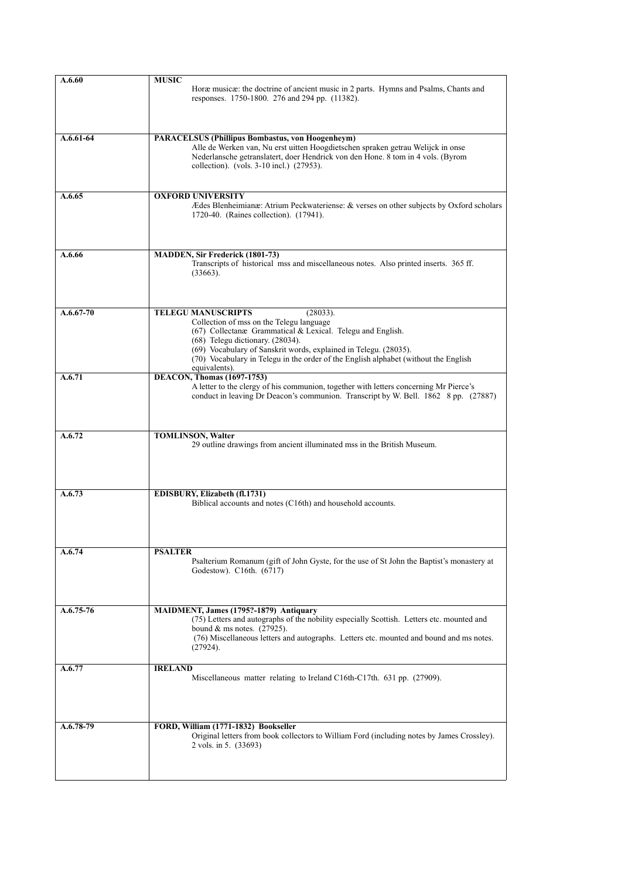| A.6.60      | <b>MUSIC</b><br>Horæ musicæ: the doctrine of ancient music in 2 parts. Hymns and Psalms, Chants and<br>responses. 1750-1800. 276 and 294 pp. (11382).                                                                                                                                                                                                           |
|-------------|-----------------------------------------------------------------------------------------------------------------------------------------------------------------------------------------------------------------------------------------------------------------------------------------------------------------------------------------------------------------|
| $A.6.61-64$ | PARACELSUS (Phillipus Bombastus, von Hoogenheym)<br>Alle de Werken van, Nu erst uitten Hoogdietschen spraken getrau Welijck in onse<br>Nederlansche getranslatert, doer Hendrick von den Hone. 8 tom in 4 vols. (Byrom<br>collection). (vols. 3-10 incl.) (27953).                                                                                              |
| A.6.65      | <b>OXFORD UNIVERSITY</b><br>Ædes Blenheimianæ: Atrium Peckwateriense: & verses on other subjects by Oxford scholars<br>1720-40. (Raines collection). (17941).                                                                                                                                                                                                   |
| A.6.66      | <b>MADDEN, Sir Frederick (1801-73)</b><br>Transcripts of historical mss and miscellaneous notes. Also printed inserts. 365 ff.<br>(33663).                                                                                                                                                                                                                      |
| $A.6.67-70$ | <b>TELEGU MANUSCRIPTS</b><br>(28033).<br>Collection of mss on the Telegu language<br>(67) Collectanæ Grammatical & Lexical. Telegu and English.<br>(68) Telegu dictionary. (28034).<br>(69) Vocabulary of Sanskrit words, explained in Telegu. (28035).<br>(70) Vocabulary in Telegu in the order of the English alphabet (without the English<br>equivalents). |
| A.6.71      | <b>DEACON, Thomas (1697-1753)</b><br>A letter to the clergy of his communion, together with letters concerning Mr Pierce's<br>conduct in leaving Dr Deacon's communion. Transcript by W. Bell. 1862 8 pp. (27887)                                                                                                                                               |
| A.6.72      | TOMLINSON, Walter<br>29 outline drawings from ancient illuminated mss in the British Museum.                                                                                                                                                                                                                                                                    |
| A.6.73      | EDISBURY, Elizabeth (fl.1731)<br>Biblical accounts and notes (C16th) and household accounts.                                                                                                                                                                                                                                                                    |
| A.6.74      | <b>PSALTER</b><br>Psalterium Romanum (gift of John Gyste, for the use of St John the Baptist's monastery at<br>Godestow). C16th. (6717)                                                                                                                                                                                                                         |
| $A.6.75-76$ | MAIDMENT, James (1795?-1879) Antiquary<br>(75) Letters and autographs of the nobility especially Scottish. Letters etc. mounted and<br>bound $&$ ms notes. (27925).<br>(76) Miscellaneous letters and autographs. Letters etc. mounted and bound and ms notes.<br>(27924).                                                                                      |
| A.6.77      | <b>IRELAND</b><br>Miscellaneous matter relating to Ireland C16th-C17th. 631 pp. (27909).                                                                                                                                                                                                                                                                        |
| A.6.78-79   | FORD, William (1771-1832) Bookseller<br>Original letters from book collectors to William Ford (including notes by James Crossley).<br>2 vols. in 5. (33693)                                                                                                                                                                                                     |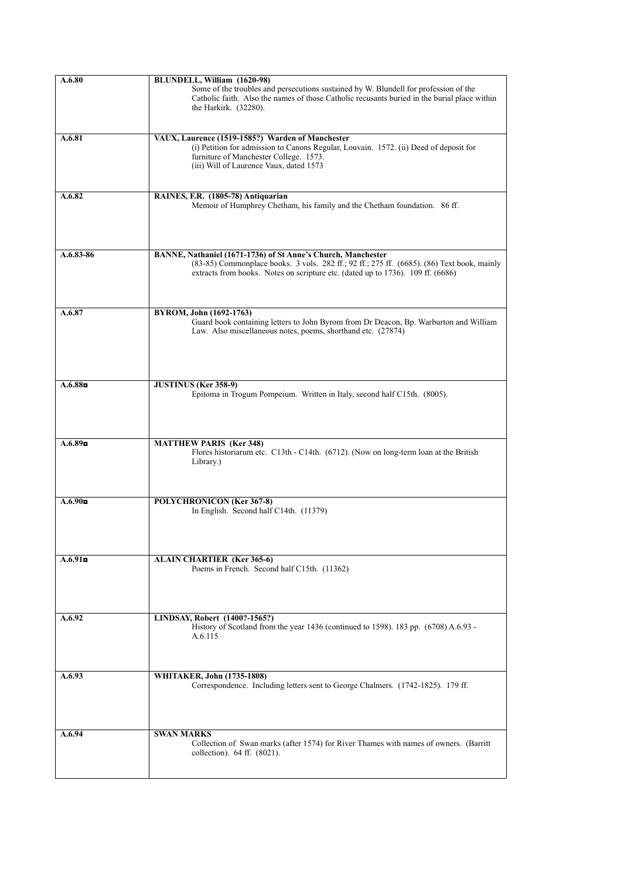| A.6.80              | BLUNDELL, William (1620-98)                                                                                                                                                                                                                   |
|---------------------|-----------------------------------------------------------------------------------------------------------------------------------------------------------------------------------------------------------------------------------------------|
|                     | Some of the troubles and persecutions sustained by W. Blundell for profession of the<br>Catholic faith. Also the names of those Catholic recusants buried in the burial place within<br>the Harkirk. (32280).                                 |
|                     |                                                                                                                                                                                                                                               |
| A.6.81              | VAUX, Laurence (1519-1585?) Warden of Manchester                                                                                                                                                                                              |
|                     | (i) Petition for admission to Canons Regular, Louvain. 1572. (ii) Deed of deposit for<br>furniture of Manchester College. 1573.<br>(iii) Will of Laurence Vaux, dated 1573                                                                    |
| A.6.82              | RAINES, F.R. (1805-78) Antiquarian                                                                                                                                                                                                            |
|                     | Memoir of Humphrey Chetham, his family and the Chetham foundation. 86 ff.                                                                                                                                                                     |
|                     |                                                                                                                                                                                                                                               |
| A.6.83-86           | BANNE, Nathaniel (1671-1736) of St Anne's Church, Manchester<br>(83-85) Commonplace books. 3 vols. 282 ff.; 92 ff.; 275 ff. (6685). (86) Text book, mainly<br>extracts from books. Notes on scripture etc. (dated up to 1736). 109 ff. (6686) |
| A.6.87              | <b>BYROM, John (1692-1763)</b>                                                                                                                                                                                                                |
|                     | Guard book containing letters to John Byrom from Dr Deacon, Bp. Warburton and William<br>Law. Also miscellaneous notes, poems, shorthand etc. (27874)                                                                                         |
|                     |                                                                                                                                                                                                                                               |
| A.6.88 <sub>D</sub> | <b>JUSTINUS</b> (Ker 358-9)<br>Epitoma in Trogum Pompeium. Written in Italy, second half C15th. (8005).                                                                                                                                       |
|                     |                                                                                                                                                                                                                                               |
| A.6.89              | <b>MATTHEW PARIS (Ker 348)</b><br>Flores historiarum etc. C13th - C14th. (6712). (Now on long-term loan at the British<br>Library.)                                                                                                           |
| A.6.90 <sub>D</sub> | POLYCHRONICON (Ker 367-8)<br>In English. Second half C14th. (11379)                                                                                                                                                                           |
|                     |                                                                                                                                                                                                                                               |
| A.6.91              | <b>ALAIN CHARTIER (Ker 365-6)</b><br>Poems in French. Second half C15th. (11362)                                                                                                                                                              |
| A.6.92              | LINDSAY, Robert (1400?-1565?)<br>History of Scotland from the year 1436 (continued to 1598). 183 pp. (6708) A.6.93 -<br>A.6.115                                                                                                               |
|                     |                                                                                                                                                                                                                                               |
| A.6.93              | WHITAKER, John (1735-1808)<br>Correspondence. Including letters sent to George Chalmers. (1742-1825). 179 ff.                                                                                                                                 |
| A.6.94              | <b>SWAN MARKS</b>                                                                                                                                                                                                                             |
|                     | Collection of Swan marks (after 1574) for River Thames with names of owners. (Barritt<br>collection). 64 ff. (8021).                                                                                                                          |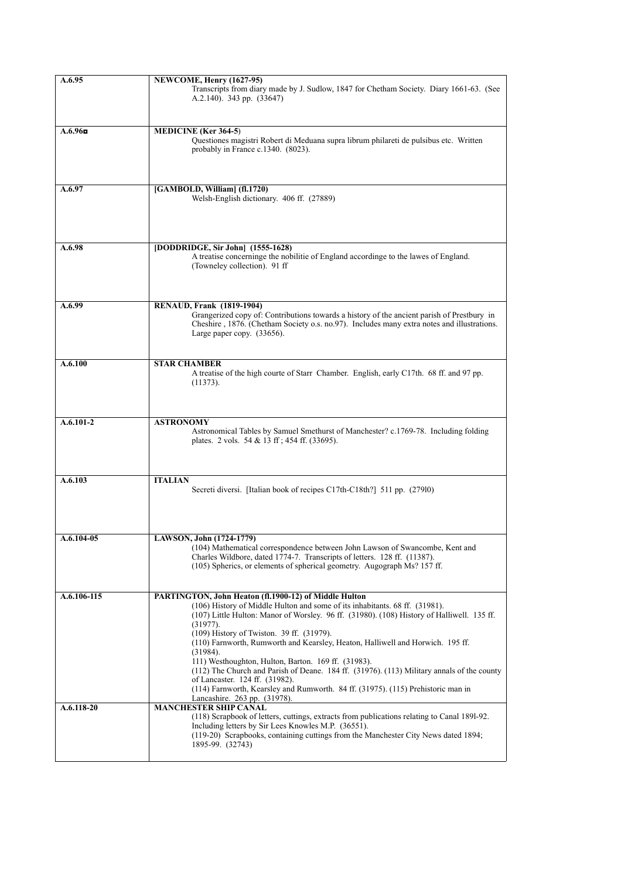| A.6.95      | NEWCOME, Henry (1627-95)                                                                                                                                                                                                                                                                                                                                                                                                                                                                                                                                                                                                                                                    |
|-------------|-----------------------------------------------------------------------------------------------------------------------------------------------------------------------------------------------------------------------------------------------------------------------------------------------------------------------------------------------------------------------------------------------------------------------------------------------------------------------------------------------------------------------------------------------------------------------------------------------------------------------------------------------------------------------------|
|             | Transcripts from diary made by J. Sudlow, 1847 for Chetham Society. Diary 1661-63. (See<br>A.2.140). 343 pp. (33647)                                                                                                                                                                                                                                                                                                                                                                                                                                                                                                                                                        |
| A.6.96      | <b>MEDICINE</b> (Ker 364-5)                                                                                                                                                                                                                                                                                                                                                                                                                                                                                                                                                                                                                                                 |
|             | Questiones magistri Robert di Meduana supra librum philareti de pulsibus etc. Written<br>probably in France c.1340. (8023).                                                                                                                                                                                                                                                                                                                                                                                                                                                                                                                                                 |
| A.6.97      | [GAMBOLD, William] (fl.1720)<br>Welsh-English dictionary. 406 ff. (27889)                                                                                                                                                                                                                                                                                                                                                                                                                                                                                                                                                                                                   |
| A.6.98      | [DODDRIDGE, Sir John] (1555-1628)<br>A treatise concerninge the nobilitie of England accordinge to the lawes of England.<br>(Towneley collection). 91 ff                                                                                                                                                                                                                                                                                                                                                                                                                                                                                                                    |
| A.6.99      | <b>RENAUD, Frank (1819-1904)</b>                                                                                                                                                                                                                                                                                                                                                                                                                                                                                                                                                                                                                                            |
|             | Grangerized copy of: Contributions towards a history of the ancient parish of Prestbury in<br>Cheshire, 1876. (Chetham Society o.s. no.97). Includes many extra notes and illustrations.<br>Large paper copy. (33656).                                                                                                                                                                                                                                                                                                                                                                                                                                                      |
| A.6.100     | <b>STAR CHAMBER</b>                                                                                                                                                                                                                                                                                                                                                                                                                                                                                                                                                                                                                                                         |
|             | A treatise of the high courte of Starr Chamber. English, early C17th. 68 ff. and 97 pp.<br>(11373).                                                                                                                                                                                                                                                                                                                                                                                                                                                                                                                                                                         |
| $A.6.101-2$ | <b>ASTRONOMY</b><br>Astronomical Tables by Samuel Smethurst of Manchester? c.1769-78. Including folding<br>plates. 2 vols. 54 & 13 ff; 454 ff. (33695).                                                                                                                                                                                                                                                                                                                                                                                                                                                                                                                     |
| A.6.103     | <b>ITALIAN</b><br>Secreti diversi. [Italian book of recipes C17th-C18th?] 511 pp. (27910)                                                                                                                                                                                                                                                                                                                                                                                                                                                                                                                                                                                   |
| A.6.104-05  | LAWSON, John (1724-1779)<br>(104) Mathematical correspondence between John Lawson of Swancombe, Kent and<br>Charles Wildbore, dated 1774-7. Transcripts of letters. 128 ff. (11387).<br>(105) Spherics, or elements of spherical geometry. Augograph Ms? 157 ff.                                                                                                                                                                                                                                                                                                                                                                                                            |
|             |                                                                                                                                                                                                                                                                                                                                                                                                                                                                                                                                                                                                                                                                             |
| A.6.106-115 | PARTINGTON, John Heaton (fl.1900-12) of Middle Hulton<br>(106) History of Middle Hulton and some of its inhabitants. 68 ff. (31981).<br>(107) Little Hulton: Manor of Worsley. 96 ff. (31980). (108) History of Halliwell. 135 ff.<br>(31977).<br>(109) History of Twiston. 39 ff. (31979).<br>(110) Farnworth, Rumworth and Kearsley, Heaton, Halliwell and Horwich. 195 ff.<br>(31984).<br>111) Westhoughton, Hulton, Barton. 169 ff. (31983).<br>$(112)$ The Church and Parish of Deane. 184 ff. $(31976)$ . $(113)$ Military annals of the county<br>of Lancaster. 124 ff. (31982).<br>(114) Farnworth, Kearsley and Rumworth. 84 ff. (31975). (115) Prehistoric man in |
| A.6.118-20  | Lancashire. 263 pp. (31978).<br><b>MANCHESTER SHIP CANAL</b><br>(118) Scrapbook of letters, cuttings, extracts from publications relating to Canal 1891-92.<br>Including letters by Sir Lees Knowles M.P. (36551).<br>(119-20) Scrapbooks, containing cuttings from the Manchester City News dated 1894;<br>1895-99. (32743)                                                                                                                                                                                                                                                                                                                                                |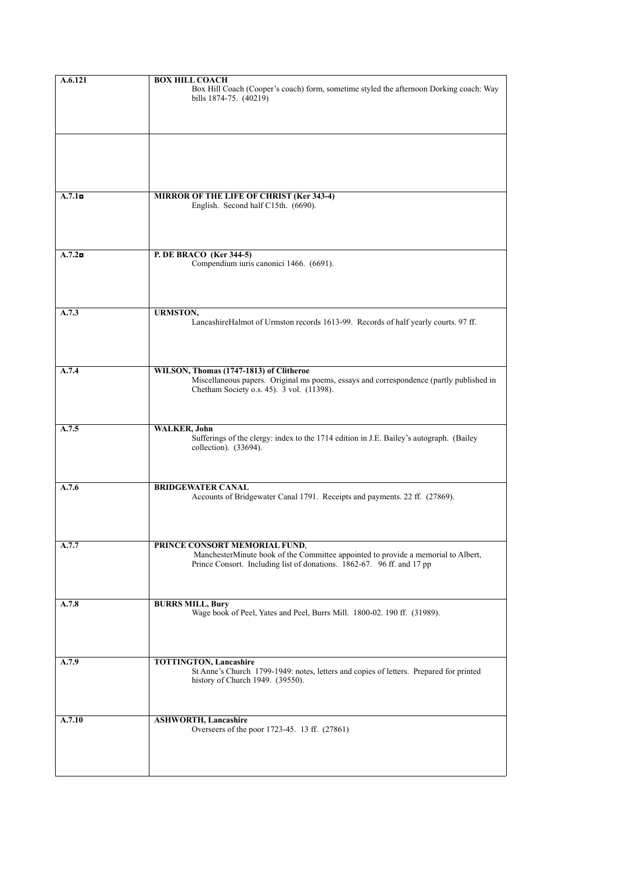| A.6.121             | <b>BOX HILL COACH</b>                                                                                                                                                                        |
|---------------------|----------------------------------------------------------------------------------------------------------------------------------------------------------------------------------------------|
|                     | Box Hill Coach (Cooper's coach) form, sometime styled the afternoon Dorking coach: Way<br>bills 1874-75. (40219)                                                                             |
|                     |                                                                                                                                                                                              |
|                     |                                                                                                                                                                                              |
| A.7.1 <sub>II</sub> | MIRROR OF THE LIFE OF CHRIST (Ker 343-4)                                                                                                                                                     |
|                     | English. Second half C15th. (6690).                                                                                                                                                          |
| A.7.2n              | P. DE BRACO (Ker 344-5)                                                                                                                                                                      |
|                     | Compendium iuris canonici 1466. (6691).                                                                                                                                                      |
| A.7.3               | <b>URMSTON,</b>                                                                                                                                                                              |
|                     | LancashireHalmot of Urmston records 1613-99. Records of half yearly courts. 97 ff.                                                                                                           |
|                     |                                                                                                                                                                                              |
| A.7.4               | WILSON, Thomas (1747-1813) of Clitheroe<br>Miscellaneous papers. Original ms poems, essays and correspondence (partly published in<br>Chetham Society o.s. 45). 3 vol. (11398).              |
|                     |                                                                                                                                                                                              |
| A.7.5               | <b>WALKER, John</b><br>Sufferings of the clergy: index to the 1714 edition in J.E. Bailey's autograph. (Bailey<br>collection). (33694).                                                      |
|                     |                                                                                                                                                                                              |
| A.7.6               | <b>BRIDGEWATER CANAL</b><br>Accounts of Bridgewater Canal 1791. Receipts and payments. 22 ff. (27869).                                                                                       |
|                     |                                                                                                                                                                                              |
| A.7.7               | PRINCE CONSORT MEMORIAL FUND,<br>ManchesterMinute book of the Committee appointed to provide a memorial to Albert,<br>Prince Consort. Including list of donations. 1862-67. 96 ff. and 17 pp |
|                     |                                                                                                                                                                                              |
| A.7.8               | <b>BURRS MILL, Bury</b><br>Wage book of Peel, Yates and Peel, Burrs Mill. 1800-02. 190 ff. (31989).                                                                                          |
|                     |                                                                                                                                                                                              |
| A.7.9               | <b>TOTTINGTON, Lancashire</b><br>St Anne's Church 1799-1949: notes, letters and copies of letters. Prepared for printed<br>history of Church 1949. (39550).                                  |
| A.7.10              |                                                                                                                                                                                              |
|                     | <b>ASHWORTH, Lancashire</b><br>Overseers of the poor 1723-45. 13 ff. (27861)                                                                                                                 |
|                     |                                                                                                                                                                                              |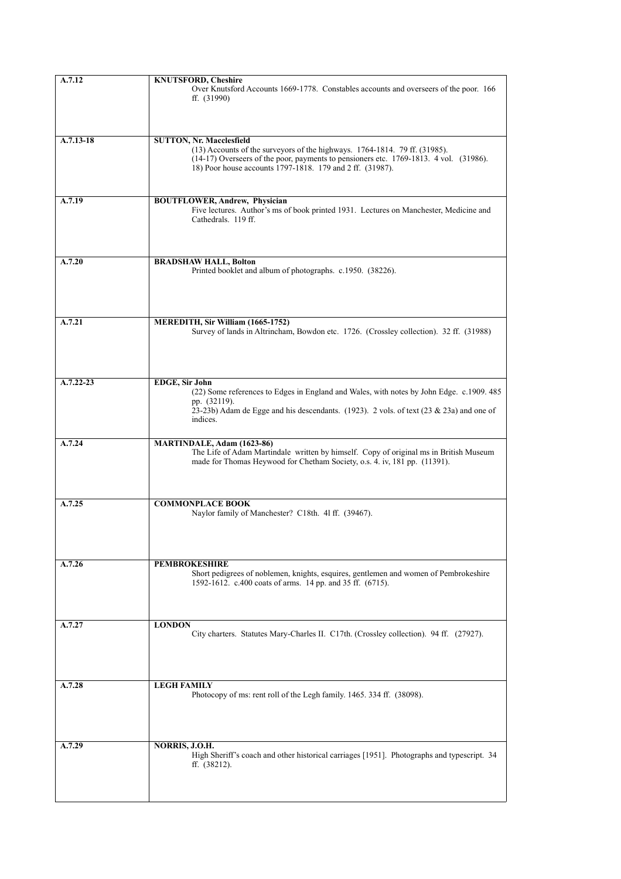| A.7.12        | <b>KNUTSFORD, Cheshire</b>                                                                                                                                         |
|---------------|--------------------------------------------------------------------------------------------------------------------------------------------------------------------|
|               | Over Knutsford Accounts 1669-1778. Constables accounts and overseers of the poor. 166<br>ff. $(31990)$                                                             |
|               |                                                                                                                                                                    |
|               |                                                                                                                                                                    |
| A.7.13-18     | <b>SUTTON, Nr. Macclesfield</b><br>$(13)$ Accounts of the surveyors of the highways. 1764-1814. 79 ff. $(31985)$ .                                                 |
|               | (14-17) Overseers of the poor, payments to pensioners etc. 1769-1813. 4 vol. (31986).                                                                              |
|               | 18) Poor house accounts 1797-1818. 179 and 2 ff. (31987).                                                                                                          |
|               |                                                                                                                                                                    |
| A.7.19        | <b>BOUTFLOWER, Andrew, Physician</b><br>Five lectures. Author's ms of book printed 1931. Lectures on Manchester, Medicine and                                      |
|               | Cathedrals. 119 ff.                                                                                                                                                |
|               |                                                                                                                                                                    |
|               |                                                                                                                                                                    |
| A.7.20        | <b>BRADSHAW HALL, Bolton</b><br>Printed booklet and album of photographs. c.1950. (38226).                                                                         |
|               |                                                                                                                                                                    |
|               |                                                                                                                                                                    |
| A.7.21        | MEREDITH, Sir William (1665-1752)                                                                                                                                  |
|               | Survey of lands in Altrincham, Bowdon etc. 1726. (Crossley collection). 32 ff. (31988)                                                                             |
|               |                                                                                                                                                                    |
|               |                                                                                                                                                                    |
| $A.7.22 - 23$ | <b>EDGE, Sir John</b>                                                                                                                                              |
|               | (22) Some references to Edges in England and Wales, with notes by John Edge. c.1909. 485<br>pp. (32119).                                                           |
|               | 23-23b) Adam de Egge and his descendants. (1923). 2 vols. of text (23 & 23a) and one of                                                                            |
|               | indices.                                                                                                                                                           |
| A.7.24        | <b>MARTINDALE, Adam (1623-86)</b>                                                                                                                                  |
|               | The Life of Adam Martindale written by himself. Copy of original ms in British Museum<br>made for Thomas Heywood for Chetham Society, o.s. 4. iv, 181 pp. (11391). |
|               |                                                                                                                                                                    |
|               |                                                                                                                                                                    |
| A.7.25        | <b>COMMONPLACE BOOK</b><br>Naylor family of Manchester? C18th. 41 ff. (39467).                                                                                     |
|               |                                                                                                                                                                    |
|               |                                                                                                                                                                    |
|               |                                                                                                                                                                    |
| A.7.26        | <b>PEMBROKESHIRE</b><br>Short pedigrees of noblemen, knights, esquires, gentlemen and women of Pembrokeshire                                                       |
|               | 1592-1612. c.400 coats of arms. 14 pp. and 35 ff. (6715).                                                                                                          |
|               |                                                                                                                                                                    |
|               |                                                                                                                                                                    |
| A.7.27        | <b>LONDON</b><br>City charters. Statutes Mary-Charles II. C17th. (Crossley collection). 94 ff. (27927).                                                            |
|               |                                                                                                                                                                    |
|               |                                                                                                                                                                    |
| A.7.28        | <b>LEGH FAMILY</b>                                                                                                                                                 |
|               | Photocopy of ms: rent roll of the Legh family. 1465. 334 ff. (38098).                                                                                              |
|               |                                                                                                                                                                    |
|               |                                                                                                                                                                    |
| A.7.29        | NORRIS, J.O.H.                                                                                                                                                     |
|               | High Sheriff's coach and other historical carriages [1951]. Photographs and typescript. 34<br>ff. $(38212)$ .                                                      |
|               |                                                                                                                                                                    |
|               |                                                                                                                                                                    |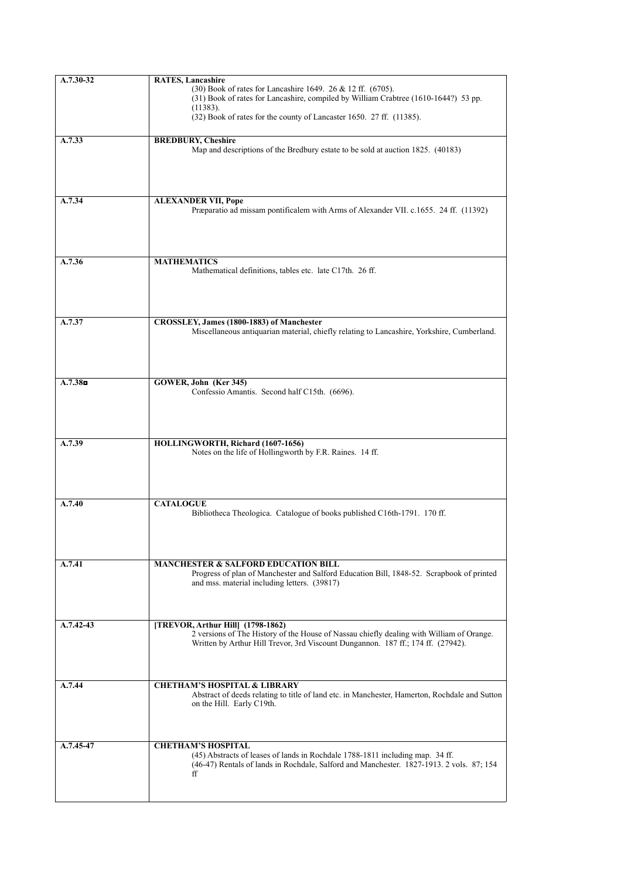| $A.7.30-32$         | <b>RATES, Lancashire</b>                                                                                                                |
|---------------------|-----------------------------------------------------------------------------------------------------------------------------------------|
|                     | (30) Book of rates for Lancashire 1649. 26 & 12 ff. (6705).                                                                             |
|                     | (31) Book of rates for Lancashire, compiled by William Crabtree (1610-1644?) 53 pp.                                                     |
|                     | (11383).                                                                                                                                |
|                     | (32) Book of rates for the county of Lancaster 1650. 27 ff. (11385).                                                                    |
|                     |                                                                                                                                         |
| A.7.33              | <b>BREDBURY, Cheshire</b>                                                                                                               |
|                     | Map and descriptions of the Bredbury estate to be sold at auction 1825. (40183)                                                         |
|                     |                                                                                                                                         |
|                     |                                                                                                                                         |
|                     |                                                                                                                                         |
| A.7.34              | <b>ALEXANDER VII, Pope</b>                                                                                                              |
|                     | Præparatio ad missam pontificalem with Arms of Alexander VII. c.1655. 24 ff. (11392)                                                    |
|                     |                                                                                                                                         |
|                     |                                                                                                                                         |
|                     |                                                                                                                                         |
|                     |                                                                                                                                         |
| A.7.36              | <b>MATHEMATICS</b>                                                                                                                      |
|                     | Mathematical definitions, tables etc. late C17th. 26 ff.                                                                                |
|                     |                                                                                                                                         |
|                     |                                                                                                                                         |
|                     |                                                                                                                                         |
|                     |                                                                                                                                         |
| A.7.37              | CROSSLEY, James (1800-1883) of Manchester<br>Miscellaneous antiquarian material, chiefly relating to Lancashire, Yorkshire, Cumberland. |
|                     |                                                                                                                                         |
|                     |                                                                                                                                         |
|                     |                                                                                                                                         |
|                     |                                                                                                                                         |
| A.7.38 <sub>n</sub> | GOWER, John (Ker 345)                                                                                                                   |
|                     | Confessio Amantis. Second half C15th. (6696).                                                                                           |
|                     |                                                                                                                                         |
|                     |                                                                                                                                         |
|                     |                                                                                                                                         |
|                     |                                                                                                                                         |
| A.7.39              | HOLLINGWORTH, Richard (1607-1656)                                                                                                       |
|                     | Notes on the life of Hollingworth by F.R. Raines. 14 ff.                                                                                |
|                     |                                                                                                                                         |
|                     |                                                                                                                                         |
|                     |                                                                                                                                         |
| A.7.40              | <b>CATALOGUE</b>                                                                                                                        |
|                     | Bibliotheca Theologica. Catalogue of books published C16th-1791. 170 ff.                                                                |
|                     |                                                                                                                                         |
|                     |                                                                                                                                         |
|                     |                                                                                                                                         |
|                     |                                                                                                                                         |
| A.7.41              | <b>MANCHESTER &amp; SALFORD EDUCATION BILL</b>                                                                                          |
|                     | Progress of plan of Manchester and Salford Education Bill, 1848-52. Scrapbook of printed                                                |
|                     | and mss. material including letters. (39817)                                                                                            |
|                     |                                                                                                                                         |
|                     |                                                                                                                                         |
| A.7.42-43           | [TREVOR, Arthur Hill] (1798-1862)                                                                                                       |
|                     | 2 versions of The History of the House of Nassau chiefly dealing with William of Orange.                                                |
|                     | Written by Arthur Hill Trevor, 3rd Viscount Dungannon. 187 ff.; 174 ff. (27942).                                                        |
|                     |                                                                                                                                         |
|                     |                                                                                                                                         |
|                     |                                                                                                                                         |
| A.7.44              | <b>CHETHAM'S HOSPITAL &amp; LIBRARY</b>                                                                                                 |
|                     | Abstract of deeds relating to title of land etc. in Manchester, Hamerton, Rochdale and Sutton                                           |
|                     | on the Hill. Early C19th.                                                                                                               |
|                     |                                                                                                                                         |
|                     |                                                                                                                                         |
| A.7.45-47           | <b>CHETHAM'S HOSPITAL</b>                                                                                                               |
|                     | (45) Abstracts of leases of lands in Rochdale 1788-1811 including map. 34 ff.                                                           |
|                     | (46-47) Rentals of lands in Rochdale, Salford and Manchester. 1827-1913. 2 vols. 87; 154                                                |
|                     | ff                                                                                                                                      |
|                     |                                                                                                                                         |
|                     |                                                                                                                                         |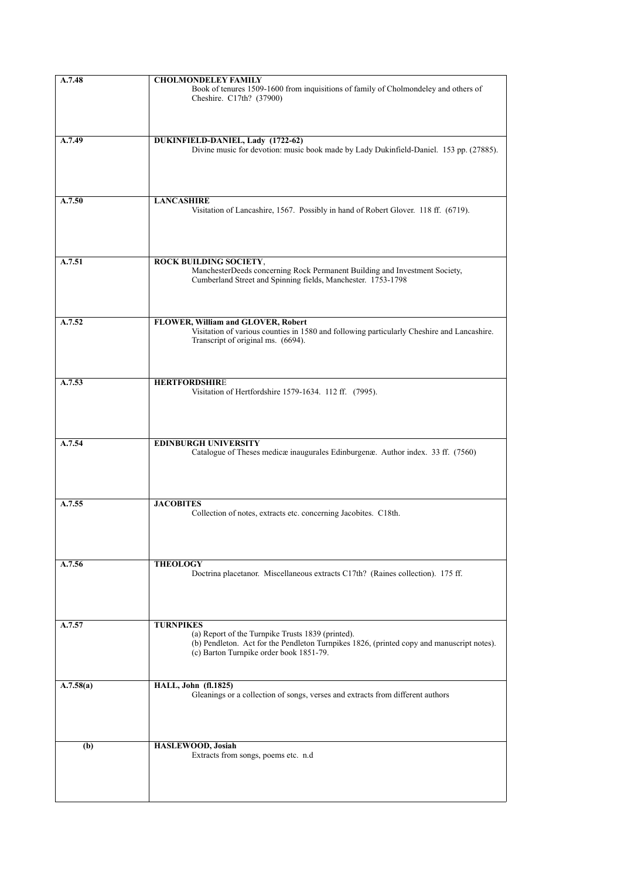| A.7.48    | <b>CHOLMONDELEY FAMILY</b>                                                                 |
|-----------|--------------------------------------------------------------------------------------------|
|           | Book of tenures 1509-1600 from inquisitions of family of Cholmondeley and others of        |
|           | Cheshire. C17th? (37900)                                                                   |
|           |                                                                                            |
|           |                                                                                            |
|           |                                                                                            |
| A.7.49    | DUKINFIELD-DANIEL, Lady (1722-62)                                                          |
|           | Divine music for devotion: music book made by Lady Dukinfield-Daniel. 153 pp. (27885).     |
|           |                                                                                            |
|           |                                                                                            |
|           |                                                                                            |
|           |                                                                                            |
| A.7.50    | <b>LANCASHIRE</b>                                                                          |
|           | Visitation of Lancashire, 1567. Possibly in hand of Robert Glover. 118 ff. (6719).         |
|           |                                                                                            |
|           |                                                                                            |
|           |                                                                                            |
|           |                                                                                            |
| A.7.51    | ROCK BUILDING SOCIETY,                                                                     |
|           | ManchesterDeeds concerning Rock Permanent Building and Investment Society,                 |
|           | Cumberland Street and Spinning fields, Manchester. 1753-1798                               |
|           |                                                                                            |
|           |                                                                                            |
|           |                                                                                            |
| A.7.52    | FLOWER, William and GLOVER, Robert                                                         |
|           | Visitation of various counties in 1580 and following particularly Cheshire and Lancashire. |
|           | Transcript of original ms. (6694).                                                         |
|           |                                                                                            |
|           |                                                                                            |
|           |                                                                                            |
| A.7.53    | <b>HERTFORDSHIRE</b>                                                                       |
|           | Visitation of Hertfordshire 1579-1634. 112 ff. (7995).                                     |
|           |                                                                                            |
|           |                                                                                            |
|           |                                                                                            |
|           |                                                                                            |
| A.7.54    | <b>EDINBURGH UNIVERSITY</b>                                                                |
|           | Catalogue of Theses medicæ inaugurales Edinburgenæ. Author index. 33 ff. (7560)            |
|           |                                                                                            |
|           |                                                                                            |
|           |                                                                                            |
|           |                                                                                            |
| A.7.55    | <b>JACOBITES</b>                                                                           |
|           | Collection of notes, extracts etc. concerning Jacobites. C18th.                            |
|           |                                                                                            |
|           |                                                                                            |
|           |                                                                                            |
|           |                                                                                            |
| A.7.56    | <b>THEOLOGY</b>                                                                            |
|           | Doctrina placetanor. Miscellaneous extracts C17th? (Raines collection). 175 ff.            |
|           |                                                                                            |
|           |                                                                                            |
|           |                                                                                            |
|           |                                                                                            |
| A.7.57    | <b>TURNPIKES</b><br>(a) Report of the Turnpike Trusts 1839 (printed).                      |
|           | (b) Pendleton. Act for the Pendleton Turnpikes 1826, (printed copy and manuscript notes).  |
|           | (c) Barton Turnpike order book 1851-79.                                                    |
|           |                                                                                            |
|           |                                                                                            |
| A.7.58(a) | <b>HALL, John (fl.1825)</b>                                                                |
|           | Gleanings or a collection of songs, verses and extracts from different authors             |
|           |                                                                                            |
|           |                                                                                            |
|           |                                                                                            |
|           |                                                                                            |
| (b)       | HASLEWOOD, Josiah                                                                          |
|           | Extracts from songs, poems etc. n.d                                                        |
|           |                                                                                            |
|           |                                                                                            |
|           |                                                                                            |
|           |                                                                                            |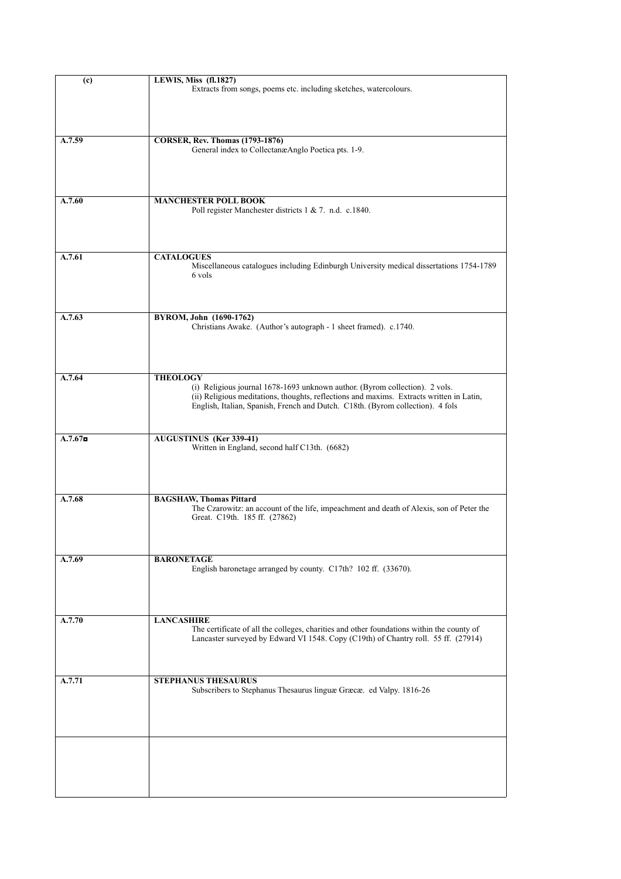| (c)        | <b>LEWIS, Miss (fl.1827)</b>                                                                                                                                                                                                                                                 |
|------------|------------------------------------------------------------------------------------------------------------------------------------------------------------------------------------------------------------------------------------------------------------------------------|
|            | Extracts from songs, poems etc. including sketches, watercolours.                                                                                                                                                                                                            |
| A.7.59     | <b>CORSER, Rev. Thomas (1793-1876)</b><br>General index to CollectanæAnglo Poetica pts. 1-9.                                                                                                                                                                                 |
| A.7.60     | <b>MANCHESTER POLL BOOK</b><br>Poll register Manchester districts 1 & 7. n.d. c.1840.                                                                                                                                                                                        |
| A.7.61     | <b>CATALOGUES</b><br>Miscellaneous catalogues including Edinburgh University medical dissertations 1754-1789<br>6 vols                                                                                                                                                       |
| A.7.63     | BYROM, John (1690-1762)<br>Christians Awake. (Author's autograph - 1 sheet framed). c.1740.                                                                                                                                                                                  |
| A.7.64     | <b>THEOLOGY</b><br>(i) Religious journal 1678-1693 unknown author. (Byrom collection). 2 vols.<br>(ii) Religious meditations, thoughts, reflections and maxims. Extracts written in Latin,<br>English, Italian, Spanish, French and Dutch. C18th. (Byrom collection). 4 fols |
| $A.7.67$ n | <b>AUGUSTINUS</b> (Ker 339-41)<br>Written in England, second half C13th. (6682)                                                                                                                                                                                              |
| A.7.68     | <b>BAGSHAW, Thomas Pittard</b><br>The Czarowitz: an account of the life, impeachment and death of Alexis, son of Peter the<br>Great. C19th. 185 ff. (27862)                                                                                                                  |
| A.7.69     | <b>BARONETAGE</b><br>English baronetage arranged by county. C17th? 102 ff. (33670).                                                                                                                                                                                          |
| A.7.70     | <b>LANCASHIRE</b><br>The certificate of all the colleges, charities and other foundations within the county of<br>Lancaster surveyed by Edward VI 1548. Copy (C19th) of Chantry roll. 55 ff. (27914)                                                                         |
| A.7.71     | <b>STEPHANUS THESAURUS</b><br>Subscribers to Stephanus Thesaurus linguæ Græcæ. ed Valpy. 1816-26                                                                                                                                                                             |
|            |                                                                                                                                                                                                                                                                              |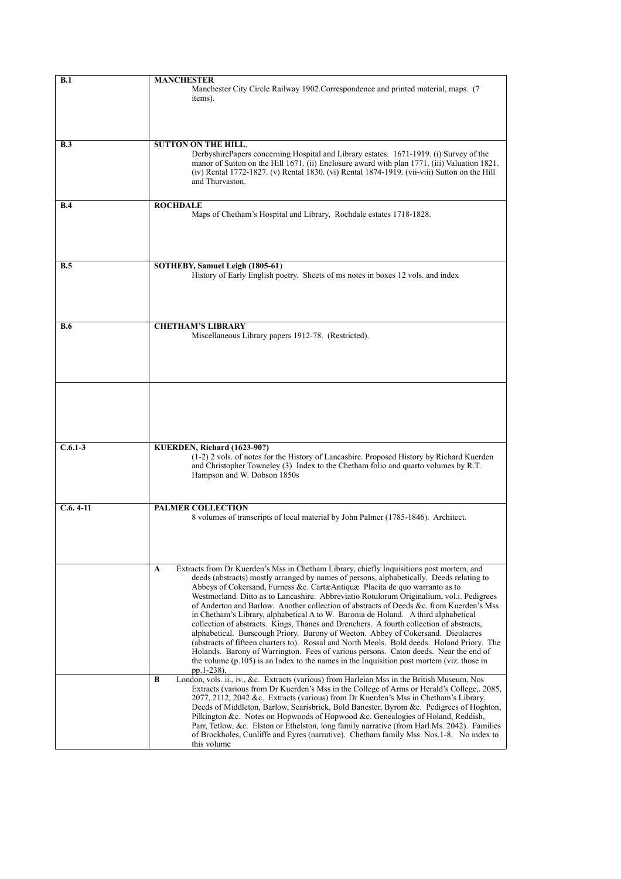| B.1        | MANCHESTER<br>Manchester City Circle Railway 1902. Correspondence and printed material, maps. (7<br>items).                                                                                                                                                                                                                                                                                                                                                                                                                                                                                                                                                                                                                                                                                                                                                                                                                                                                                                                             |
|------------|-----------------------------------------------------------------------------------------------------------------------------------------------------------------------------------------------------------------------------------------------------------------------------------------------------------------------------------------------------------------------------------------------------------------------------------------------------------------------------------------------------------------------------------------------------------------------------------------------------------------------------------------------------------------------------------------------------------------------------------------------------------------------------------------------------------------------------------------------------------------------------------------------------------------------------------------------------------------------------------------------------------------------------------------|
| B.3        | <b>SUTTON ON THE HILL.</b><br>DerbyshirePapers concerning Hospital and Library estates. 1671-1919. (i) Survey of the<br>manor of Sutton on the Hill 1671. (ii) Enclosure award with plan 1771. (iii) Valuation 1821.<br>(iv) Rental 1772-1827. (v) Rental 1830. (vi) Rental 1874-1919. (vii-viii) Sutton on the Hill<br>and Thuryaston                                                                                                                                                                                                                                                                                                                                                                                                                                                                                                                                                                                                                                                                                                  |
| B.4        | <b>ROCHDALE</b><br>Maps of Chetham's Hospital and Library, Rochdale estates 1718-1828.                                                                                                                                                                                                                                                                                                                                                                                                                                                                                                                                                                                                                                                                                                                                                                                                                                                                                                                                                  |
| <b>B.5</b> | SOTHEBY, Samuel Leigh (1805-61)<br>History of Early English poetry. Sheets of ms notes in boxes 12 vols. and index                                                                                                                                                                                                                                                                                                                                                                                                                                                                                                                                                                                                                                                                                                                                                                                                                                                                                                                      |
| <b>B.6</b> | <b>CHETHAM'S LIBRARY</b><br>Miscellaneous Library papers 1912-78. (Restricted).                                                                                                                                                                                                                                                                                                                                                                                                                                                                                                                                                                                                                                                                                                                                                                                                                                                                                                                                                         |
|            |                                                                                                                                                                                                                                                                                                                                                                                                                                                                                                                                                                                                                                                                                                                                                                                                                                                                                                                                                                                                                                         |
| $C.6.1-3$  | KUERDEN, Richard (1623-90?)<br>(1-2) 2 vols. of notes for the History of Lancashire. Proposed History by Richard Kuerden<br>and Christopher Towneley (3) Index to the Chetham folio and quarto volumes by R.T.<br>Hampson and W. Dobson 1850s                                                                                                                                                                                                                                                                                                                                                                                                                                                                                                                                                                                                                                                                                                                                                                                           |
| $C.6.4-11$ | <b>PALMER COLLECTION</b><br>8 volumes of transcripts of local material by John Palmer (1785-1846). Architect.                                                                                                                                                                                                                                                                                                                                                                                                                                                                                                                                                                                                                                                                                                                                                                                                                                                                                                                           |
|            | Extracts from Dr Kuerden's Mss in Chetham Library, chiefly Inquisitions post mortem, and<br>A<br>deeds (abstracts) mostly arranged by names of persons, alphabetically. Deeds relating to<br>Abbeys of Cokersand, Furness &c. CartæAntiquæ Placita de quo warranto as to<br>Westmorland. Ditto as to Lancashire. Abbreviatio Rotulorum Originalium, vol.i. Pedigrees<br>of Anderton and Barlow. Another collection of abstracts of Deeds &c. from Kuerden's Mss<br>in Chetham's Library, alphabetical A to W. Baronia de Holand. A third alphabetical<br>collection of abstracts. Kings, Thanes and Drenchers. A fourth collection of abstracts,<br>alphabetical. Burscough Priory. Barony of Weeton. Abbey of Cokersand. Dieulacres<br>(abstracts of fifteen charters to). Rossal and North Meols. Bold deeds. Holand Priory. The<br>Holands. Barony of Warrington. Fees of various persons. Caton deeds. Near the end of<br>the volume $(p.105)$ is an Index to the names in the Inquisition post mortem (viz. those in<br>pp.1-238). |
|            | London, vols. ii., iv., &c. Extracts (various) from Harleian Mss in the British Museum, Nos<br>B<br>Extracts (various from Dr Kuerden's Mss in the College of Arms or Herald's College, 2085,<br>2077, 2112, 2042 &c. Extracts (various) from Dr Kuerden's Mss in Chetham's Library.<br>Deeds of Middleton, Barlow, Scarisbrick, Bold Banester, Byrom &c. Pedigrees of Hoghton,<br>Pilkington &c. Notes on Hopwoods of Hopwood &c. Genealogies of Holand, Reddish,<br>Parr, Tetlow, &c. Elston or Ethelston, long family narrative (from Harl.Ms. 2042). Families<br>of Brockholes, Cunliffe and Eyres (narrative). Chetham family Mss. Nos.1-8. No index to<br>this volume                                                                                                                                                                                                                                                                                                                                                             |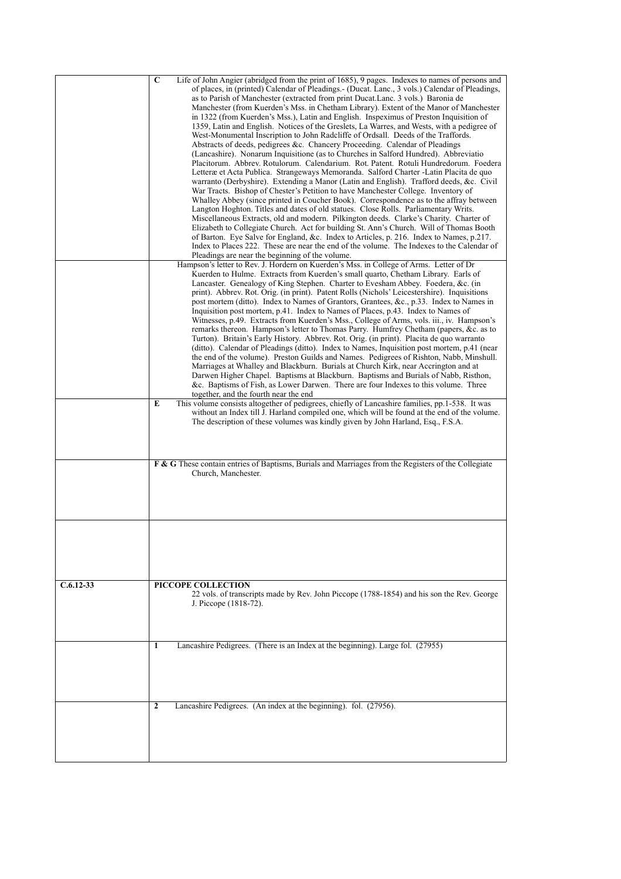|               | $\overline{\mathbf{c}}$<br>Life of John Angier (abridged from the print of 1685), 9 pages. Indexes to names of persons and<br>of places, in (printed) Calendar of Pleadings. - (Ducat. Lanc., 3 vols.) Calendar of Pleadings,                                                                                                                                                                                                                                                                                                                                                                                                                                                            |
|---------------|------------------------------------------------------------------------------------------------------------------------------------------------------------------------------------------------------------------------------------------------------------------------------------------------------------------------------------------------------------------------------------------------------------------------------------------------------------------------------------------------------------------------------------------------------------------------------------------------------------------------------------------------------------------------------------------|
|               | as to Parish of Manchester (extracted from print Ducat.Lanc. 3 vols.) Baronia de<br>Manchester (from Kuerden's Mss. in Chetham Library). Extent of the Manor of Manchester<br>in 1322 (from Kuerden's Mss.), Latin and English. Inspeximus of Preston Inquisition of<br>1359, Latin and English. Notices of the Greslets, La Warres, and Wests, with a pedigree of<br>West-Monumental Inscription to John Radcliffe of Ordsall. Deeds of the Traffords.                                                                                                                                                                                                                                  |
|               | Abstracts of deeds, pedigrees &c. Chancery Proceeding. Calendar of Pleadings<br>(Lancashire). Nonarum Inquisitione (as to Churches in Salford Hundred). Abbreviatio<br>Placitorum. Abbrev. Rotulorum. Calendarium. Rot. Patent. Rotuli Hundredorum. Foedera<br>Letteræ et Acta Publica. Strangeways Memoranda. Salford Charter - Latin Placita de quo                                                                                                                                                                                                                                                                                                                                    |
|               | warranto (Derbyshire). Extending a Manor (Latin and English). Trafford deeds, &c. Civil<br>War Tracts. Bishop of Chester's Petition to have Manchester College. Inventory of<br>Whalley Abbey (since printed in Coucher Book). Correspondence as to the affray between<br>Langton Hoghton. Titles and dates of old statues. Close Rolls. Parliamentary Writs.<br>Miscellaneous Extracts, old and modern. Pilkington deeds. Clarke's Charity. Charter of                                                                                                                                                                                                                                  |
|               | Elizabeth to Collegiate Church. Act for building St. Ann's Church. Will of Thomas Booth<br>of Barton. Eye Salve for England, &c. Index to Articles, p. 216. Index to Names, p.217.<br>Index to Places 222. These are near the end of the volume. The Indexes to the Calendar of<br>Pleadings are near the beginning of the volume.                                                                                                                                                                                                                                                                                                                                                       |
|               | Hampson's letter to Rev. J. Hordern on Kuerden's Mss. in College of Arms. Letter of Dr<br>Kuerden to Hulme. Extracts from Kuerden's small quarto, Chetham Library. Earls of<br>Lancaster. Genealogy of King Stephen. Charter to Evesham Abbey. Foedera, &c. (in<br>print). Abbrev. Rot. Orig. (in print). Patent Rolls (Nichols' Leicestershire). Inquisitions<br>post mortem (ditto). Index to Names of Grantors, Grantees, &c., p.33. Index to Names in<br>Inquisition post mortem, p.41. Index to Names of Places, p.43. Index to Names of<br>Witnesses, p.49. Extracts from Kuerden's Mss., College of Arms, vols. iii., iv. Hampson's                                               |
|               | remarks thereon. Hampson's letter to Thomas Parry. Humfrey Chetham (papers, &c. as to<br>Turton). Britain's Early History. Abbrev. Rot. Orig. (in print). Placita de quo warranto<br>(ditto). Calendar of Pleadings (ditto). Index to Names, Inquisition post mortem, p.41 (near<br>the end of the volume). Preston Guilds and Names. Pedigrees of Rishton, Nabb, Minshull.<br>Marriages at Whalley and Blackburn. Burials at Church Kirk, near Accrington and at<br>Darwen Higher Chapel. Baptisms at Blackburn. Baptisms and Burials of Nabb, Risthon,<br>&c. Baptisms of Fish, as Lower Darwen. There are four Indexes to this volume. Three<br>together, and the fourth near the end |
|               | This volume consists altogether of pedigrees, chiefly of Lancashire families, pp.1-538. It was<br>E<br>without an Index till J. Harland compiled one, which will be found at the end of the volume.<br>The description of these volumes was kindly given by John Harland, Esq., F.S.A.                                                                                                                                                                                                                                                                                                                                                                                                   |
|               | F & G These contain entries of Baptisms, Burials and Marriages from the Registers of the Collegiate<br>Church, Manchester.                                                                                                                                                                                                                                                                                                                                                                                                                                                                                                                                                               |
|               |                                                                                                                                                                                                                                                                                                                                                                                                                                                                                                                                                                                                                                                                                          |
| $C.6.12 - 33$ | PICCOPE COLLECTION<br>22 vols. of transcripts made by Rev. John Piccope (1788-1854) and his son the Rev. George<br>J. Piccope (1818-72).                                                                                                                                                                                                                                                                                                                                                                                                                                                                                                                                                 |
|               | Lancashire Pedigrees. (There is an Index at the beginning). Large fol. (27955)<br>1                                                                                                                                                                                                                                                                                                                                                                                                                                                                                                                                                                                                      |
|               | Lancashire Pedigrees. (An index at the beginning). fol. (27956).<br>$\mathbf{2}$                                                                                                                                                                                                                                                                                                                                                                                                                                                                                                                                                                                                         |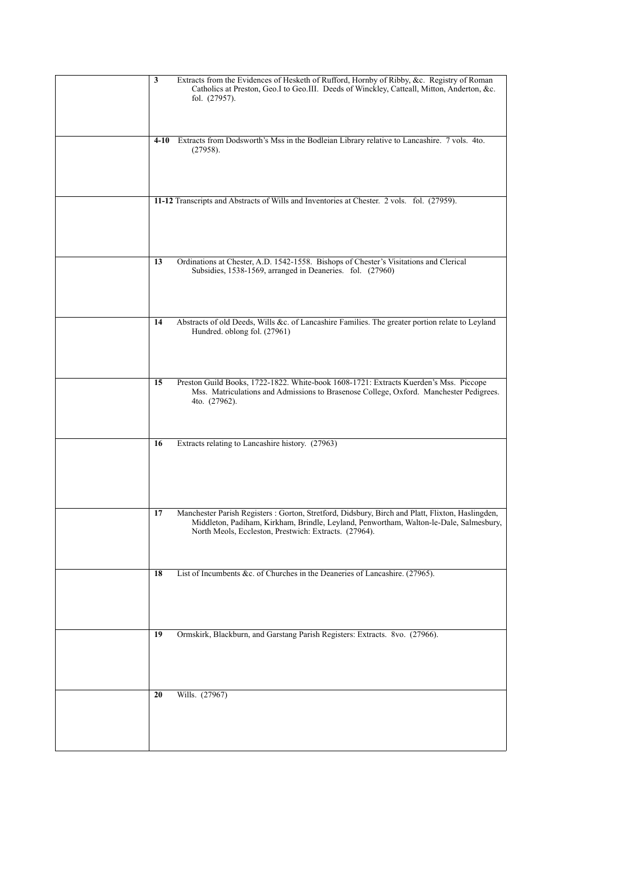| 3<br>Extracts from the Evidences of Hesketh of Rufford, Hornby of Ribby, &c. Registry of Roman<br>Catholics at Preston, Geo.I to Geo.III. Deeds of Winckley, Catteall, Mitton, Anderton, &c.<br>fol. (27957).                                             |
|-----------------------------------------------------------------------------------------------------------------------------------------------------------------------------------------------------------------------------------------------------------|
| Extracts from Dodsworth's Mss in the Bodleian Library relative to Lancashire. 7 vols. 4to.<br>$4 - 10$<br>(27958).                                                                                                                                        |
| 11-12 Transcripts and Abstracts of Wills and Inventories at Chester. 2 vols. fol. (27959).                                                                                                                                                                |
| Ordinations at Chester, A.D. 1542-1558. Bishops of Chester's Visitations and Clerical<br>13<br>Subsidies, 1538-1569, arranged in Deaneries. fol. (27960)                                                                                                  |
| Abstracts of old Deeds, Wills &c. of Lancashire Families. The greater portion relate to Leyland<br>14<br>Hundred. oblong fol. (27961)                                                                                                                     |
| 15<br>Preston Guild Books, 1722-1822. White-book 1608-1721: Extracts Kuerden's Mss. Piccope<br>Mss. Matriculations and Admissions to Brasenose College, Oxford. Manchester Pedigrees.<br>4to. (27962).                                                    |
| Extracts relating to Lancashire history. (27963)<br>16                                                                                                                                                                                                    |
| Manchester Parish Registers : Gorton, Stretford, Didsbury, Birch and Platt, Flixton, Haslingden,<br>17<br>Middleton, Padiham, Kirkham, Brindle, Leyland, Penwortham, Walton-le-Dale, Salmesbury,<br>North Meols, Eccleston, Prestwich: Extracts. (27964). |
| List of Incumbents &c. of Churches in the Deaneries of Lancashire. (27965).<br>18                                                                                                                                                                         |
| Ormskirk, Blackburn, and Garstang Parish Registers: Extracts. 8vo. (27966).<br>19                                                                                                                                                                         |
| Wills. (27967)<br>20                                                                                                                                                                                                                                      |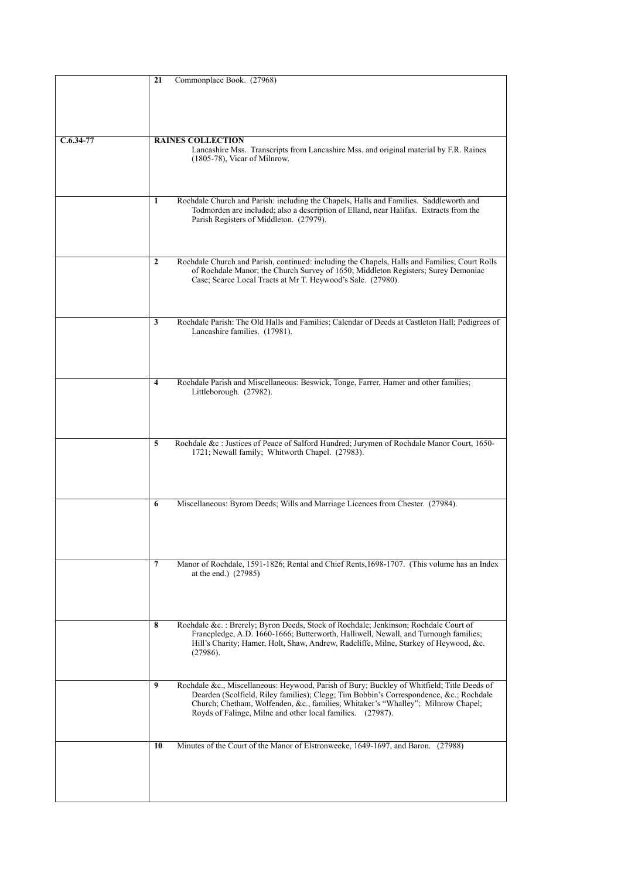|             | 21<br>Commonplace Book. (27968)                                                                                                                                                      |
|-------------|--------------------------------------------------------------------------------------------------------------------------------------------------------------------------------------|
|             |                                                                                                                                                                                      |
|             |                                                                                                                                                                                      |
|             |                                                                                                                                                                                      |
|             |                                                                                                                                                                                      |
| $C.6.34-77$ | <b>RAINES COLLECTION</b>                                                                                                                                                             |
|             | Lancashire Mss. Transcripts from Lancashire Mss. and original material by F.R. Raines<br>$(1805-78)$ , Vicar of Milnrow.                                                             |
|             |                                                                                                                                                                                      |
|             |                                                                                                                                                                                      |
|             |                                                                                                                                                                                      |
|             | Rochdale Church and Parish: including the Chapels, Halls and Families. Saddleworth and<br>1<br>Todmorden are included; also a description of Elland, near Halifax. Extracts from the |
|             | Parish Registers of Middleton. (27979).                                                                                                                                              |
|             |                                                                                                                                                                                      |
|             |                                                                                                                                                                                      |
|             | Rochdale Church and Parish, continued: including the Chapels, Halls and Families; Court Rolls<br>$\mathbf{2}$                                                                        |
|             | of Rochdale Manor; the Church Survey of 1650; Middleton Registers; Surey Demoniac                                                                                                    |
|             | Case; Scarce Local Tracts at Mr T. Heywood's Sale. (27980).                                                                                                                          |
|             |                                                                                                                                                                                      |
|             |                                                                                                                                                                                      |
|             | Rochdale Parish: The Old Halls and Families; Calendar of Deeds at Castleton Hall; Pedigrees of<br>3                                                                                  |
|             | Lancashire families. (17981).                                                                                                                                                        |
|             |                                                                                                                                                                                      |
|             |                                                                                                                                                                                      |
|             |                                                                                                                                                                                      |
|             | Rochdale Parish and Miscellaneous: Beswick, Tonge, Farrer, Hamer and other families;<br>$\overline{\mathbf{4}}$                                                                      |
|             | Littleborough. (27982).                                                                                                                                                              |
|             |                                                                                                                                                                                      |
|             |                                                                                                                                                                                      |
|             |                                                                                                                                                                                      |
|             | Rochdale &c : Justices of Peace of Salford Hundred; Jurymen of Rochdale Manor Court, 1650-<br>5<br>1721; Newall family; Whitworth Chapel. (27983).                                   |
|             |                                                                                                                                                                                      |
|             |                                                                                                                                                                                      |
|             |                                                                                                                                                                                      |
|             | Miscellaneous: Byrom Deeds; Wills and Marriage Licences from Chester. (27984).<br>6                                                                                                  |
|             |                                                                                                                                                                                      |
|             |                                                                                                                                                                                      |
|             |                                                                                                                                                                                      |
|             |                                                                                                                                                                                      |
|             | 7<br>Manor of Rochdale, 1591-1826; Rental and Chief Rents, 1698-1707. (This volume has an Index<br>at the end.) (27985)                                                              |
|             |                                                                                                                                                                                      |
|             |                                                                                                                                                                                      |
|             |                                                                                                                                                                                      |
|             | 8<br>Rochdale &c.: Brerely; Byron Deeds, Stock of Rochdale; Jenkinson; Rochdale Court of                                                                                             |
|             | Francpledge, A.D. 1660-1666; Butterworth, Halliwell, Newall, and Turnough families;                                                                                                  |
|             | Hill's Charity; Hamer, Holt, Shaw, Andrew, Radcliffe, Milne, Starkey of Heywood, &c.                                                                                                 |
|             | (27986).                                                                                                                                                                             |
|             |                                                                                                                                                                                      |
|             | 9<br>Rochdale &c., Miscellaneous: Heywood, Parish of Bury; Buckley of Whitfield; Title Deeds of                                                                                      |
|             | Dearden (Scolfield, Riley families); Clegg; Tim Bobbin's Correspondence, &c. Rochdale<br>Church; Chetham, Wolfenden, &c., families; Whitaker's "Whalley"; Milnrow Chapel;            |
|             | Royds of Falinge, Milne and other local families. (27987).                                                                                                                           |
|             |                                                                                                                                                                                      |
|             |                                                                                                                                                                                      |
|             | Minutes of the Court of the Manor of Elstronweeke, 1649-1697, and Baron. (27988)<br>10                                                                                               |
|             |                                                                                                                                                                                      |
|             |                                                                                                                                                                                      |
|             |                                                                                                                                                                                      |
|             |                                                                                                                                                                                      |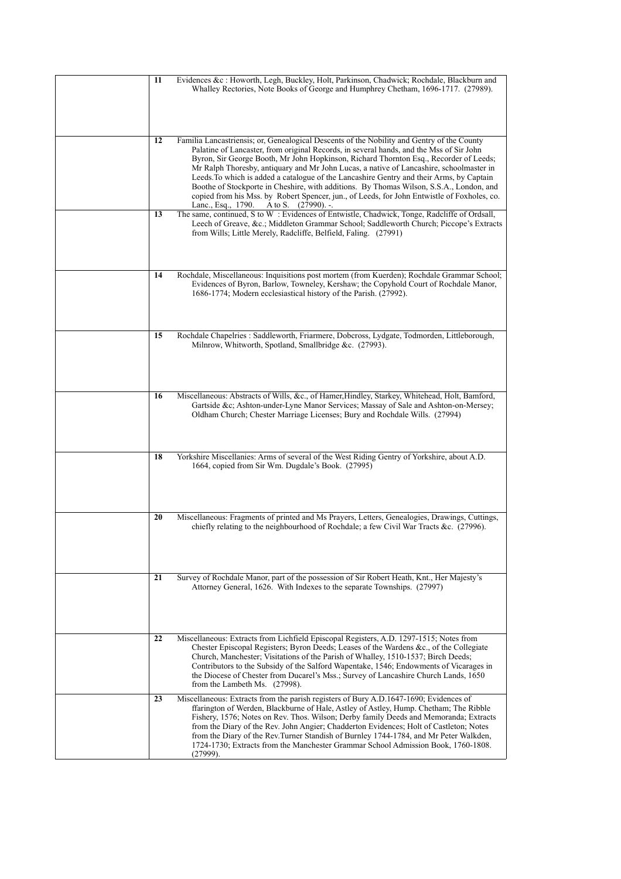| Evidences &c : Howorth, Legh, Buckley, Holt, Parkinson, Chadwick; Rochdale, Blackburn and<br>11<br>Whalley Rectories, Note Books of George and Humphrey Chetham, 1696-1717. (27989).                                                                                                                                                                                                                                                                                                                                                                                                                                                                                                                                  |
|-----------------------------------------------------------------------------------------------------------------------------------------------------------------------------------------------------------------------------------------------------------------------------------------------------------------------------------------------------------------------------------------------------------------------------------------------------------------------------------------------------------------------------------------------------------------------------------------------------------------------------------------------------------------------------------------------------------------------|
| 12<br>Familia Lancastriensis; or, Genealogical Descents of the Nobility and Gentry of the County<br>Palatine of Lancaster, from original Records, in several hands, and the Mss of Sir John<br>Byron, Sir George Booth, Mr John Hopkinson, Richard Thornton Esq., Recorder of Leeds;<br>Mr Ralph Thoresby, antiquary and Mr John Lucas, a native of Lancashire, schoolmaster in<br>Leeds. To which is added a catalogue of the Lancashire Gentry and their Arms, by Captain<br>Boothe of Stockporte in Cheshire, with additions. By Thomas Wilson, S.S.A., London, and<br>copied from his Mss. by Robert Spencer, jun., of Leeds, for John Entwistle of Foxholes, co.<br>A to S. $(27990)$ . -.<br>Lanc., Esq., 1790. |
| The same, continued, S to W: Evidences of Entwistle, Chadwick, Tonge, Radcliffe of Ordsall,<br>13<br>Leech of Greave, &c. Middleton Grammar School; Saddleworth Church; Piccope's Extracts<br>from Wills; Little Merely, Radcliffe, Belfield, Faling. (27991)                                                                                                                                                                                                                                                                                                                                                                                                                                                         |
| Rochdale, Miscellaneous: Inquisitions post mortem (from Kuerden); Rochdale Grammar School;<br>14<br>Evidences of Byron, Barlow, Towneley, Kershaw; the Copyhold Court of Rochdale Manor,<br>1686-1774; Modern ecclesiastical history of the Parish. (27992).                                                                                                                                                                                                                                                                                                                                                                                                                                                          |
| Rochdale Chapelries : Saddleworth, Friarmere, Dobcross, Lydgate, Todmorden, Littleborough,<br>15<br>Milnrow, Whitworth, Spotland, Smallbridge &c. (27993).                                                                                                                                                                                                                                                                                                                                                                                                                                                                                                                                                            |
| Miscellaneous: Abstracts of Wills, &c., of Hamer, Hindley, Starkey, Whitehead, Holt, Bamford,<br>16<br>Gartside &c Ashton-under-Lyne Manor Services; Massay of Sale and Ashton-on-Mersey;<br>Oldham Church; Chester Marriage Licenses; Bury and Rochdale Wills. (27994)                                                                                                                                                                                                                                                                                                                                                                                                                                               |
| Yorkshire Miscellanies: Arms of several of the West Riding Gentry of Yorkshire, about A.D.<br>18<br>1664, copied from Sir Wm. Dugdale's Book. (27995)                                                                                                                                                                                                                                                                                                                                                                                                                                                                                                                                                                 |
| 20<br>Miscellaneous: Fragments of printed and Ms Prayers, Letters, Genealogies, Drawings, Cuttings,<br>chiefly relating to the neighbourhood of Rochdale; a few Civil War Tracts &c. $(27996)$ .                                                                                                                                                                                                                                                                                                                                                                                                                                                                                                                      |
| 21<br>Survey of Rochdale Manor, part of the possession of Sir Robert Heath, Knt., Her Majesty's<br>Attorney General, 1626. With Indexes to the separate Townships. (27997)                                                                                                                                                                                                                                                                                                                                                                                                                                                                                                                                            |
| 22<br>Miscellaneous: Extracts from Lichfield Episcopal Registers, A.D. 1297-1515; Notes from<br>Chester Episcopal Registers; Byron Deeds; Leases of the Wardens &c., of the Collegiate<br>Church, Manchester; Visitations of the Parish of Whalley, 1510-1537; Birch Deeds;<br>Contributors to the Subsidy of the Salford Wapentake, 1546; Endowments of Vicarages in<br>the Diocese of Chester from Ducarel's Mss.; Survey of Lancashire Church Lands, 1650<br>from the Lambeth Ms. (27998).                                                                                                                                                                                                                         |
| Miscellaneous: Extracts from the parish registers of Bury A.D.1647-1690; Evidences of<br>23<br>ffarington of Werden, Blackburne of Hale, Astley of Astley, Hump. Chetham; The Ribble<br>Fishery, 1576; Notes on Rev. Thos. Wilson; Derby family Deeds and Memoranda; Extracts<br>from the Diary of the Rev. John Angier; Chadderton Evidences; Holt of Castleton; Notes<br>from the Diary of the Rev.Turner Standish of Burnley 1744-1784, and Mr Peter Walkden,<br>1724-1730; Extracts from the Manchester Grammar School Admission Book, 1760-1808.<br>$(27999)$ .                                                                                                                                                  |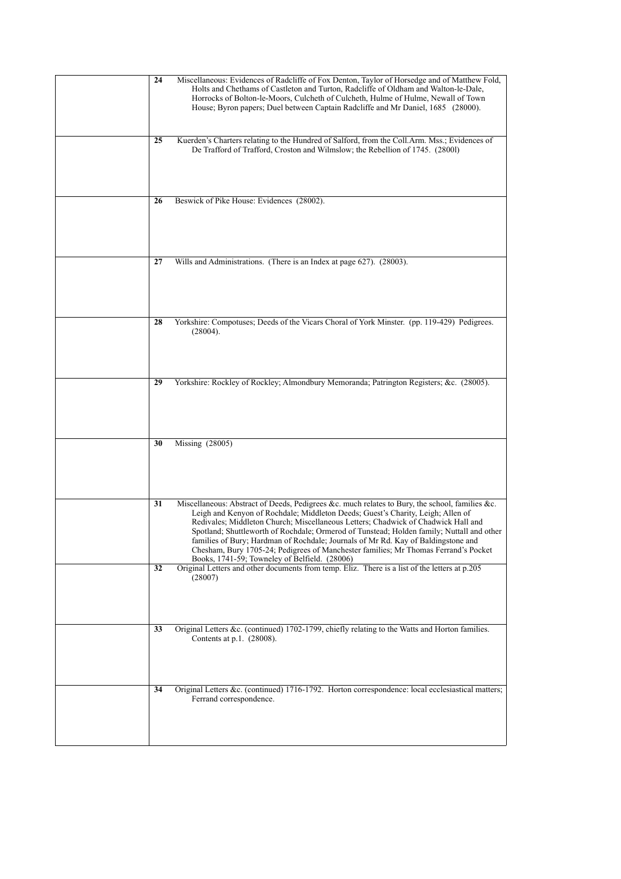| 24 | Miscellaneous: Evidences of Radcliffe of Fox Denton, Taylor of Horsedge and of Matthew Fold,<br>Holts and Chethams of Castleton and Turton, Radcliffe of Oldham and Walton-le-Dale,<br>Horrocks of Bolton-le-Moors, Culcheth of Culcheth, Hulme of Hulme, Newall of Town<br>House; Byron papers; Duel between Captain Radcliffe and Mr Daniel, 1685 (28000).                                                                                                                                                                                                                                     |
|----|--------------------------------------------------------------------------------------------------------------------------------------------------------------------------------------------------------------------------------------------------------------------------------------------------------------------------------------------------------------------------------------------------------------------------------------------------------------------------------------------------------------------------------------------------------------------------------------------------|
| 25 | Kuerden's Charters relating to the Hundred of Salford, from the Coll.Arm. Mss.; Evidences of<br>De Trafford of Trafford, Croston and Wilmslow; the Rebellion of 1745. (28001)                                                                                                                                                                                                                                                                                                                                                                                                                    |
| 26 | Beswick of Pike House: Evidences (28002).                                                                                                                                                                                                                                                                                                                                                                                                                                                                                                                                                        |
| 27 | Wills and Administrations. (There is an Index at page 627). (28003).                                                                                                                                                                                                                                                                                                                                                                                                                                                                                                                             |
| 28 | Yorkshire: Compotuses; Deeds of the Vicars Choral of York Minster. (pp. 119-429) Pedigrees.<br>(28004).                                                                                                                                                                                                                                                                                                                                                                                                                                                                                          |
| 29 | Yorkshire: Rockley of Rockley; Almondbury Memoranda; Patrington Registers; &c. (28005).                                                                                                                                                                                                                                                                                                                                                                                                                                                                                                          |
| 30 | Missing (28005)                                                                                                                                                                                                                                                                                                                                                                                                                                                                                                                                                                                  |
| 31 | Miscellaneous: Abstract of Deeds, Pedigrees &c. much relates to Bury, the school, families &c.<br>Leigh and Kenyon of Rochdale; Middleton Deeds; Guest's Charity, Leigh; Allen of<br>Redivales; Middleton Church; Miscellaneous Letters; Chadwick of Chadwick Hall and<br>Spotland; Shuttleworth of Rochdale; Ormerod of Tunstead; Holden family; Nuttall and other<br>families of Bury; Hardman of Rochdale; Journals of Mr Rd. Kay of Baldingstone and<br>Chesham, Bury 1705-24; Pedigrees of Manchester families; Mr Thomas Ferrand's Pocket<br>Books, 1741-59; Towneley of Belfield. (28006) |
| 32 | Original Letters and other documents from temp. Eliz. There is a list of the letters at p.205<br>(28007)                                                                                                                                                                                                                                                                                                                                                                                                                                                                                         |
| 33 | Original Letters &c. (continued) 1702-1799, chiefly relating to the Watts and Horton families.<br>Contents at p.1. (28008).                                                                                                                                                                                                                                                                                                                                                                                                                                                                      |
| 34 | Original Letters &c. (continued) 1716-1792. Horton correspondence: local ecclesiastical matters;<br>Ferrand correspondence.                                                                                                                                                                                                                                                                                                                                                                                                                                                                      |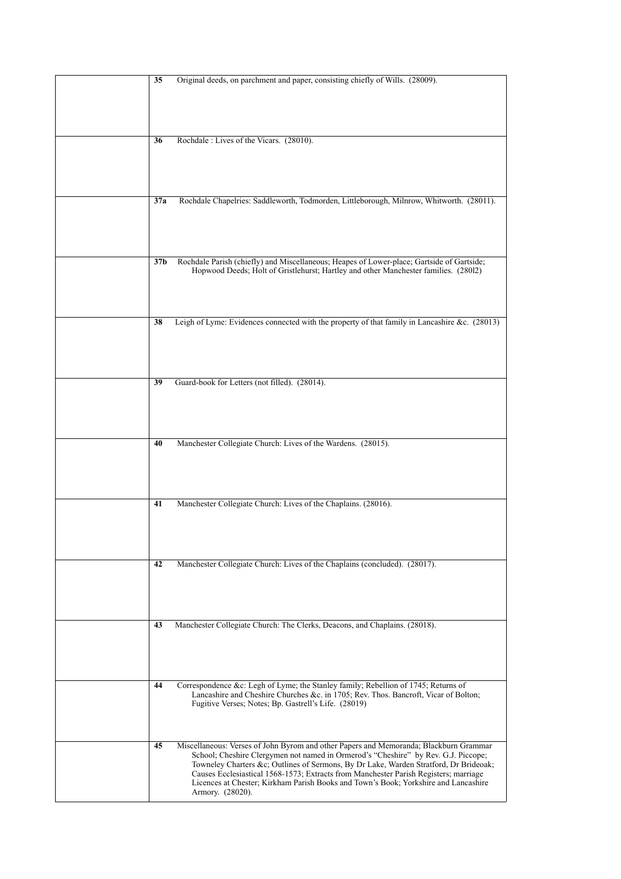| 35              | Original deeds, on parchment and paper, consisting chiefly of Wills. (28009).                                                                                               |
|-----------------|-----------------------------------------------------------------------------------------------------------------------------------------------------------------------------|
|                 |                                                                                                                                                                             |
|                 |                                                                                                                                                                             |
| 36              | Rochdale: Lives of the Vicars. (28010).                                                                                                                                     |
|                 |                                                                                                                                                                             |
|                 |                                                                                                                                                                             |
|                 |                                                                                                                                                                             |
| 37a             | Rochdale Chapelries: Saddleworth, Todmorden, Littleborough, Milnrow, Whitworth. (28011).                                                                                    |
|                 |                                                                                                                                                                             |
|                 |                                                                                                                                                                             |
| 37 <sub>b</sub> | Rochdale Parish (chiefly) and Miscellaneous; Heapes of Lower-place; Gartside of Gartside;                                                                                   |
|                 | Hopwood Deeds; Holt of Gristlehurst; Hartley and other Manchester families. (28012)                                                                                         |
|                 |                                                                                                                                                                             |
|                 |                                                                                                                                                                             |
| 38              | Leigh of Lyme: Evidences connected with the property of that family in Lancashire &c. (28013)                                                                               |
|                 |                                                                                                                                                                             |
|                 |                                                                                                                                                                             |
| 39              | Guard-book for Letters (not filled). (28014).                                                                                                                               |
|                 |                                                                                                                                                                             |
|                 |                                                                                                                                                                             |
|                 |                                                                                                                                                                             |
| 40              | Manchester Collegiate Church: Lives of the Wardens. (28015).                                                                                                                |
|                 |                                                                                                                                                                             |
|                 |                                                                                                                                                                             |
| 41              | Manchester Collegiate Church: Lives of the Chaplains. (28016).                                                                                                              |
|                 |                                                                                                                                                                             |
|                 |                                                                                                                                                                             |
|                 |                                                                                                                                                                             |
| 42              | Manchester Collegiate Church: Lives of the Chaplains (concluded). (28017).                                                                                                  |
|                 |                                                                                                                                                                             |
|                 |                                                                                                                                                                             |
| 43              | Manchester Collegiate Church: The Clerks, Deacons, and Chaplains. (28018).                                                                                                  |
|                 |                                                                                                                                                                             |
|                 |                                                                                                                                                                             |
| 44              | Correspondence &c: Legh of Lyme; the Stanley family; Rebellion of 1745; Returns of                                                                                          |
|                 | Lancashire and Cheshire Churches &c. in 1705; Rev. Thos. Bancroft, Vicar of Bolton;                                                                                         |
|                 | Fugitive Verses; Notes; Bp. Gastrell's Life. (28019)                                                                                                                        |
|                 |                                                                                                                                                                             |
| 45              | Miscellaneous: Verses of John Byrom and other Papers and Memoranda; Blackburn Grammar<br>School; Cheshire Clergymen not named in Ormerod's "Cheshire" by Rev. G.J. Piccope; |
|                 | Towneley Charters &c Outlines of Sermons, By Dr Lake, Warden Stratford, Dr Brideoak;                                                                                        |
|                 | Causes Ecclesiastical 1568-1573; Extracts from Manchester Parish Registers; marriage<br>Licences at Chester; Kirkham Parish Books and Town's Book; Yorkshire and Lancashire |
|                 | Armory. (28020).                                                                                                                                                            |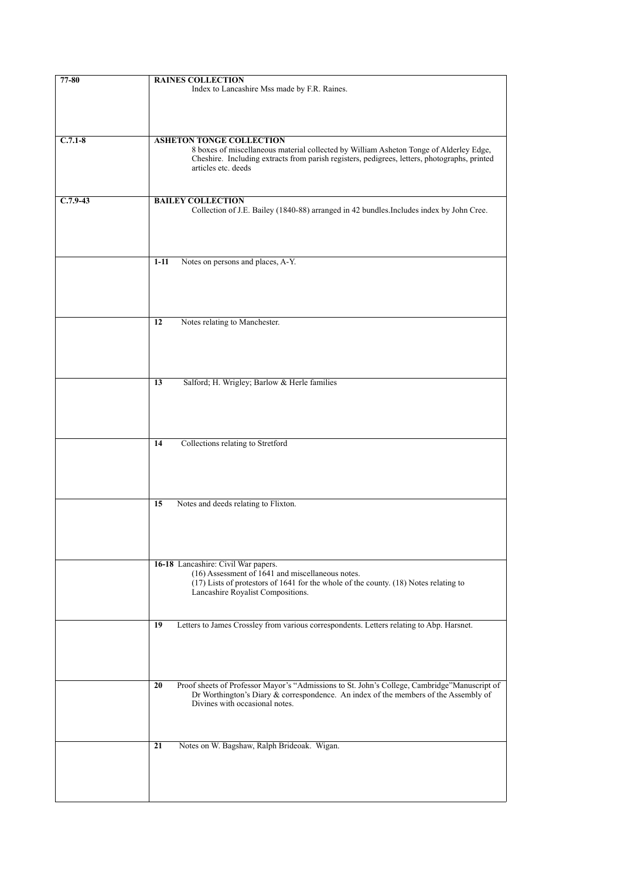| 77-80      | <b>RAINES COLLECTION</b>                                                                                            |
|------------|---------------------------------------------------------------------------------------------------------------------|
|            | Index to Lancashire Mss made by F.R. Raines.                                                                        |
|            |                                                                                                                     |
|            |                                                                                                                     |
|            |                                                                                                                     |
|            |                                                                                                                     |
| $C.7.1-8$  | <b>ASHETON TONGE COLLECTION</b>                                                                                     |
|            | 8 boxes of miscellaneous material collected by William Asheton Tonge of Alderley Edge,                              |
|            | Cheshire. Including extracts from parish registers, pedigrees, letters, photographs, printed<br>articles etc. deeds |
|            |                                                                                                                     |
|            |                                                                                                                     |
| $C.7.9-43$ | <b>BAILEY COLLECTION</b>                                                                                            |
|            | Collection of J.E. Bailey (1840-88) arranged in 42 bundles. Includes index by John Cree.                            |
|            |                                                                                                                     |
|            |                                                                                                                     |
|            |                                                                                                                     |
|            |                                                                                                                     |
|            | Notes on persons and places, A-Y.<br>$1 - 11$                                                                       |
|            |                                                                                                                     |
|            |                                                                                                                     |
|            |                                                                                                                     |
|            |                                                                                                                     |
|            |                                                                                                                     |
|            | Notes relating to Manchester.<br>12                                                                                 |
|            |                                                                                                                     |
|            |                                                                                                                     |
|            |                                                                                                                     |
|            |                                                                                                                     |
|            | Salford; H. Wrigley; Barlow & Herle families<br>13                                                                  |
|            |                                                                                                                     |
|            |                                                                                                                     |
|            |                                                                                                                     |
|            |                                                                                                                     |
|            | Collections relating to Stretford<br>14                                                                             |
|            |                                                                                                                     |
|            |                                                                                                                     |
|            |                                                                                                                     |
|            |                                                                                                                     |
|            |                                                                                                                     |
|            | Notes and deeds relating to Flixton.<br>15                                                                          |
|            |                                                                                                                     |
|            |                                                                                                                     |
|            |                                                                                                                     |
|            |                                                                                                                     |
|            | 16-18 Lancashire: Civil War papers.                                                                                 |
|            | (16) Assessment of 1641 and miscellaneous notes.                                                                    |
|            | (17) Lists of protestors of 1641 for the whole of the county. (18) Notes relating to                                |
|            | Lancashire Royalist Compositions.                                                                                   |
|            |                                                                                                                     |
|            |                                                                                                                     |
|            | Letters to James Crossley from various correspondents. Letters relating to Abp. Harsnet.<br>19                      |
|            |                                                                                                                     |
|            |                                                                                                                     |
|            |                                                                                                                     |
|            |                                                                                                                     |
|            | Proof sheets of Professor Mayor's "Admissions to St. John's College, Cambridge"Manuscript of<br>20                  |
|            | Dr Worthington's Diary & correspondence. An index of the members of the Assembly of                                 |
|            | Divines with occasional notes.                                                                                      |
|            |                                                                                                                     |
|            |                                                                                                                     |
|            |                                                                                                                     |
|            | 21<br>Notes on W. Bagshaw, Ralph Brideoak. Wigan.                                                                   |
|            |                                                                                                                     |
|            |                                                                                                                     |
|            |                                                                                                                     |
|            |                                                                                                                     |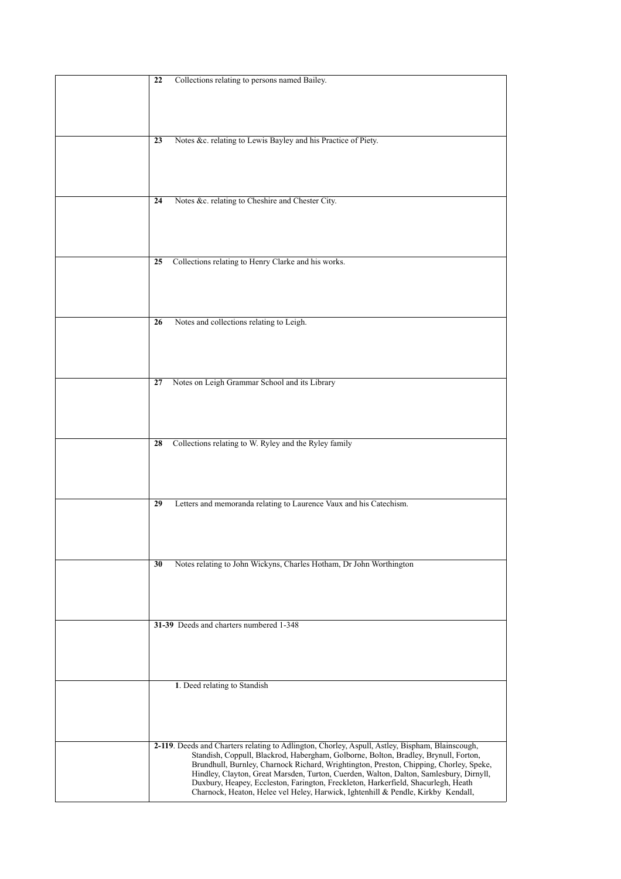| Collections relating to persons named Bailey.<br>22                                                                                                                              |
|----------------------------------------------------------------------------------------------------------------------------------------------------------------------------------|
|                                                                                                                                                                                  |
|                                                                                                                                                                                  |
|                                                                                                                                                                                  |
|                                                                                                                                                                                  |
|                                                                                                                                                                                  |
| Notes &c. relating to Lewis Bayley and his Practice of Piety.<br>23                                                                                                              |
|                                                                                                                                                                                  |
|                                                                                                                                                                                  |
|                                                                                                                                                                                  |
|                                                                                                                                                                                  |
| Notes &c. relating to Cheshire and Chester City.<br>24                                                                                                                           |
|                                                                                                                                                                                  |
|                                                                                                                                                                                  |
|                                                                                                                                                                                  |
|                                                                                                                                                                                  |
| Collections relating to Henry Clarke and his works.<br>25                                                                                                                        |
|                                                                                                                                                                                  |
|                                                                                                                                                                                  |
|                                                                                                                                                                                  |
|                                                                                                                                                                                  |
| Notes and collections relating to Leigh.<br>26                                                                                                                                   |
|                                                                                                                                                                                  |
|                                                                                                                                                                                  |
|                                                                                                                                                                                  |
|                                                                                                                                                                                  |
|                                                                                                                                                                                  |
| Notes on Leigh Grammar School and its Library<br>27                                                                                                                              |
|                                                                                                                                                                                  |
|                                                                                                                                                                                  |
|                                                                                                                                                                                  |
|                                                                                                                                                                                  |
| Collections relating to W. Ryley and the Ryley family<br>28                                                                                                                      |
|                                                                                                                                                                                  |
|                                                                                                                                                                                  |
|                                                                                                                                                                                  |
|                                                                                                                                                                                  |
| Letters and memoranda relating to Laurence Vaux and his Catechism.<br>29                                                                                                         |
|                                                                                                                                                                                  |
|                                                                                                                                                                                  |
|                                                                                                                                                                                  |
|                                                                                                                                                                                  |
| Notes relating to John Wickyns, Charles Hotham, Dr John Worthington<br>30                                                                                                        |
|                                                                                                                                                                                  |
|                                                                                                                                                                                  |
|                                                                                                                                                                                  |
|                                                                                                                                                                                  |
|                                                                                                                                                                                  |
|                                                                                                                                                                                  |
| 31-39 Deeds and charters numbered 1-348                                                                                                                                          |
|                                                                                                                                                                                  |
|                                                                                                                                                                                  |
|                                                                                                                                                                                  |
|                                                                                                                                                                                  |
| 1. Deed relating to Standish                                                                                                                                                     |
|                                                                                                                                                                                  |
|                                                                                                                                                                                  |
|                                                                                                                                                                                  |
|                                                                                                                                                                                  |
| 2-119. Deeds and Charters relating to Adlington, Chorley, Aspull, Astley, Bispham, Blainscough,                                                                                  |
| Standish, Coppull, Blackrod, Habergham, Golborne, Bolton, Bradley, Brynull, Forton,                                                                                              |
| Brundhull, Burnley, Charnock Richard, Wrightington, Preston, Chipping, Chorley, Speke,<br>Hindley, Clayton, Great Marsden, Turton, Cuerden, Walton, Dalton, Samlesbury, Dirnyll, |
| Duxbury, Heapey, Eccleston, Farington, Freckleton, Harkerfield, Shacurlegh, Heath<br>Charnock, Heaton, Helee vel Heley, Harwick, Ightenhill & Pendle, Kirkby Kendall,            |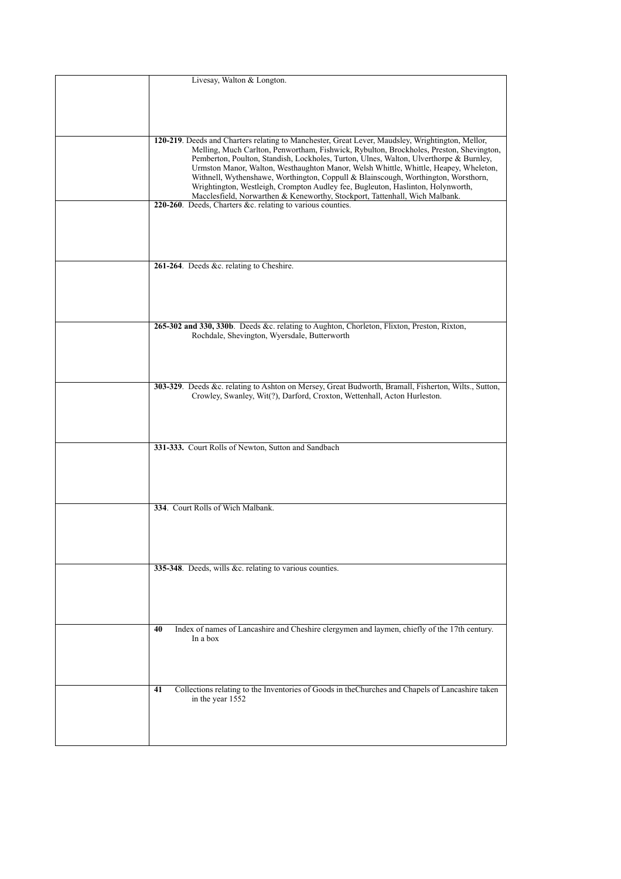| Livesay, Walton & Longton.                                                                                                                                                                                                                                                                                                                                                                                                                                                                                                                                                                                                            |
|---------------------------------------------------------------------------------------------------------------------------------------------------------------------------------------------------------------------------------------------------------------------------------------------------------------------------------------------------------------------------------------------------------------------------------------------------------------------------------------------------------------------------------------------------------------------------------------------------------------------------------------|
| 120-219. Deeds and Charters relating to Manchester, Great Lever, Maudsley, Wrightington, Mellor,<br>Melling, Much Carlton, Penwortham, Fishwick, Rybulton, Brockholes, Preston, Shevington,<br>Pemberton, Poulton, Standish, Lockholes, Turton, Ulnes, Walton, Ulverthorpe & Burnley,<br>Urmston Manor, Walton, Westhaughton Manor, Welsh Whittle, Whittle, Heapey, Wheleton,<br>Withnell, Wythenshawe, Worthington, Coppull & Blainscough, Worthington, Worsthorn,<br>Wrightington, Westleigh, Crompton Audley fee, Bugleuton, Haslinton, Holynworth,<br>Macclesfield, Norwarthen & Keneworthy, Stockport, Tattenhall, Wich Malbank. |
| 220-260. Deeds, Charters &c. relating to various counties.                                                                                                                                                                                                                                                                                                                                                                                                                                                                                                                                                                            |
| 261-264. Deeds &c. relating to Cheshire.                                                                                                                                                                                                                                                                                                                                                                                                                                                                                                                                                                                              |
| 265-302 and 330, 330b. Deeds &c. relating to Aughton, Chorleton, Flixton, Preston, Rixton,<br>Rochdale, Shevington, Wyersdale, Butterworth                                                                                                                                                                                                                                                                                                                                                                                                                                                                                            |
| 303-329. Deeds &c. relating to Ashton on Mersey, Great Budworth, Bramall, Fisherton, Wilts., Sutton,<br>Crowley, Swanley, Wit(?), Darford, Croxton, Wettenhall, Acton Hurleston.                                                                                                                                                                                                                                                                                                                                                                                                                                                      |
| 331-333. Court Rolls of Newton, Sutton and Sandbach                                                                                                                                                                                                                                                                                                                                                                                                                                                                                                                                                                                   |
| 334. Court Rolls of Wich Malbank.                                                                                                                                                                                                                                                                                                                                                                                                                                                                                                                                                                                                     |
| 335-348. Deeds, wills &c. relating to various counties.                                                                                                                                                                                                                                                                                                                                                                                                                                                                                                                                                                               |
| Index of names of Lancashire and Cheshire clergymen and laymen, chiefly of the 17th century.<br>40<br>In a box                                                                                                                                                                                                                                                                                                                                                                                                                                                                                                                        |
| Collections relating to the Inventories of Goods in the Churches and Chapels of Lancashire taken<br>41<br>in the year 1552                                                                                                                                                                                                                                                                                                                                                                                                                                                                                                            |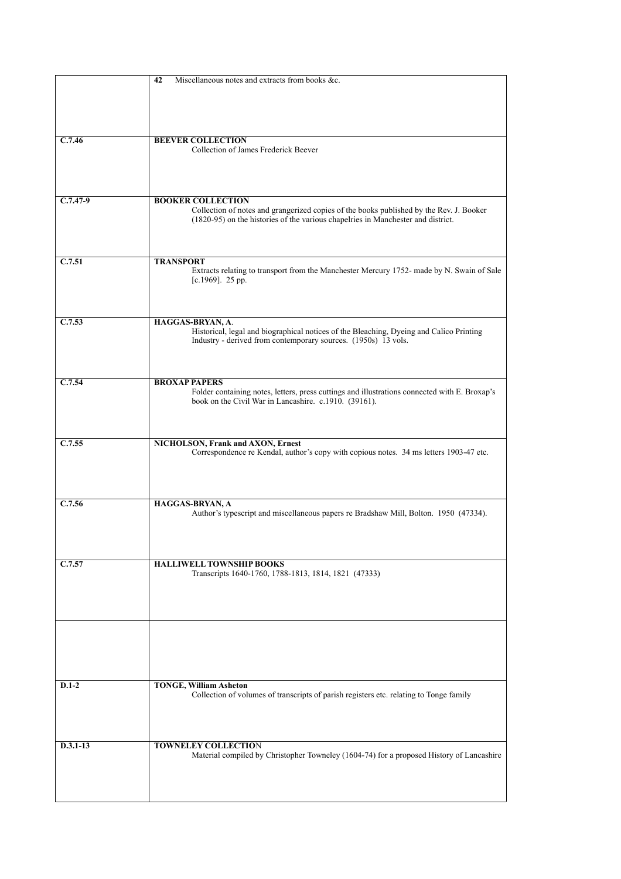|            | Miscellaneous notes and extracts from books &c.<br>42                                                                                                     |
|------------|-----------------------------------------------------------------------------------------------------------------------------------------------------------|
|            |                                                                                                                                                           |
|            |                                                                                                                                                           |
|            |                                                                                                                                                           |
|            |                                                                                                                                                           |
| C.7.46     | <b>BEEVER COLLECTION</b><br>Collection of James Frederick Beever                                                                                          |
|            |                                                                                                                                                           |
|            |                                                                                                                                                           |
|            |                                                                                                                                                           |
| $C.7.47-9$ | <b>BOOKER COLLECTION</b>                                                                                                                                  |
|            | Collection of notes and grangerized copies of the books published by the Rev. J. Booker                                                                   |
|            | (1820-95) on the histories of the various chapelries in Manchester and district.                                                                          |
|            |                                                                                                                                                           |
|            |                                                                                                                                                           |
| C.7.51     | <b>TRANSPORT</b>                                                                                                                                          |
|            | Extracts relating to transport from the Manchester Mercury 1752- made by N. Swain of Sale                                                                 |
|            | $[c.1969]$ . 25 pp.                                                                                                                                       |
|            |                                                                                                                                                           |
|            |                                                                                                                                                           |
| C.7.53     | HAGGAS-BRYAN, A.                                                                                                                                          |
|            | Historical, legal and biographical notices of the Bleaching, Dyeing and Calico Printing<br>Industry - derived from contemporary sources. (1950s) 13 vols. |
|            |                                                                                                                                                           |
|            |                                                                                                                                                           |
|            |                                                                                                                                                           |
| C.7.54     | <b>BROXAP PAPERS</b>                                                                                                                                      |
|            | Folder containing notes, letters, press cuttings and illustrations connected with E. Broxap's<br>book on the Civil War in Lancashire. c.1910. (39161).    |
|            |                                                                                                                                                           |
|            |                                                                                                                                                           |
| C.7.55     |                                                                                                                                                           |
|            | NICHOLSON, Frank and AXON, Ernest<br>Correspondence re Kendal, author's copy with copious notes. 34 ms letters 1903-47 etc.                               |
|            |                                                                                                                                                           |
|            |                                                                                                                                                           |
|            |                                                                                                                                                           |
| C.7.56     | HAGGAS-BRYAN, A                                                                                                                                           |
|            | Author's typescript and miscellaneous papers re Bradshaw Mill, Bolton. 1950 (47334).                                                                      |
|            |                                                                                                                                                           |
|            |                                                                                                                                                           |
|            |                                                                                                                                                           |
| C.7.57     | <b>HALLIWELL TOWNSHIP BOOKS</b>                                                                                                                           |
|            | Transcripts 1640-1760, 1788-1813, 1814, 1821 (47333)                                                                                                      |
|            |                                                                                                                                                           |
|            |                                                                                                                                                           |
|            |                                                                                                                                                           |
|            |                                                                                                                                                           |
|            |                                                                                                                                                           |
|            |                                                                                                                                                           |
|            |                                                                                                                                                           |
| $D.1-2$    | <b>TONGE, William Asheton</b>                                                                                                                             |
|            | Collection of volumes of transcripts of parish registers etc. relating to Tonge family                                                                    |
|            |                                                                                                                                                           |
|            |                                                                                                                                                           |
|            |                                                                                                                                                           |
| $D.3.1-13$ | <b>TOWNELEY COLLECTION</b>                                                                                                                                |
|            | Material compiled by Christopher Towneley (1604-74) for a proposed History of Lancashire                                                                  |
|            |                                                                                                                                                           |
|            |                                                                                                                                                           |
|            |                                                                                                                                                           |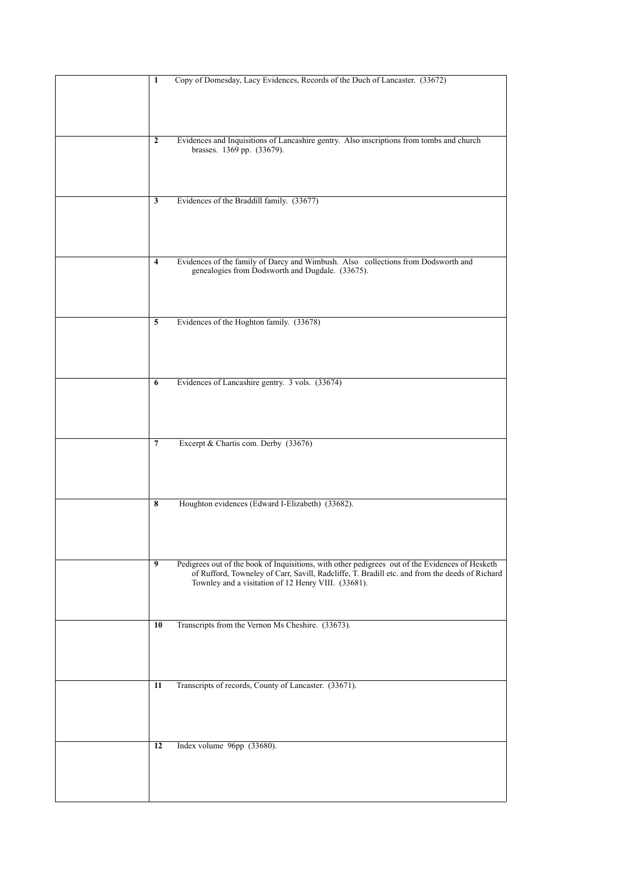| $\mathbf{1}$            | Copy of Domesday, Lacy Evidences, Records of the Duch of Lancaster. (33672)                     |
|-------------------------|-------------------------------------------------------------------------------------------------|
|                         |                                                                                                 |
|                         |                                                                                                 |
|                         |                                                                                                 |
|                         |                                                                                                 |
|                         |                                                                                                 |
| $\boldsymbol{2}$        | Evidences and Inquisitions of Lancashire gentry. Also inscriptions from tombs and church        |
|                         | brasses. 1369 pp. (33679).                                                                      |
|                         |                                                                                                 |
|                         |                                                                                                 |
|                         |                                                                                                 |
| 3                       | Evidences of the Braddill family. (33677)                                                       |
|                         |                                                                                                 |
|                         |                                                                                                 |
|                         |                                                                                                 |
|                         |                                                                                                 |
|                         |                                                                                                 |
| $\overline{\mathbf{4}}$ | Evidences of the family of Darcy and Wimbush. Also collections from Dodsworth and               |
|                         | genealogies from Dodsworth and Dugdale. (33675).                                                |
|                         |                                                                                                 |
|                         |                                                                                                 |
|                         |                                                                                                 |
| 5                       | Evidences of the Hoghton family. (33678)                                                        |
|                         |                                                                                                 |
|                         |                                                                                                 |
|                         |                                                                                                 |
|                         |                                                                                                 |
|                         |                                                                                                 |
| 6                       | Evidences of Lancashire gentry. 3 vols. (33674)                                                 |
|                         |                                                                                                 |
|                         |                                                                                                 |
|                         |                                                                                                 |
|                         |                                                                                                 |
|                         |                                                                                                 |
| 7                       | Excerpt & Chartis com. Derby (33676)                                                            |
|                         |                                                                                                 |
|                         |                                                                                                 |
|                         |                                                                                                 |
|                         |                                                                                                 |
| 8                       | Houghton evidences (Edward I-Elizabeth) (33682).                                                |
|                         |                                                                                                 |
|                         |                                                                                                 |
|                         |                                                                                                 |
|                         |                                                                                                 |
|                         |                                                                                                 |
| 9                       | Pedigrees out of the book of Inquisitions, with other pedigrees out of the Evidences of Hesketh |
|                         | of Rufford, Towneley of Carr, Savill, Radcliffe, T. Bradill etc. and from the deeds of Richard  |
|                         | Townley and a visitation of 12 Henry VIII. (33681).                                             |
|                         |                                                                                                 |
|                         |                                                                                                 |
| 10                      | Transcripts from the Vernon Ms Cheshire. (33673).                                               |
|                         |                                                                                                 |
|                         |                                                                                                 |
|                         |                                                                                                 |
|                         |                                                                                                 |
|                         |                                                                                                 |
| 11                      | Transcripts of records, County of Lancaster. (33671).                                           |
|                         |                                                                                                 |
|                         |                                                                                                 |
|                         |                                                                                                 |
|                         |                                                                                                 |
|                         |                                                                                                 |
| 12                      | Index volume 96pp (33680).                                                                      |
|                         |                                                                                                 |
|                         |                                                                                                 |
|                         |                                                                                                 |
|                         |                                                                                                 |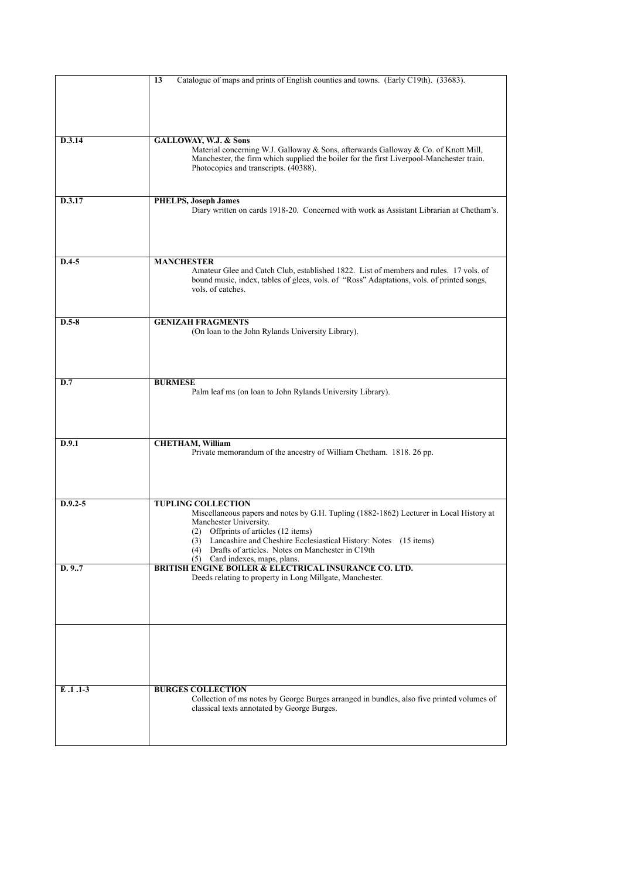|             | Catalogue of maps and prints of English counties and towns. (Early C19th). (33683).<br>13                                                                                          |
|-------------|------------------------------------------------------------------------------------------------------------------------------------------------------------------------------------|
|             |                                                                                                                                                                                    |
|             |                                                                                                                                                                                    |
|             |                                                                                                                                                                                    |
|             |                                                                                                                                                                                    |
| D.3.14      | GALLOWAY, W.J. & Sons<br>Material concerning W.J. Galloway & Sons, afterwards Galloway & Co. of Knott Mill,                                                                        |
|             | Manchester, the firm which supplied the boiler for the first Liverpool-Manchester train.                                                                                           |
|             | Photocopies and transcripts. (40388).                                                                                                                                              |
|             |                                                                                                                                                                                    |
| D.3.17      | <b>PHELPS, Joseph James</b>                                                                                                                                                        |
|             | Diary written on cards 1918-20. Concerned with work as Assistant Librarian at Chetham's.                                                                                           |
|             |                                                                                                                                                                                    |
|             |                                                                                                                                                                                    |
|             |                                                                                                                                                                                    |
| $D.4-5$     | <b>MANCHESTER</b>                                                                                                                                                                  |
|             | Amateur Glee and Catch Club, established 1822. List of members and rules. 17 vols. of<br>bound music, index, tables of glees, vols. of "Ross" Adaptations, vols. of printed songs, |
|             | vols, of catches.                                                                                                                                                                  |
|             |                                                                                                                                                                                    |
|             |                                                                                                                                                                                    |
| $D.5-8$     | <b>GENIZAH FRAGMENTS</b><br>(On loan to the John Rylands University Library).                                                                                                      |
|             |                                                                                                                                                                                    |
|             |                                                                                                                                                                                    |
|             |                                                                                                                                                                                    |
| D.7         | <b>BURMESE</b>                                                                                                                                                                     |
|             | Palm leaf ms (on loan to John Rylands University Library).                                                                                                                         |
|             |                                                                                                                                                                                    |
|             |                                                                                                                                                                                    |
|             |                                                                                                                                                                                    |
| D.9.1       | <b>CHETHAM, William</b><br>Private memorandum of the ancestry of William Chetham. 1818. 26 pp.                                                                                     |
|             |                                                                                                                                                                                    |
|             |                                                                                                                                                                                    |
|             |                                                                                                                                                                                    |
| $D.9.2 - 5$ | <b>TUPLING COLLECTION</b>                                                                                                                                                          |
|             | Miscellaneous papers and notes by G.H. Tupling (1882-1862) Lecturer in Local History at                                                                                            |
|             | Manchester University.<br>(2) Offprints of articles (12 items)                                                                                                                     |
|             | (3) Lancashire and Cheshire Ecclesiastical History: Notes (15 items)                                                                                                               |
|             | (4) Drafts of articles. Notes on Manchester in C19th<br>$(5)$ Card indexes, maps, plans.                                                                                           |
| D. 9.7      | <b>BRITISH ENGINE BOILER &amp; ELECTRICAL INSURANCE CO. LTD.</b>                                                                                                                   |
|             | Deeds relating to property in Long Millgate, Manchester.                                                                                                                           |
|             |                                                                                                                                                                                    |
|             |                                                                                                                                                                                    |
|             |                                                                                                                                                                                    |
|             |                                                                                                                                                                                    |
|             |                                                                                                                                                                                    |
|             |                                                                                                                                                                                    |
|             |                                                                                                                                                                                    |
| E.1.1-3     | <b>BURGES COLLECTION</b>                                                                                                                                                           |
|             | Collection of ms notes by George Burges arranged in bundles, also five printed volumes of                                                                                          |
|             | classical texts annotated by George Burges.                                                                                                                                        |
|             |                                                                                                                                                                                    |
|             |                                                                                                                                                                                    |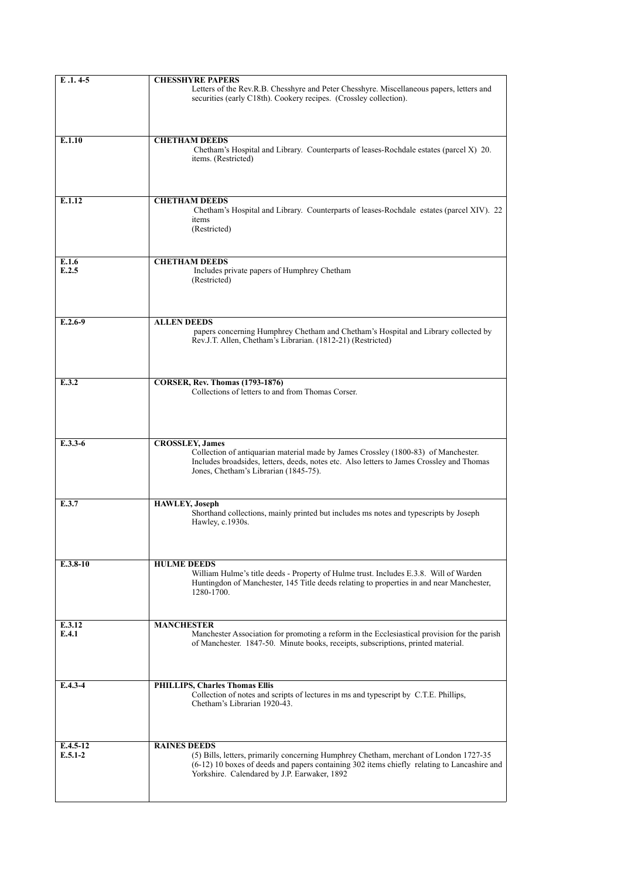| Letters of the Rev.R.B. Chesshyre and Peter Chesshyre. Miscellaneous papers, letters and<br>securities (early C18th). Cookery recipes. (Crossley collection).<br><b>CHETHAM DEEDS</b><br>Chetham's Hospital and Library. Counterparts of leases-Rochdale estates (parcel X) 20. |
|---------------------------------------------------------------------------------------------------------------------------------------------------------------------------------------------------------------------------------------------------------------------------------|
|                                                                                                                                                                                                                                                                                 |
|                                                                                                                                                                                                                                                                                 |
| items. (Restricted)                                                                                                                                                                                                                                                             |
|                                                                                                                                                                                                                                                                                 |
| <b>CHETHAM DEEDS</b><br>Chetham's Hospital and Library. Counterparts of leases-Rochdale estates (parcel XIV). 22<br>items<br>(Restricted)                                                                                                                                       |
|                                                                                                                                                                                                                                                                                 |
| <b>CHETHAM DEEDS</b><br>Includes private papers of Humphrey Chetham<br>(Restricted)                                                                                                                                                                                             |
|                                                                                                                                                                                                                                                                                 |
| <b>ALLEN DEEDS</b><br>papers concerning Humphrey Chetham and Chetham's Hospital and Library collected by<br>Rev.J.T. Allen, Chetham's Librarian. (1812-21) (Restricted)                                                                                                         |
|                                                                                                                                                                                                                                                                                 |
| <b>CORSER, Rev. Thomas (1793-1876)</b><br>Collections of letters to and from Thomas Corser.                                                                                                                                                                                     |
|                                                                                                                                                                                                                                                                                 |
| <b>CROSSLEY, James</b>                                                                                                                                                                                                                                                          |
| Collection of antiquarian material made by James Crossley (1800-83) of Manchester.<br>Includes broadsides, letters, deeds, notes etc. Also letters to James Crossley and Thomas<br>Jones, Chetham's Librarian (1845-75).                                                        |
| <b>HAWLEY, Joseph</b>                                                                                                                                                                                                                                                           |
| Shorthand collections, mainly printed but includes ms notes and typescripts by Joseph<br>Hawley, c.1930s.                                                                                                                                                                       |
|                                                                                                                                                                                                                                                                                 |
| <b>HULME DEEDS</b><br>William Hulme's title deeds - Property of Hulme trust. Includes E.3.8. Will of Warden<br>Huntingdon of Manchester, 145 Title deeds relating to properties in and near Manchester,<br>1280-1700.                                                           |
|                                                                                                                                                                                                                                                                                 |
| <b>MANCHESTER</b>                                                                                                                                                                                                                                                               |
| Manchester Association for promoting a reform in the Ecclesiastical provision for the parish<br>of Manchester. 1847-50. Minute books, receipts, subscriptions, printed material.                                                                                                |
|                                                                                                                                                                                                                                                                                 |
| <b>PHILLIPS, Charles Thomas Ellis</b><br>Collection of notes and scripts of lectures in ms and typescript by C.T.E. Phillips,<br>Chetham's Librarian 1920-43.                                                                                                                   |
| <b>RAINES DEEDS</b>                                                                                                                                                                                                                                                             |
| (5) Bills, letters, primarily concerning Humphrey Chetham, merchant of London 1727-35<br>$(6-12)$ 10 boxes of deeds and papers containing 302 items chiefly relating to Lancashire and<br>Yorkshire. Calendared by J.P. Earwaker, 1892                                          |
|                                                                                                                                                                                                                                                                                 |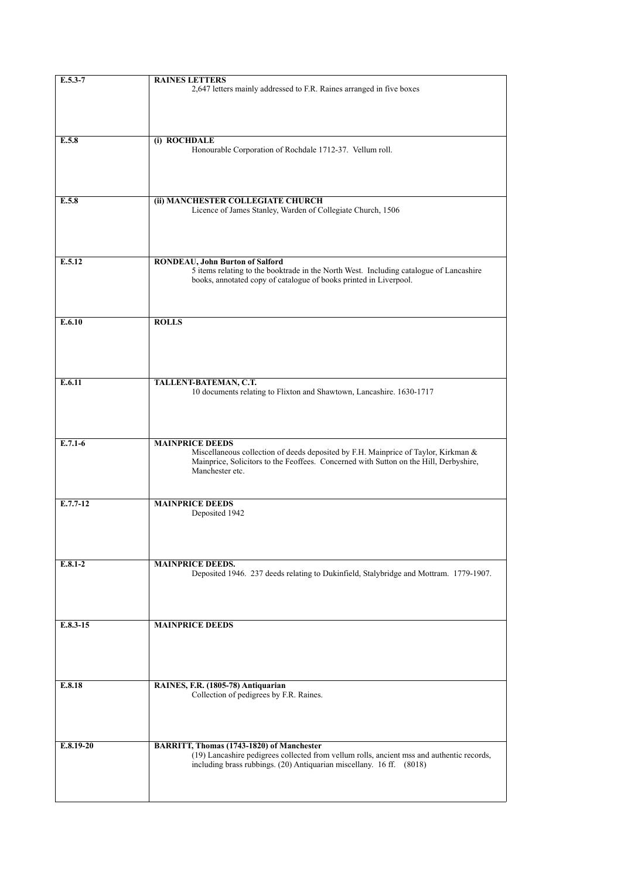| $E.5.3 - 7$ | <b>RAINES LETTERS</b><br>2,647 letters mainly addressed to F.R. Raines arranged in five boxes                                                                                                                            |
|-------------|--------------------------------------------------------------------------------------------------------------------------------------------------------------------------------------------------------------------------|
|             |                                                                                                                                                                                                                          |
| E.5.8       | (i) ROCHDALE<br>Honourable Corporation of Rochdale 1712-37. Vellum roll.                                                                                                                                                 |
| E.5.8       | (ii) MANCHESTER COLLEGIATE CHURCH<br>Licence of James Stanley, Warden of Collegiate Church, 1506                                                                                                                         |
| E.5.12      | <b>RONDEAU, John Burton of Salford</b><br>5 items relating to the booktrade in the North West. Including catalogue of Lancashire<br>books, annotated copy of catalogue of books printed in Liverpool.                    |
| E.6.10      | <b>ROLLS</b>                                                                                                                                                                                                             |
| E.6.11      | TALLENT-BATEMAN, C.T.<br>10 documents relating to Flixton and Shawtown, Lancashire. 1630-1717                                                                                                                            |
| $E.7.1-6$   | <b>MAINPRICE DEEDS</b><br>Miscellaneous collection of deeds deposited by F.H. Mainprice of Taylor, Kirkman &<br>Mainprice, Solicitors to the Feoffees. Concerned with Sutton on the Hill, Derbyshire,<br>Manchester etc. |
| $E.7.7-12$  | <b>MAINPRICE DEEDS</b><br>Deposited 1942                                                                                                                                                                                 |
| $E.8.1-2$   | <b>MAINPRICE DEEDS.</b><br>Deposited 1946. 237 deeds relating to Dukinfield, Stalybridge and Mottram. 1779-1907.                                                                                                         |
| $E.8.3-15$  | <b>MAINPRICE DEEDS</b>                                                                                                                                                                                                   |
| E.8.18      | RAINES, F.R. (1805-78) Antiquarian<br>Collection of pedigrees by F.R. Raines.                                                                                                                                            |
| $E.8.19-20$ | BARRITT, Thomas (1743-1820) of Manchester<br>(19) Lancashire pedigrees collected from vellum rolls, ancient mss and authentic records,<br>including brass rubbings. (20) Antiquarian miscellany. 16 ff. (8018)           |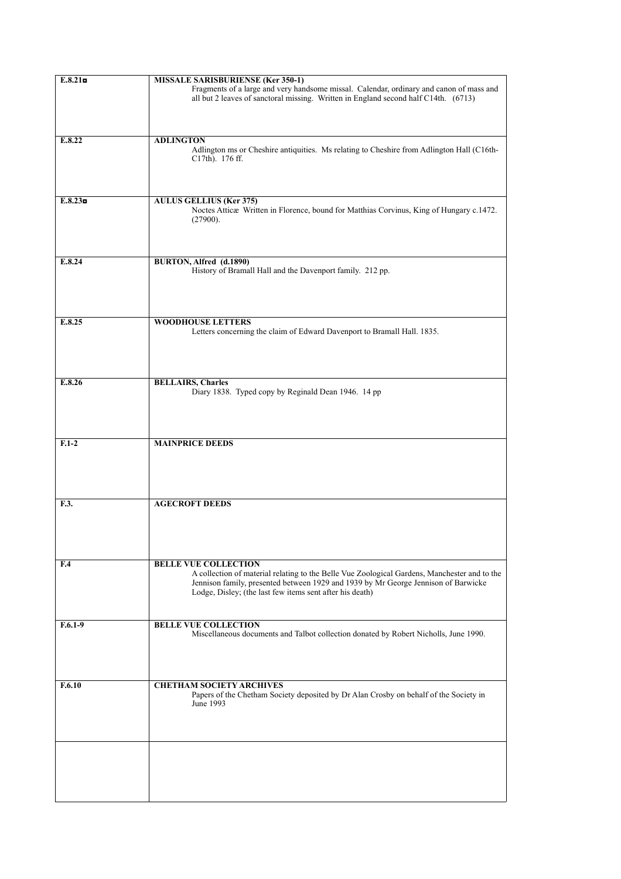| E.8.21           | <b>MISSALE SARISBURIENSE (Ker 350-1)</b>                                                                                                                                                                                                                                      |
|------------------|-------------------------------------------------------------------------------------------------------------------------------------------------------------------------------------------------------------------------------------------------------------------------------|
|                  | Fragments of a large and very handsome missal. Calendar, ordinary and canon of mass and<br>all but 2 leaves of sanctoral missing. Written in England second half C14th. (6713)                                                                                                |
|                  |                                                                                                                                                                                                                                                                               |
| E.8.22           | <b>ADLINGTON</b><br>Adlington ms or Cheshire antiquities. Ms relating to Cheshire from Adlington Hall (C16th-<br>$C17th$ ). 176 ff.                                                                                                                                           |
|                  |                                                                                                                                                                                                                                                                               |
| $E.8.23\text{m}$ | <b>AULUS GELLIUS (Ker 375)</b><br>Noctes Atticae Written in Florence, bound for Matthias Corvinus, King of Hungary c.1472.<br>(27900).                                                                                                                                        |
|                  |                                                                                                                                                                                                                                                                               |
| E.8.24           | BURTON, Alfred (d.1890)<br>History of Bramall Hall and the Davenport family. 212 pp.                                                                                                                                                                                          |
|                  |                                                                                                                                                                                                                                                                               |
| E.8.25           | <b>WOODHOUSE LETTERS</b><br>Letters concerning the claim of Edward Davenport to Bramall Hall. 1835.                                                                                                                                                                           |
|                  |                                                                                                                                                                                                                                                                               |
| E.8.26           | <b>BELLAIRS, Charles</b><br>Diary 1838. Typed copy by Reginald Dean 1946. 14 pp                                                                                                                                                                                               |
|                  |                                                                                                                                                                                                                                                                               |
| $F.1-2$          | <b>MAINPRICE DEEDS</b>                                                                                                                                                                                                                                                        |
|                  |                                                                                                                                                                                                                                                                               |
| F.3.             | <b>AGECROFT DEEDS</b>                                                                                                                                                                                                                                                         |
|                  |                                                                                                                                                                                                                                                                               |
|                  |                                                                                                                                                                                                                                                                               |
|                  |                                                                                                                                                                                                                                                                               |
| F <sub>4</sub>   | <b>BELLE VUE COLLECTION</b><br>A collection of material relating to the Belle Vue Zoological Gardens, Manchester and to the<br>Jennison family, presented between 1929 and 1939 by Mr George Jennison of Barwicke<br>Lodge, Disley; (the last few items sent after his death) |
|                  |                                                                                                                                                                                                                                                                               |
| $F.6.1-9$        | <b>BELLE VUE COLLECTION</b><br>Miscellaneous documents and Talbot collection donated by Robert Nicholls, June 1990.                                                                                                                                                           |
|                  |                                                                                                                                                                                                                                                                               |
|                  |                                                                                                                                                                                                                                                                               |
| F.6.10           | <b>CHETHAM SOCIETY ARCHIVES</b><br>Papers of the Chetham Society deposited by Dr Alan Crosby on behalf of the Society in<br>June 1993                                                                                                                                         |
|                  |                                                                                                                                                                                                                                                                               |
|                  |                                                                                                                                                                                                                                                                               |
|                  |                                                                                                                                                                                                                                                                               |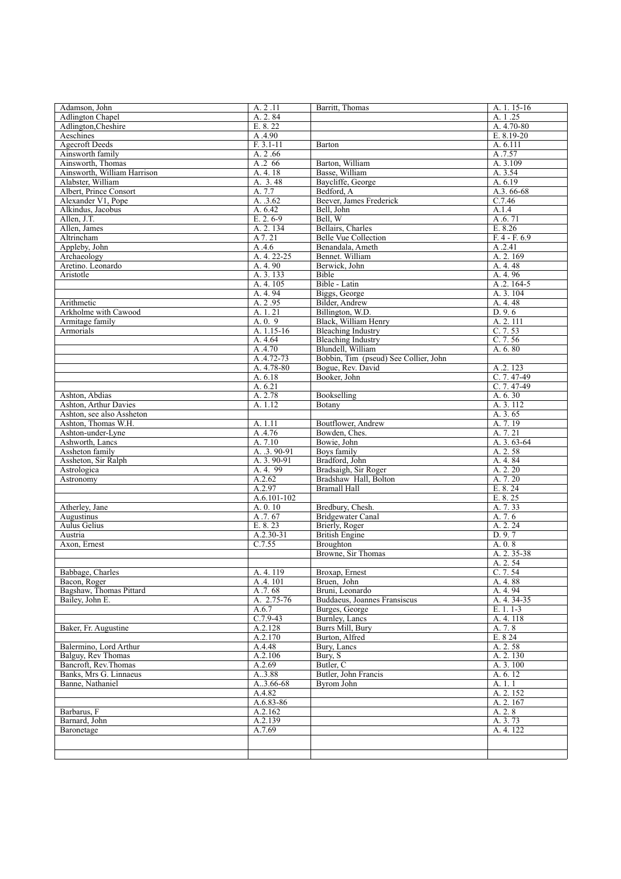| Adamson, John               | A. 2.11       | Barritt, Thomas                       | A. 1. 15-16    |
|-----------------------------|---------------|---------------------------------------|----------------|
| <b>Adlington Chapel</b>     | A. 2.84       |                                       | A. 1.25        |
| Adlington, Cheshire         | E. 8.22       |                                       | A. 4.70-80     |
| Aeschines                   | A.4.90        |                                       | $E. 8.19 - 20$ |
| <b>Agecroft Deeds</b>       | $F. 3.1 - 11$ | Barton                                | A. 6.111       |
| Ainsworth family            | A. 2.66       |                                       | A.7.57         |
| Ainsworth, Thomas           | A.2 66        | Barton, William                       | A. 3.109       |
| Ainsworth. William Harrison | A. 4. 18      | Basse, William                        | A. 3.54        |
| Alabster, William           | A. 3.48       | Baycliffe, George                     | A. 6.19        |
| Albert, Prince Consort      | A. 7.7        | Bedford, A                            | A.3.66-68      |
| Alexander V1, Pope          | A. .3.62      | Beever, James Frederick               | C.7.46         |
| Alkindus, Jacobus           | A. 6.42       | Bell, John                            | A.1.4          |
| Allen, J.T.                 | E. 2.6-9      | Bell, W                               | A.6.71         |
| Allen, James                | A. 2. 134     | Bellairs, Charles                     | E. 8.26        |
| Altrincham                  | A 7.21        | <b>Belle Vue Collection</b>           | $F.4 - F.69$   |
| Appleby, John               | A.4.6         | Benandala, Ameth                      | A.2.41         |
| Archaeology                 | A. 4. 22-25   | Bennet. William                       | A. 2.169       |
| Aretino. Leonardo           | A. 4.90       | Berwick, John                         | A. 4. 48       |
| Aristotle                   | A. 3. 133     | Bible                                 | A. 4.96        |
|                             | A. 4. 105     | Bible - Latin                         | A.2.164-5      |
|                             | A. 4.94       | Biggs, George                         | A. 3. 104      |
| Arithmetic                  | A. 2.95       | Bilder, Andrew                        | A. 4. 48       |
| Arkholme with Cawood        | A. 1. 21      | Billington, W.D.                      | D. 9.6         |
| Armitage family             | A. 0. 9       | Black, William Henry                  | A. 2. 111      |
| Armorials                   | A. 1.15-16    | <b>Bleaching Industry</b>             | C.7.53         |
|                             | A. 4.64       | <b>Bleaching Industry</b>             | C.7.56         |
|                             | A.4.70        | Blundell, William                     | A. 6.80        |
|                             | A.4.72-73     | Bobbin, Tim (pseud) See Collier, John |                |
|                             | A. 4.78-80    | Bogue, Rev. David                     | A.2.123        |
|                             | A. 6.18       | Booker, John                          | $C.7.47-49$    |
|                             | A. 6.21       |                                       | $C.7.47-49$    |
| Ashton, Abdias              | A. 2.78       | Bookselling                           | A. 6.30        |
| Ashton, Arthur Davies       | A. 1.12       | Botany                                | A. 3. 112      |
| Ashton, see also Assheton   |               |                                       | A. 3.65        |
| Ashton, Thomas W.H.         | A. 1.11       | Boutflower, Andrew                    | A. 7.19        |
| Ashton-under-Lyne           | A.4.76        | Bowden, Ches.                         | A. 7.21        |
| Ashworth, Lancs             | A. 7.10       | Bowie, John                           | A. 3. 63-64    |
| Assheton family             | A. .3. 90-91  | Boys family                           | A. 2.58        |
| Assheton, Sir Ralph         | A. 3.90-91    | Bradford, John                        | A. 4.84        |
| Astrologica                 | A. 4. 99      | Bradsaigh, Sir Roger                  | A. 2. 20       |
| Astronomy                   | A.2.62        | Bradshaw Hall, Bolton                 | A. 7.20        |
|                             | A.2.97        | <b>Bramall Hall</b>                   | E. 8.24        |
|                             | A.6.101-102   |                                       | E. 8.25        |
| Atherley, Jane              | A. 0. 10      | Bredbury, Chesh.                      | A. 7.33        |
| Augustinus                  | A.7.67        | <b>Bridgewater Canal</b>              | A. 7.6         |
| Aulus Gelius                | E. 8.23       | Brierly, Roger                        | A. 2. 24       |
| Austria                     | $A.2.30-31$   | <b>British Engine</b>                 | D.9.7          |
| Axon, Ernest                | C.7.55        | Broughton                             | A. 0.8         |
|                             |               | Browne, Sir Thomas                    | A. 2. 35-38    |
|                             |               |                                       | A. 2.54        |
| Babbage, Charles            | A. 4. 119     | Broxap, Ernest                        | C. 7.54        |
| Bacon, Roger                | A.4.101       | Bruen, John                           | A. 4.88        |
| Bagshaw, Thomas Pittard     | A.7.68        | Bruni, Leonardo                       | A. 4.94        |
| Bailey, John E.             | A. 2.75-76    | Buddaeus, Joannes Fransiscus          | A. 4. 34-35    |
|                             | A.6.7         | Burges, George                        | $E. 1. 1-3$    |
|                             | $C.7.9-43$    | Burnley, Lancs                        | A. 4. 118      |
| Baker, Fr. Augustine        | A.2.128       | <b>Burrs Mill. Burv</b>               | A. 7.8         |
|                             | A.2.170       | Burton, Alfred                        | E. 8 24        |
| Balermino. Lord Arthur      | A.4.48        | Bury, Lancs                           | A. 2.58        |
| Balguy, Rev Thomas          | A.2.106       | Bury, S                               | A. 2. 130      |
| Bancroft, Rev.Thomas        | A.2.69        | Butler, C                             | A. 3. 100      |
| Banks, Mrs G. Linnaeus      | A.3.88        | Butler, John Francis                  | A. 6. 12       |
| Banne, Nathaniel            | $A.3.66-68$   | <b>Byrom John</b>                     | A.1.1          |
|                             | A.4.82        |                                       | A. 2. 152      |
|                             | A.6.83-86     |                                       | A. 2. 167      |
| Barbarus, F                 | A.2.162       |                                       | A. 2.8         |
| Barnard, John               | A.2.139       |                                       | A. 3.73        |
| Baronetage                  | A.7.69        |                                       | A. 4. 122      |
|                             |               |                                       |                |
|                             |               |                                       |                |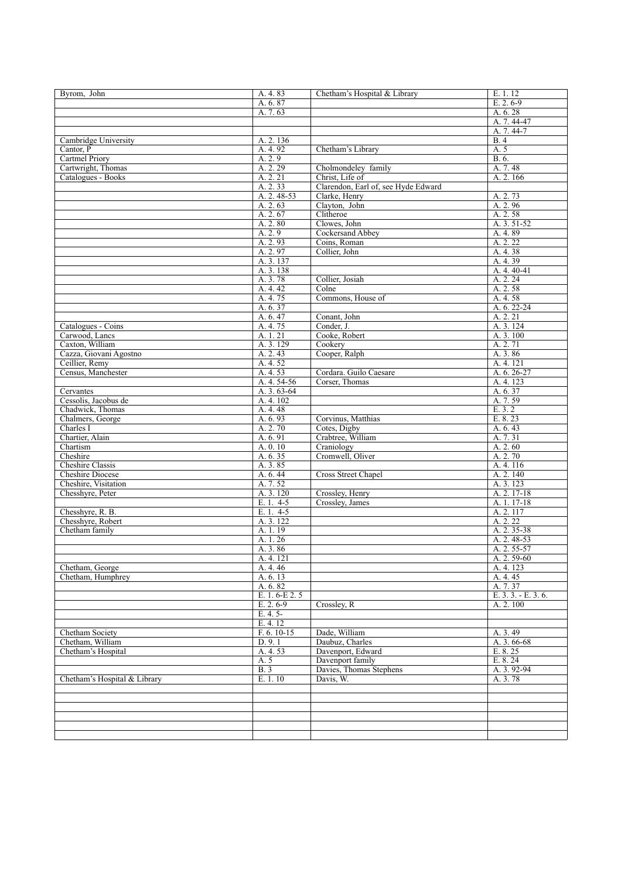| Byrom, John                                 | A. 4.83                    | Chetham's Hospital & Library        | E. 1. 12                   |
|---------------------------------------------|----------------------------|-------------------------------------|----------------------------|
|                                             | A. 6.87                    |                                     | $E. 2.6-9$                 |
|                                             | A. 7.63                    |                                     | A. 6.28                    |
|                                             |                            |                                     | A. 7.44-47                 |
| Cambridge University                        | A. 2.136                   |                                     | $A.7.44-7$<br><b>B.4</b>   |
| Cantor, P                                   | A. 4.92                    | Chetham's Library                   | A. 5                       |
| <b>Cartmel Priory</b>                       | A. 2.9                     |                                     | B. 6.                      |
| Cartwright, Thomas                          | A. 2. 29                   | Cholmondeley family                 | A. 7.48                    |
| Catalogues - Books                          | A. 2. 21                   | Christ, Life of                     | A. 2.166                   |
|                                             | A. 2.33                    | Clarendon, Earl of, see Hyde Edward |                            |
|                                             | A. 2. 48-53                | Clarke, Henry                       | A. 2.73                    |
|                                             | A. 2.63                    | Clayton, John                       | A. 2.96                    |
|                                             | A. 2.67<br>A. 2.80         | Clitheroe<br>Clowes, John           | A. 2.58<br>A. 3. 51-52     |
|                                             | A. 2.9                     | Cockersand Abbey                    | A. 4.89                    |
|                                             | A. 2.93                    | Coins, Roman                        | A. 2. 22                   |
|                                             | A. 2.97                    | Collier, John                       | A. 4.38                    |
|                                             | A. 3. 137                  |                                     | A. 4.39                    |
|                                             | A. 3. 138                  |                                     | A. 4. 40-41                |
|                                             | A. 3.78                    | Collier, Josiah                     | A. 2. 24                   |
|                                             | A. 4.42                    | Colne                               | A. 2.58                    |
|                                             | A. 4.75<br>A. 6.37         | Commons, House of                   | A. 4.58<br>$A. 6. 22 - 24$ |
|                                             | A. 6.47                    | Conant. John                        | A. 2. 21                   |
| Catalogues - Coins                          | A. 4.75                    | Conder, J.                          | A. 3. 124                  |
| Carwood, Lancs                              | A. 1. 21                   | Cooke, Robert                       | A. 3.100                   |
| Caxton, William                             | A. 3. 129                  | Cookery                             | A. 2.71                    |
| Cazza, Giovani Agostno                      | A. 2.43                    | Cooper, Ralph                       | A. 3.86                    |
| Ceillier, Remy                              | A. 4.52                    |                                     | A. 4. 121                  |
| Census, Manchester                          | A. 4.53                    | Cordara. Guilo Caesare              | A. 6. 26-27                |
| Cervantes                                   | A. 4. 54-56<br>A. 3. 63-64 | Corser. Thomas                      | A. 4. 123<br>A. 6.37       |
| Cessolis, Jacobus de                        | A. 4. 102                  |                                     | A. 7.59                    |
| Chadwick, Thomas                            | A. 4.48                    |                                     | E. 3. 2                    |
| Chalmers, George                            | A. 6.93                    | Corvinus, Matthias                  | E. 8.23                    |
| Charles I                                   | A. 2.70                    | Cotes, Digby                        | A. 6.43                    |
| Chartier, Alain                             | A. 6.91                    | Crabtree, William                   | A. 7.31                    |
| Chartism                                    | A. 0.10                    | Craniology                          | A. 2.60                    |
| Cheshire                                    | A. 6.35                    | Cromwell, Oliver                    | A. 2.70                    |
| <b>Cheshire Classis</b><br>Cheshire Diocese | A. 3.85<br>A. 6.44         | Cross Street Chapel                 | A. 4. 116<br>A. 2. 140     |
| Cheshire, Visitation                        | A. 7.52                    |                                     | A. 3. 123                  |
| Chesshyre, Peter                            | A. 3. 120                  | Crossley, Henry                     | A. 2. 17-18                |
|                                             | E. 1. 4-5                  | Crossley, James                     | A. 1. 17-18                |
| Chesshyre, R. B.                            | E. 1. 4-5                  |                                     | A. 2. 117                  |
| Chesshyre, Robert                           | A. 3. 122                  |                                     | A. 2. 22                   |
| Chetham family                              | A. 1.19                    |                                     | A. 2. 35-38                |
|                                             | A. 1.26                    |                                     | A. 2. 48-53                |
|                                             | A. 3.86<br>A. 4. 121       |                                     | A. 2. 55-57<br>A. 2. 59-60 |
| Chetham, George                             | A. 4.46                    |                                     | A. 4. 123                  |
| Chetham, Humphrey                           | A. 6.13                    |                                     | A. 4. 45                   |
|                                             | A. 6.82                    |                                     | A. 7.37                    |
|                                             | E. 1. 6-E 2. 5             |                                     | E. 3. 3. - E. 3. 6.        |
|                                             | $E. 2.6-9$                 | Crossley, R                         | A. 2.100                   |
|                                             | $E. 4.5-$                  |                                     |                            |
|                                             | E. 4. 12                   | Dade, William                       |                            |
| Chetham Society<br>Chetham, William         | F. 6. 10-15<br>D. 9.1      | Daubuz, Charles                     | A. 3.49<br>A. 3.66-68      |
| Chetham's Hospital                          | A. 4.53                    | Davenport, Edward                   | E. 8. 25                   |
|                                             | A. 5                       | Davenport family                    | E. 8.24                    |
|                                             | B.3                        | Davies, Thomas Stephens             | A. 3.92-94                 |
| Chetham's Hospital & Library                | E. 1. 10                   | Davis, W.                           | A. 3.78                    |
|                                             |                            |                                     |                            |
|                                             |                            |                                     |                            |
|                                             |                            |                                     |                            |
|                                             |                            |                                     |                            |
|                                             |                            |                                     |                            |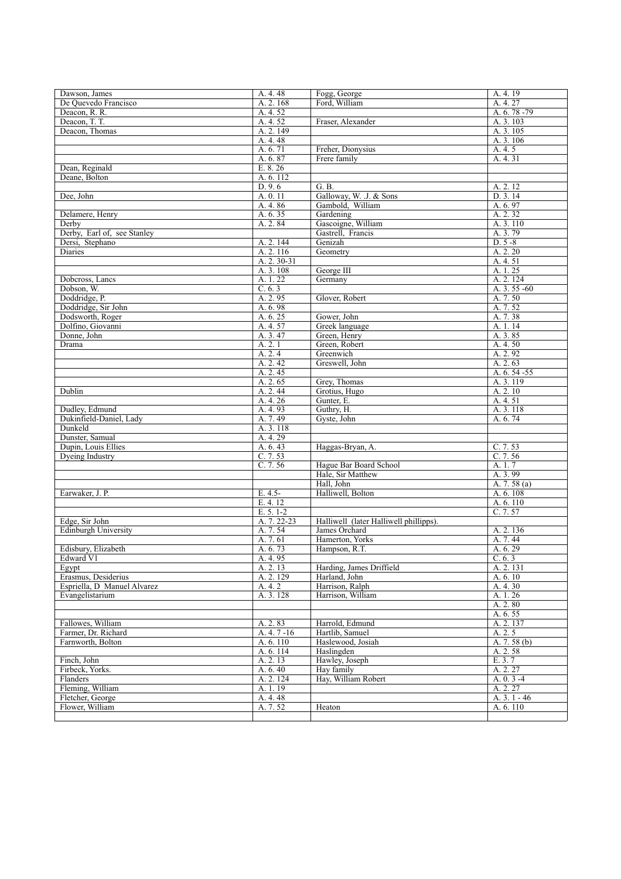| Dawson, James                       | A. 4. 48     | Fogg, George                           | A. 4. 19      |
|-------------------------------------|--------------|----------------------------------------|---------------|
| De Ouevedo Francisco                | A. 2. 168    | Ford, William                          | A. 4. 27      |
| Deacon, R. R.                       | A. 4.52      |                                        | A. 6. 78 - 79 |
| Deacon, T. T.                       | A. 4.52      | Fraser, Alexander                      | A. 3. 103     |
| Deacon, Thomas                      | A. 2. 149    |                                        | A. 3. 105     |
|                                     | A. 4.48      |                                        | A. 3. 106     |
|                                     | A. 6.71      | Freher, Dionysius                      | A. 4. 5       |
|                                     | A. 6.87      | Frere family                           | A. 4.31       |
| Dean, Reginald                      | E. 8.26      |                                        |               |
| Deane, Bolton                       | A. 6. 112    |                                        |               |
|                                     | D. 9.6       | G. B.                                  | A. 2. 12      |
| Dee, John                           | A. 0.11      | Galloway, W. J. & Sons                 | D. 3.14       |
|                                     | A. 4.86      | Gambold, William                       | A. 6.97       |
| Delamere, Henry                     | A. 6.35      | Gardening                              | A. 2.32       |
| Derby                               | A. 2.84      | Gascoigne, William                     | A. 3. 110     |
| Derby, Earl of, see Stanley         |              | Gastrell, Francis                      | A. 3.79       |
| Dersi, Stephano                     | A. 2. 144    | Genizah                                | $D. 5 - 8$    |
| Diaries                             | A. 2. 116    | Geometry                               | A. 2. 20      |
|                                     | A. 2. 30-31  |                                        | A. 4. 51      |
|                                     | A. 3. 108    | George III                             | A. 1.25       |
| Dobcross, Lancs                     | A. 1.22      | Germany                                | A. 2. 124     |
| Dobson, W.                          | C. 6.3       |                                        | A. 3. 55 -60  |
| Doddridge, P.                       | A. 2.95      | Glover, Robert                         | A. 7.50       |
| Doddridge, Sir John                 | A. 6.98      |                                        | A. 7.52       |
| Dodsworth, Roger                    | A. 6.25      | Gower, John                            | A. 7.38       |
| Dolfino, Giovanni                   | A. 4.57      | Greek language                         | A. 1. 14      |
| Donne, John                         | A. 3.47      | Green, Henry                           | A. 3.85       |
| Drama                               | A. 2.1       | Green, Robert                          | A. 4.50       |
|                                     | A.2.4        | Greenwich                              | A. 2.92       |
|                                     | A. 2.42      | Greswell, John                         | A. 2.63       |
|                                     | A. 2.45      |                                        | A. 6. 54 - 55 |
|                                     | A. 2.65      | Grey, Thomas                           | A. 3. 119     |
| Dublin                              | A. 2.44      | Grotius, Hugo                          | A. 2.10       |
|                                     | A. 4.26      | Gunter, E.                             | A. 4. 51      |
| Dudley, Edmund                      | A. 4.93      | Guthry, H.                             | A. 3. 118     |
| Dukinfield-Daniel, Lady             | A. 7.49      | Gyste, John                            | A. 6.74       |
| Dunkeld                             | A. 3. 118    |                                        |               |
| Dunster, Samual                     | A. 4. 29     |                                        |               |
| Dupin, Louis Ellies                 | A. 6.43      | Haggas-Bryan, A.                       | C. 7.53       |
| Dyeing Industry                     | C. 7.53      |                                        | C.7.56        |
|                                     | C.7.56       | Hague Bar Board School                 | A.1.7         |
|                                     |              | Hale, Sir Matthew                      | A. 3.99       |
|                                     |              | Hall, John                             | A. 7. 58 (a)  |
| Earwaker, J. P.                     | $E. 4.5-$    | Halliwell, Bolton                      | A. 6.108      |
|                                     | E. 4. 12     |                                        | A. 6. 110     |
|                                     | $E. 5. 1-2$  |                                        | C.7.57        |
| Edge, Sir John                      | A. 7. 22-23  | Halliwell (later Halliwell phillipps). |               |
| Edinburgh University                | A. 7.54      | James Orchard                          | A. 2. 136     |
|                                     | A. 7.61      | Hamerton, Yorks                        | A. 7.44       |
| Edisbury, Elizabeth                 | A. 6.73      | Hampson, R.T.                          | A. 6.29       |
| Edward V1                           | A. 4.95      |                                        | C. 6.3        |
| Egypt                               | A. 2. 13     | Harding, James Driffield               | A. 2. 131     |
| Erasmus, Desiderius                 | A. 2. 129    | Harland, John                          | A. 6. 10      |
| Espriella, D Manuel Alvarez         | A. 4. 2      | Harrison, Ralph                        | A. 4.30       |
| Evangelistarium                     | A. 3. 128    | Harrison, William                      | A. 1.26       |
|                                     |              |                                        | A. 2.80       |
|                                     |              |                                        | A. 6.55       |
| Fallowes, William                   | A. 2.83      | Harrold, Edmund                        | A. 2. 137     |
| Farmer, Dr. Richard                 | $A.4.7 - 16$ | Hartlib, Samuel                        | A. 2. 5       |
| Farnworth, Bolton                   | A. 6. 110    | Haslewood, Josiah                      | A. $7.58(b)$  |
|                                     | A. 6. 114    | Haslingden                             | A. 2.58       |
| Finch, John                         | A. 2.13      | Hawley, Joseph                         | E. 3.7        |
| Firbeck, Yorks.                     | A. 6.40      | Hay family                             | A. 2. 27      |
| Flanders                            | A. 2. 124    | Hay, William Robert                    | A. $0.3 -4$   |
| Fleming, William                    | A. 1. 19     |                                        | A. 2. 27      |
| Fletcher, George<br>Flower, William | A. 4. 48     |                                        | A. $3.1 - 46$ |
|                                     | A. 7.52      | Heaton                                 | A. 6. 110     |
|                                     |              |                                        |               |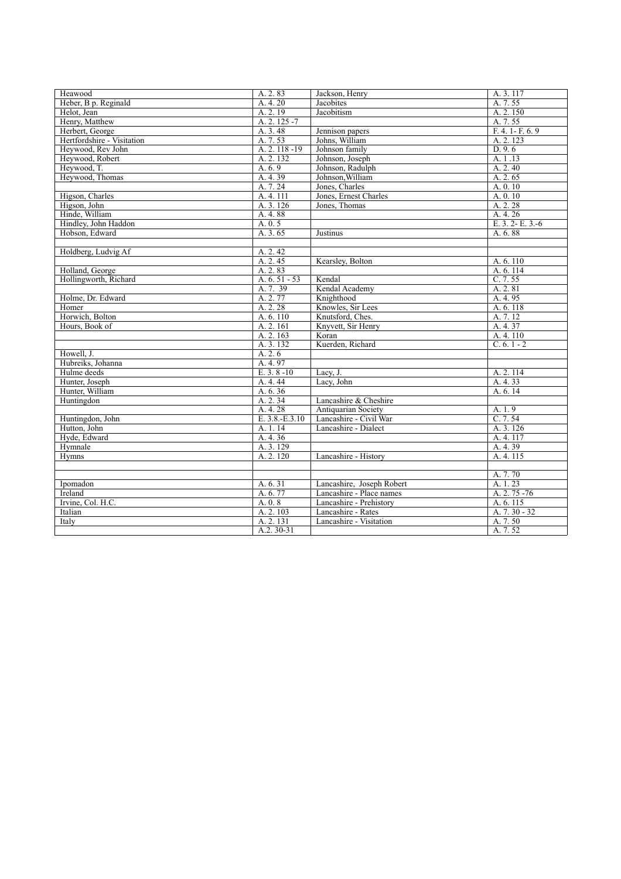| Heawood                    | A. 2.83        | Jackson, Henry            | A. 3. 117         |
|----------------------------|----------------|---------------------------|-------------------|
| Heber, B p. Reginald       | A. 4. 20       | Jacobites                 | A. 7.55           |
| Helot, Jean                | A. 2.19        | Jacobitism                | A. 2. 150         |
| Henry, Matthew             | A. 2. 125 - 7  |                           | A. 7.55           |
| Herbert, George            | A. 3.48        | Jennison papers           | F. 4. 1 - F. 6. 9 |
| Hertfordshire - Visitation | A. 7.53        | Johns, William            | A. 2. 123         |
| Hevwood, Rev John          | A. 2. 118 - 19 | Johnson family            | D.9.6             |
| Heywood, Robert            | A. 2. 132      | Johnson, Joseph           | A. 1.13           |
| Heywood, T.                | A. 6.9         | Johnson, Radulph          | A. 2.40           |
| Heywood, Thomas            | A. 4.39        | Johnson, William          | A. 2.65           |
|                            | A.7.24         | Jones, Charles            | A. 0. 10          |
| Higson, Charles            | A.4.111        | Jones, Ernest Charles     | A. 0.10           |
| Higson, John               | A. 3. 126      | Jones, Thomas             | A. 2. 28          |
| Hinde, William             | A. 4.88        |                           | A. 4. 26          |
| Hindley, John Haddon       | A. 0.5         |                           | E. 3. 2- E. 3.-6  |
| Hobson, Edward             | A. 3.65        | Justinus                  | A. 6.88           |
|                            |                |                           |                   |
| Holdberg, Ludvig Af        | A. 2.42        |                           |                   |
|                            | A. 2.45        | Kearsley, Bolton          | A. 6. 110         |
| Holland, George            | A. 2.83        |                           | A. 6. 114         |
| Hollingworth, Richard      | A. $6.51 - 53$ | Kendal                    | C. 7.55           |
|                            | A. 7. 39       | Kendal Academy            | A. 2.81           |
| Holme, Dr. Edward          | A. 2.77        | Knighthood                | A. 4.95           |
| Homer                      | A. 2. 28       | Knowles, Sir Lees         | A. 6. 118         |
| Horwich, Bolton            | A. 6.110       | Knutsford, Ches.          | A. 7.12           |
| Hours, Book of             | A. 2. 161      | Knyvett, Sir Henry        | A. 4.37           |
|                            | A. 2.163       | Koran                     | A. 4. 110         |
|                            | A. 3. 132      | Kuerden, Richard          | $C. 6. 1 - 2$     |
| Howell, J.                 | A.2.6          |                           |                   |
| Hubreiks, Johanna          | A. 4.97        |                           |                   |
| Hulme deeds                | $E. 3.8 - 10$  | Lacy, J.                  | A. 2. 114         |
| Hunter, Joseph             | A. 4. 44       | Lacy, John                | A. 4.33           |
| Hunter, William            | A. 6.36        |                           | A. 6.14           |
| Huntingdon                 | A. 2.34        | Lancashire & Cheshire     |                   |
|                            | A. 4.28        | Antiquarian Society       | A. 1.9            |
| Huntingdon, John           | E. 3.8.-E.3.10 | Lancashire - Civil War    | C.7.54            |
| Hutton, John               | A. 1. 14       | Lancashire - Dialect      | A. 3. 126         |
| Hyde, Edward               | A. 4.36        |                           | A. 4. 117         |
| Hymnale                    | A. 3. 129      |                           | A. 4.39           |
| Hymns                      | A. 2. 120      | Lancashire - History      | A. 4. 115         |
|                            |                |                           |                   |
|                            |                |                           | A. 7.70           |
| Ipomadon                   | A. 6.31        | Lancashire, Joseph Robert | A. 1.23           |
| Ireland                    | A. 6.77        | Lancashire - Place names  | A. 2. 75 - 76     |
| Irvine, Col. H.C.          | A. 0.8         | Lancashire - Prehistory   | A. 6. 115         |
| Italian                    | A. 2. 103      | Lancashire - Rates        | A. $7.30 - 32$    |
| Italy                      | A. 2. 131      | Lancashire - Visitation   | A. 7.50           |
|                            | $A.2.30-31$    |                           | A. 7.52           |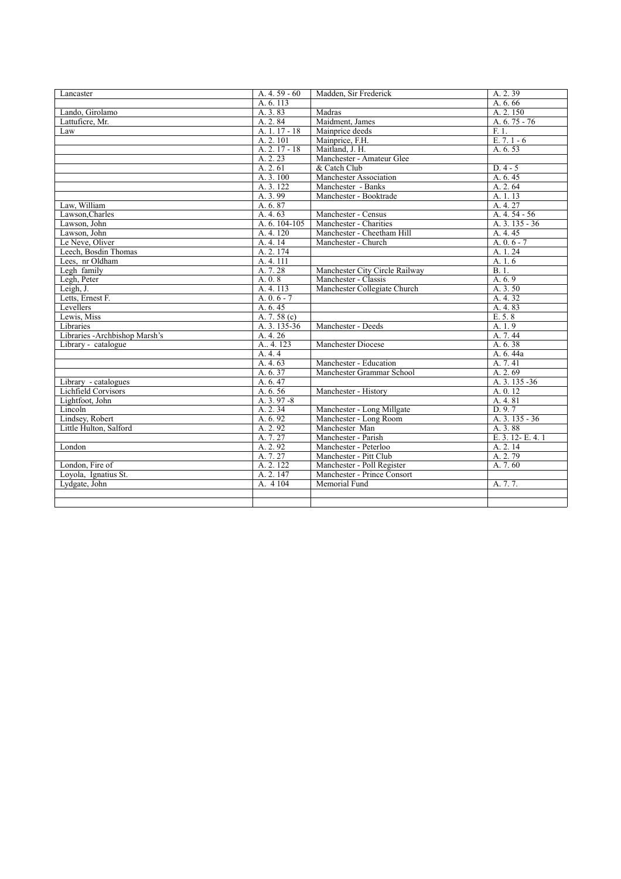| Lancaster                      | A. $4.59 - 60$  | Madden, Sir Frederick          | A. 2.39         |
|--------------------------------|-----------------|--------------------------------|-----------------|
|                                | A. 6. 113       |                                | A. 6.66         |
| Lando, Girolamo                | A. 3.83         | Madras                         | A. 2.150        |
| Lattuficre, Mr.                | A. 2.84         | Maidment, James                | A. 6. 75 - 76   |
| Law                            | A. 1. 17 - 18   | Mainprice deeds                | F.1.            |
|                                | A. 2. 101       | Mainprice, F.H.                | $E. 7.1 - 6$    |
|                                | $A. 2. 17 - 18$ | Maitland, J. H.                | A. 6.53         |
|                                | A. 2. 23        | Manchester - Amateur Glee      |                 |
|                                | A. 2.61         | & Catch Club                   | $D.4 - 5$       |
|                                | A. 3.100        | Manchester Association         | A. 6.45         |
|                                | A. 3. 122       | Manchester - Banks             | A. 2.64         |
|                                | A. 3.99         | Manchester - Booktrade         | A. 1.13         |
| Law. William                   | A. 6.87         |                                | A. 4. 27        |
|                                |                 |                                | A. $4.54 - 56$  |
| Lawson, Charles                | A. 4.63         | Manchester - Census            |                 |
| Lawson, John                   | A. 6. 104-105   | Manchester - Charities         | A. $3.135 - 36$ |
| Lawson, John                   | A. 4.120        | Manchester - Cheetham Hill     | A. 4.45         |
| Le Neve, Oliver                | A. 4. 14        | Manchester - Church            | A. $0.6 - 7$    |
| Leech, Bosdin Thomas           | A. 2. 174       |                                | A. 1.24         |
| Lees, nr Oldham                | A. 4. 111       |                                | A.1.6           |
| Legh family                    | A. 7.28         | Manchester City Circle Railway | B.1.            |
| Legh, Peter                    | A. 0.8          | Manchester - Classis           | A. 6.9          |
| Leigh, J.                      | A. 4. 113       | Manchester Collegiate Church   | A. 3.50         |
| Letts, Ernest F.               | A. $0.6 - 7$    |                                | A. 4.32         |
| Levellers                      | A. 6.45         |                                | A. 4.83         |
| Lewis, Miss                    | A. $7.58(c)$    |                                | E. 5.8          |
| Libraries                      | A. 3. 135-36    | Manchester - Deeds             | A.1.9           |
| Libraries - Archbishop Marsh's | A. 4. 26        |                                | A. 7.44         |
| Library - catalogue            | A., 4, 123      | Manchester Diocese             | A. 6.38         |
|                                | A. 4.4          |                                | A. 6.44a        |
|                                | A. 4.63         | Manchester - Education         | A. 7.41         |
|                                | A. 6.37         | Manchester Grammar School      | A. 2.69         |
| Library - catalogues           | A. 6.47         |                                | A. 3. 135 - 36  |
| Lichfield Corvisors            | A. 6.56         | Manchester - History           | A. 0.12         |
| Lightfoot, John                | $A. 3.97 - 8$   |                                | A. 4.81         |
| Lincoln                        | A. 2.34         | Manchester - Long Millgate     | D.9.7           |
| Lindsey, Robert                | A. 6.92         | Manchester - Long Room         | A. 3. 135 - 36  |
| Little Hulton, Salford         | A. 2.92         | Manchester Man                 | A. 3.88         |
|                                | A.7.27          | Manchester - Parish            | E. 3. 12-E. 4.1 |
| London                         | A. 2.92         | Manchester - Peterloo          | A. 2. 14        |
|                                | A. 7.27         | Manchester - Pitt Club         | A. 2.79         |
| London, Fire of                | A. 2. 122       | Manchester - Poll Register     | A. 7.60         |
| Loyola, Ignatius St.           | A. 2. 147       | Manchester - Prince Consort    |                 |
| Lydgate, John                  | A.4104          | Memorial Fund                  | A. 7.7.         |
|                                |                 |                                |                 |
|                                |                 |                                |                 |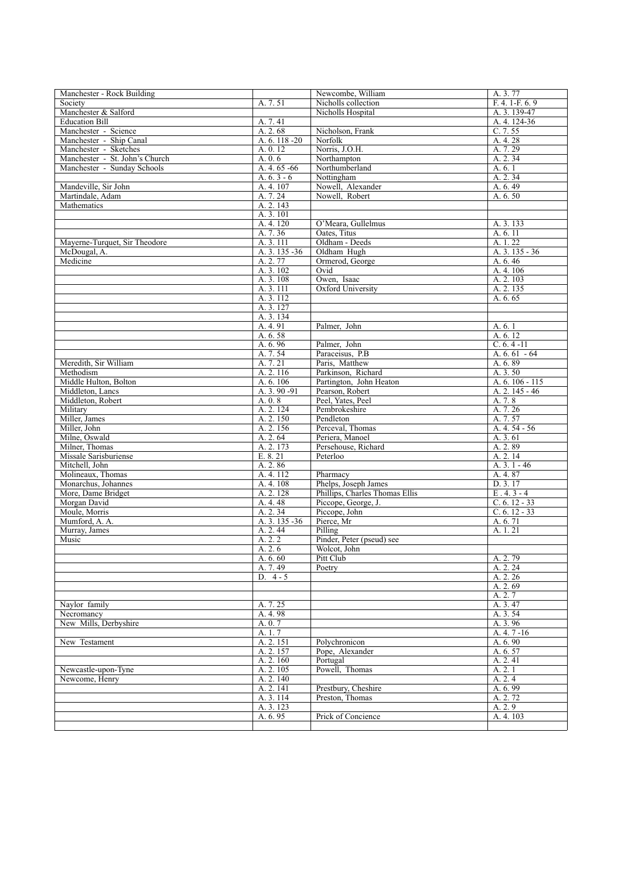| Manchester - Rock Building          |                           | Newcombe, William                                     | A. 3.77                          |
|-------------------------------------|---------------------------|-------------------------------------------------------|----------------------------------|
| Society                             | A. 7.51                   | Nicholls collection                                   | $F. 4. 1-F. 6. 9$                |
| Manchester & Salford                |                           | Nicholls Hospital                                     | A. 3. 139-47                     |
| <b>Education Bill</b>               | A. 7.41                   |                                                       | A. 4. 124-36                     |
| Manchester - Science                | A. 2.68                   | Nicholson, Frank                                      | C. 7.55                          |
| Manchester - Ship Canal             | A. 6. 118 - 20            | Norfolk                                               | A. 4.28                          |
| Manchester - Sketches               | A. 0.12                   | Norris, J.O.H.                                        | A. 7.29                          |
| Manchester - St. John's Church      | A. 0.6                    | Northampton                                           | A. 2.34                          |
| Manchester - Sunday Schools         | A. 4. 65 - 66             | Northumberland                                        | A. 6.1                           |
| Mandeville, Sir John                | A. $6.3 - 6$<br>A. 4. 107 | Nottingham<br>Nowell, Alexander                       | A. 2.34<br>A. 6.49               |
| Martindale, Adam                    | A. 7.24                   | Nowell, Robert                                        | A. 6.50                          |
| Mathematics                         | A. 2. 143                 |                                                       |                                  |
|                                     | A. 3. 101                 |                                                       |                                  |
|                                     | A. 4. 120                 | O'Meara, Gullelmus                                    | A. 3. 133                        |
|                                     | A. 7.36                   | Oates. Titus                                          | A. 6. 11                         |
| Mayerne-Turquet, Sir Theodore       | A. 3. 111                 | Oldham - Deeds                                        | A. 1.22                          |
| McDougal, A.                        | A. 3. 135 - 36            | Oldham Hugh                                           | A. 3. 135 - 36                   |
| Medicine                            | A. 2.77                   | Ormerod, George                                       | A. 6.46                          |
|                                     | A. 3. 102                 | Ovid                                                  | A. 4. 106                        |
|                                     | A. 3. 108                 | Owen, Isaac                                           | A. 2. 103                        |
|                                     | A. 3. 111                 | Oxford University                                     | A. 2. 135                        |
|                                     | A. 3. 112                 |                                                       | A. 6.65                          |
|                                     | A. 3. 127                 |                                                       |                                  |
|                                     | A. 3. 134                 |                                                       |                                  |
|                                     | A. 4.91                   | Palmer, John                                          | A. 6.1                           |
|                                     | A. 6.58                   |                                                       | A.6.12                           |
|                                     | A. 6.96<br>A. 7.54        | Palmer, John<br>Paraceisus, P.B.                      | $C. 6. 4 - 11$<br>A. $6.61 - 64$ |
| Meredith, Sir William               | A. 7.21                   | Paris, Matthew                                        | A. 6.89                          |
| Methodism                           | A. 2. 116                 | Parkinson. Richard                                    | A. 3.50                          |
| Middle Hulton, Bolton               | A. 6.106                  | Partington, John Heaton                               | A. 6. 106 - 115                  |
| Middleton, Lancs                    | $A. 3. 90 - 91$           | Pearson, Robert                                       | A. 2. 145 - 46                   |
| Middleton, Robert                   | A. 0.8                    | Peel, Yates, Peel                                     | A. 7.8                           |
| Military                            | A. 2. 124                 | Pembrokeshire                                         | A. 7.26                          |
| Miller, James                       | A. 2.150                  | Pendleton                                             | A. 7.57                          |
| Miller, John                        | A. 2.156                  | Perceval, Thomas                                      | $A.4.54 - 56$                    |
| Milne, Oswald                       | A. 2.64                   | Periera, Manoel                                       | A. 3.61                          |
| Milner, Thomas                      | A. 2.173                  | Persehouse, Richard                                   | A. 2.89                          |
| Missale Sarisburiense               | E. 8.21                   | Peterloo                                              | A. 2.14                          |
| Mitchell, John                      | A. 2.86                   |                                                       | $A. 3. 1 - 46$                   |
| Molineaux, Thomas                   | A. 4. 112                 | Pharmacy                                              | A. 4.87                          |
| Monarchus, Johannes                 | A. 4. 108                 | Phelps, Joseph James                                  | D. 3.17                          |
| More, Dame Bridget<br>Morgan David  | A. 2. 128                 | Phillips, Charles Thomas Ellis<br>Piccope, George, J. | $E.4.3 - 4$<br>$C. 6. 12 - 33$   |
| Moule, Morris                       | A. 4. 48<br>A. 2.34       | Piccope, John                                         | $C. 6. 12 - 33$                  |
| Mumford, A. A.                      | A. 3. 135 - 36            | Pierce, Mr                                            | A. 6.71                          |
| Murray, James                       | A. 2.44                   | Pilling                                               | A. 1. 21                         |
| Music                               | A. 2.2                    | Pinder, Peter (pseud) see                             |                                  |
|                                     | A. 2.6                    | Wolcot, John                                          |                                  |
|                                     | A. 6.60                   | Pitt Club                                             | A. 2.79                          |
|                                     | A. 7.49                   | Poetry                                                | A. 2. 24                         |
|                                     | D. $4 - 5$                |                                                       | A. 2. 26                         |
|                                     |                           |                                                       | A. 2.69                          |
|                                     |                           |                                                       | A. 2.7                           |
| Naylor family                       | A. 7.25                   |                                                       | A. 3.47                          |
| Necromancy<br>New Mills, Derbyshire | A. 4.98                   |                                                       | A. 3.54<br>A. 3.96               |
|                                     | A. 0. 7                   |                                                       | A. 4.7-16                        |
| New Testament                       | A. 1.7<br>A. 2. 151       | Polychronicon                                         | A. 6.90                          |
|                                     | A. 2. 157                 | Pope, Alexander                                       | A. 6.57                          |
|                                     | A. 2.160                  | Portugal                                              | A. 2.41                          |
| Newcastle-upon-Tyne                 | A. 2. 105                 | Powell, Thomas                                        | A. 2.1                           |
| Newcome, Henry                      | A. 2. 140                 |                                                       | A. 2.4                           |
|                                     | A. 2. 141                 | Prestbury, Cheshire                                   | A. 6.99                          |
|                                     | A. 3. 114                 | Preston, Thomas                                       | A. 2.72                          |
|                                     | A. 3. 123                 |                                                       | A. 2.9                           |
|                                     | A. 6.95                   | Prick of Concience                                    | A. 4. 103                        |
|                                     |                           |                                                       |                                  |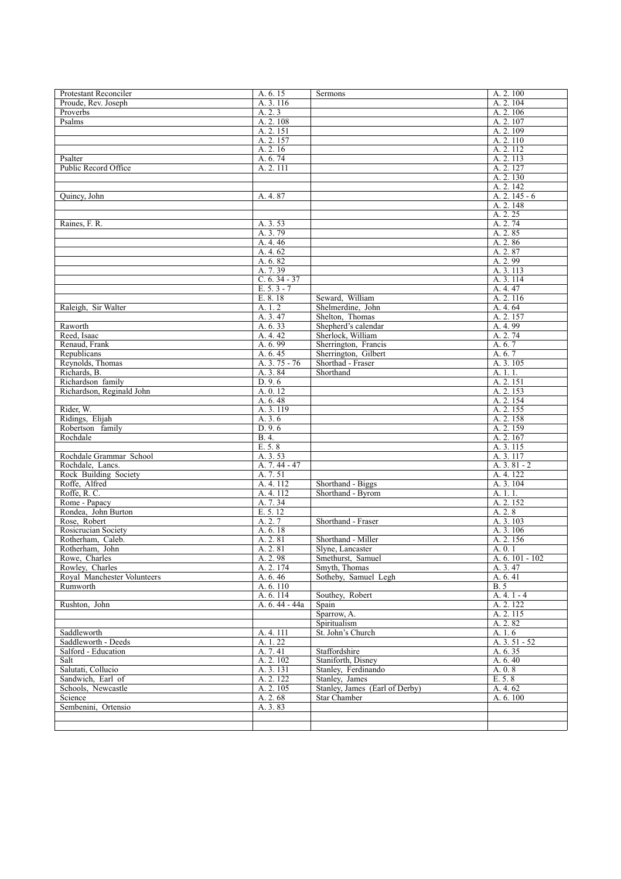| Protestant Reconciler                          | A. 6.15              | Sermons                            | A. 2. 100                   |
|------------------------------------------------|----------------------|------------------------------------|-----------------------------|
| Proude, Rev. Joseph                            | A. 3. 116            |                                    | A. 2. 104                   |
| Proverbs                                       | A. 2.3               |                                    | A. 2. 106                   |
| Psalms                                         | A. 2. 108            |                                    | A. 2. 107                   |
|                                                | A. 2. 151            |                                    | A. 2. 109                   |
|                                                | A. 2.157             |                                    | A. 2. 110                   |
|                                                | A. 2.16              |                                    | A. 2. 112                   |
| Psalter                                        | A. 6.74              |                                    | A. 2. 113                   |
| Public Record Office                           | A. 2. 111            |                                    | A. 2. 127                   |
|                                                |                      |                                    | A. 2.130                    |
| Quincy, John                                   | A. 4.87              |                                    | A. 2. 142<br>A. $2.145 - 6$ |
|                                                |                      |                                    | A. 2. 148                   |
|                                                |                      |                                    | A. 2. 25                    |
| Raines, F. R.                                  | A. 3.53              |                                    | A. 2.74                     |
|                                                | A. 3.79              |                                    | A. 2.85                     |
|                                                | A. 4.46              |                                    | A. 2.86                     |
|                                                | A. 4.62              |                                    | A. 2.87                     |
|                                                | A. 6.82              |                                    | A. 2.99                     |
|                                                | A. 7.39              |                                    | A. 3. 113                   |
|                                                | $C. 6. 34 - 37$      |                                    | A. 3. 114                   |
|                                                | $E. 5.3 - 7$         |                                    | A. 4.47                     |
|                                                | E. 8.18              | Seward, William                    | A. 2. 116                   |
| Raleigh, Sir Walter                            | A. 1.2               | Shelmerdine, John                  | A. 4.64                     |
|                                                | A. 3.47              | Shelton, Thomas                    | A. 2. 157                   |
| Raworth                                        | A. 6.33              | Shepherd's calendar                | A. 4.99                     |
| Reed, Isaac                                    | A. 4.42              | Sherlock, William                  | A. 2.74                     |
| Renaud, Frank                                  | A. 6.99              | Sherrington, Francis               | A. 6.7                      |
| Republicans                                    | A. 6.45              | Sherrington, Gilbert               | A. 6.7                      |
| Reynolds, Thomas                               | A. $3.75 - 76$       | Shorthad - Fraser                  | A. 3. 105                   |
| Richards, B.                                   | A. 3.84              | Shorthand                          | A. 1. 1.                    |
| Richardson family<br>Richardson, Reginald John | D. 9.6<br>A. 0.12    |                                    | A. 2. 151<br>A. 2. 153      |
|                                                | A. 6.48              |                                    | A. 2. 154                   |
| Rider, W.                                      | A. 3. 119            |                                    | A. 2. 155                   |
| Ridings, Elijah                                | A. 3.6               |                                    | A. 2. 158                   |
| Robertson family                               | D.9.6                |                                    | A. 2.159                    |
| Rochdale                                       | B. 4.                |                                    | A. 2. 167                   |
|                                                | E. 5.8               |                                    | A. 3. 115                   |
| Rochdale Grammar School                        | A. 3.53              |                                    | A. 3. 117                   |
| Rochdale, Lancs.                               | A. 7.44 - 47         |                                    | $A. 3. 81 - 2$              |
| Rock Building Society                          | A. 7.51              |                                    | A. 4. 122                   |
| Roffe, Alfred                                  | A. 4. 112            | Shorthand - Biggs                  | A. 3. 104                   |
| Roffe, R.C.                                    | A. 4. 112            | Shorthand - Byrom                  | A. 1. 1.                    |
| Rome - Papacy                                  | A. 7.34              |                                    | A. 2. 152                   |
| Rondea, John Burton                            | E. 5. 12             |                                    | A. 2.8                      |
| Rose, Robert                                   | A. 2.7               | Shorthand - Fraser                 | A. 3. 103                   |
| Rosicrucian Society                            | A. 6.18              |                                    | A. 3. 106                   |
| Rotherham, Caleb.                              | A. 2.81              | Shorthand - Miller                 | A. 2. 156                   |
| Rotherham, John                                | A. 2.81              | Slyne, Lancaster                   | A. 0.1                      |
| Rowe, Charles<br>Rowley, Charles               | A. 2.98<br>A. 2. 174 | Smethurst, Samuel<br>Smyth, Thomas | A. 6. 101 - 102<br>A. 3.47  |
| Royal Manchester Volunteers                    | A. 6. 46             | Sotheby, Samuel Legh               | A. 6.41                     |
| Rumworth                                       | A. 6. 110            |                                    | B.5                         |
|                                                | A. 6. 114            | Southey, Robert                    | $A. 4. 1 - 4$               |
| Rushton, John                                  | A. 6. 44 - 44a       | Spain                              | A. 2. 122                   |
|                                                |                      | Sparrow, A.                        | A. 2. 115                   |
|                                                |                      | Spiritualism                       | A. 2.82                     |
| Saddleworth                                    | A. 4. 111            | St. John's Church                  | A. 1. 6                     |
| Saddleworth - Deeds                            | A. 1.22              |                                    | A. 3. 51 - 52               |
| Salford - Education                            | A. 7.41              | Staffordshire                      | A. 6.35                     |
| Salt                                           | A. 2. 102            | Staniforth, Disney                 | A. 6.40                     |
| Salutati, Collucio                             | A. 3. 131            | Stanley, Ferdinando                | A. 0.8                      |
| Sandwich, Earl of                              | A. 2. 122            | Stanley, James                     | E. 5.8                      |
| Schools, Newcastle                             | A. 2. 105            | Stanley, James (Earl of Derby)     | A. 4. 62                    |
| Science                                        | A. 2.68              | Star Chamber                       | A. 6.100                    |
| Sembenini, Ortensio                            | A. 3.83              |                                    |                             |
|                                                |                      |                                    |                             |
|                                                |                      |                                    |                             |